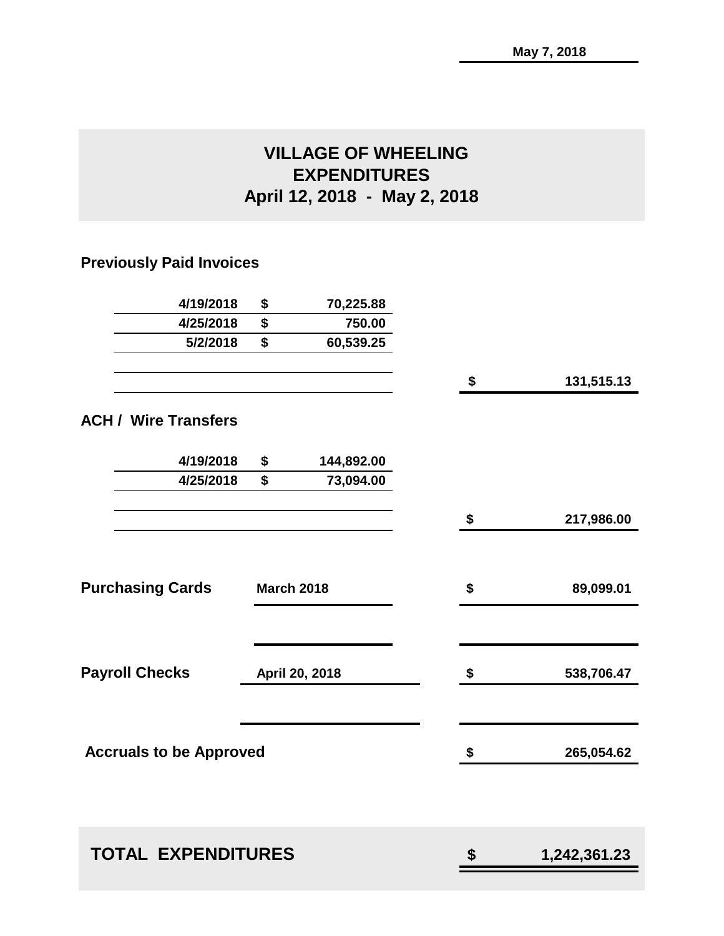# **VILLAGE OF WHEELING EXPENDITURES April 12, 2018 - May 2, 2018**

## **Previously Paid Invoices**

| \$<br>70,225.88                |                                                                  |              |
|--------------------------------|------------------------------------------------------------------|--------------|
| \$<br>750.00                   |                                                                  |              |
| \$<br>60,539.25                |                                                                  |              |
|                                | \$                                                               | 131,515.13   |
|                                |                                                                  |              |
| \$<br>144,892.00               |                                                                  |              |
| \$<br>73,094.00                |                                                                  |              |
|                                | \$                                                               | 217,986.00   |
|                                | \$                                                               | 89,099.01    |
|                                | \$                                                               | 538,706.47   |
|                                | \$                                                               | 265,054.62   |
|                                |                                                                  | 1,242,361.23 |
| <b>Accruals to be Approved</b> | <b>March 2018</b><br>April 20, 2018<br><b>TOTAL EXPENDITURES</b> | \$           |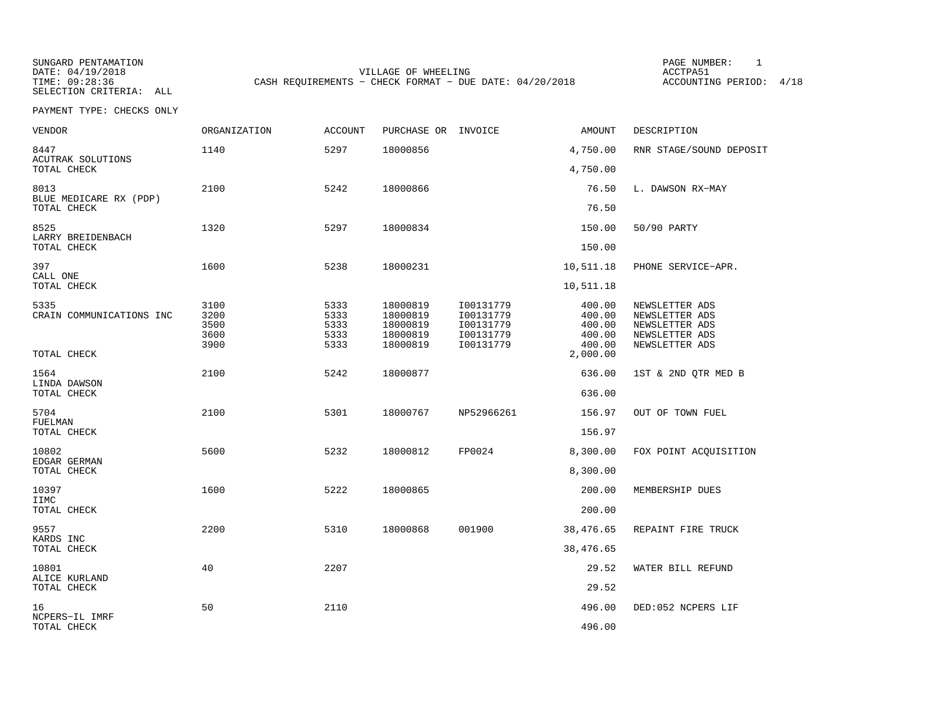SUNGARD PENTAMATION PAGE NUMBER: 1VILLAGE OF WHEELING **ACCTPA51** TIME: 09:28:36 CASH REQUIREMENTS - CHECK FORMAT - DUE DATE: 04/20/2018

ACCOUNTING PERIOD: 4/18

PAYMENT TYPE: CHECKS ONLY

| VENDOR                                             | ORGANIZATION                         | <b>ACCOUNT</b>                       | PURCHASE OR INVOICE                                      |                                                               | AMOUNT                                         | DESCRIPTION                                                                            |
|----------------------------------------------------|--------------------------------------|--------------------------------------|----------------------------------------------------------|---------------------------------------------------------------|------------------------------------------------|----------------------------------------------------------------------------------------|
| 8447<br>ACUTRAK SOLUTIONS<br>TOTAL CHECK           | 1140                                 | 5297                                 | 18000856                                                 |                                                               | 4,750.00<br>4,750.00                           | RNR STAGE/SOUND DEPOSIT                                                                |
| 8013<br>BLUE MEDICARE RX (PDP)<br>TOTAL CHECK      | 2100                                 | 5242                                 | 18000866                                                 |                                                               | 76.50<br>76.50                                 | L. DAWSON RX-MAY                                                                       |
| 8525<br>LARRY BREIDENBACH<br>TOTAL CHECK           | 1320                                 | 5297                                 | 18000834                                                 |                                                               | 150.00<br>150.00                               | 50/90 PARTY                                                                            |
| 397<br>CALL ONE<br>TOTAL CHECK                     | 1600                                 | 5238                                 | 18000231                                                 |                                                               | 10,511.18<br>10,511.18                         | PHONE SERVICE-APR.                                                                     |
| 5335<br>CRAIN COMMUNICATIONS INC                   | 3100<br>3200<br>3500<br>3600<br>3900 | 5333<br>5333<br>5333<br>5333<br>5333 | 18000819<br>18000819<br>18000819<br>18000819<br>18000819 | I00131779<br>I00131779<br>I00131779<br>I00131779<br>I00131779 | 400.00<br>400.00<br>400.00<br>400.00<br>400.00 | NEWSLETTER ADS<br>NEWSLETTER ADS<br>NEWSLETTER ADS<br>NEWSLETTER ADS<br>NEWSLETTER ADS |
| TOTAL CHECK<br>1564<br>LINDA DAWSON<br>TOTAL CHECK | 2100                                 | 5242                                 | 18000877                                                 |                                                               | 2,000.00<br>636.00<br>636.00                   | 1ST & 2ND QTR MED B                                                                    |
| 5704<br>FUELMAN<br>TOTAL CHECK                     | 2100                                 | 5301                                 | 18000767                                                 | NP52966261                                                    | 156.97<br>156.97                               | OUT OF TOWN FUEL                                                                       |
| 10802<br>EDGAR GERMAN<br>TOTAL CHECK               | 5600                                 | 5232                                 | 18000812                                                 | FP0024                                                        | 8,300.00<br>8,300.00                           | FOX POINT ACQUISITION                                                                  |
| 10397<br>IIMC<br>TOTAL CHECK                       | 1600                                 | 5222                                 | 18000865                                                 |                                                               | 200.00<br>200.00                               | MEMBERSHIP DUES                                                                        |
| 9557<br>KARDS INC<br>TOTAL CHECK                   | 2200                                 | 5310                                 | 18000868                                                 | 001900                                                        | 38,476.65<br>38,476.65                         | REPAINT FIRE TRUCK                                                                     |
| 10801<br>ALICE KURLAND<br>TOTAL CHECK              | 40                                   | 2207                                 |                                                          |                                                               | 29.52<br>29.52                                 | WATER BILL REFUND                                                                      |
| 16<br>NCPERS-IL IMRF<br>TOTAL CHECK                | 50                                   | 2110                                 |                                                          |                                                               | 496.00<br>496.00                               | DED:052 NCPERS LIF                                                                     |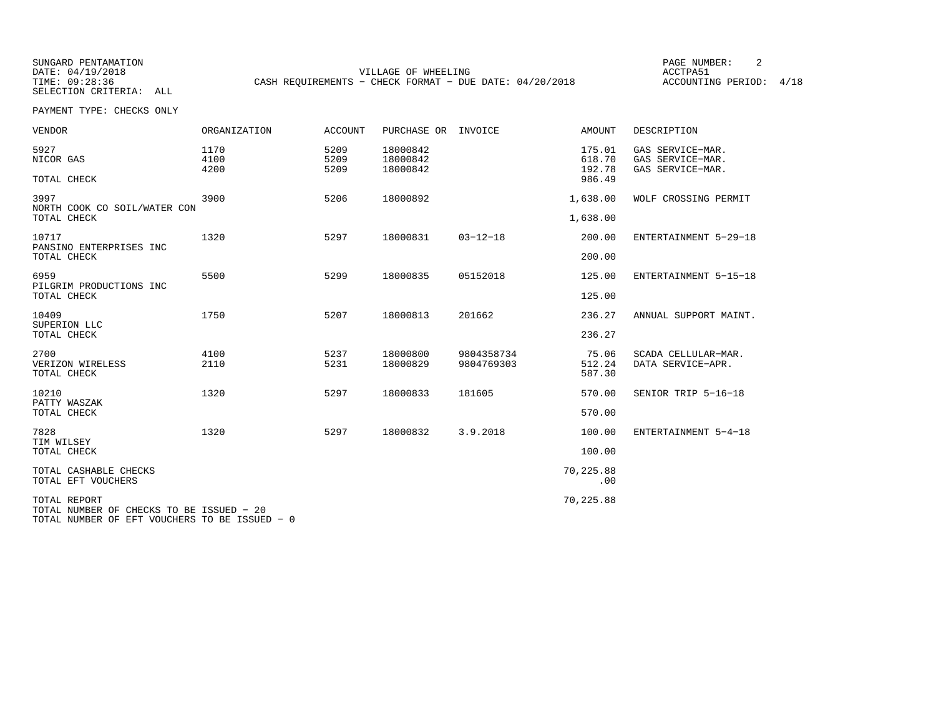SUNGARD PENTAMATION PAGE NUMBER: 2VILLAGE OF WHEELING **ACCTPA51** TIME: 09:28:36 CASH REQUIREMENTS - CHECK FORMAT - DUE DATE: 04/20/2018

ACCOUNTING PERIOD: 4/18

PAYMENT TYPE: CHECKS ONLY

| <b>VENDOR</b>                                            | ORGANIZATION         | ACCOUNT              | PURCHASE OR                      | INVOICE        | AMOUNT                     | DESCRIPTION                                              |
|----------------------------------------------------------|----------------------|----------------------|----------------------------------|----------------|----------------------------|----------------------------------------------------------|
| 5927<br>NICOR GAS                                        | 1170<br>4100<br>4200 | 5209<br>5209<br>5209 | 18000842<br>18000842<br>18000842 |                | 175.01<br>618.70<br>192.78 | GAS SERVICE-MAR.<br>GAS SERVICE-MAR.<br>GAS SERVICE-MAR. |
| TOTAL CHECK                                              |                      |                      |                                  |                | 986.49                     |                                                          |
| 3997<br>NORTH COOK CO SOIL/WATER CON                     | 3900                 | 5206                 | 18000892                         |                | 1,638.00                   | WOLF CROSSING PERMIT                                     |
| TOTAL CHECK                                              |                      |                      |                                  |                | 1,638.00                   |                                                          |
| 10717<br>PANSINO ENTERPRISES INC                         | 1320                 | 5297                 | 18000831                         | $03 - 12 - 18$ | 200.00                     | ENTERTAINMENT 5-29-18                                    |
| TOTAL CHECK                                              |                      |                      |                                  |                | 200.00                     |                                                          |
| 6959<br>PILGRIM PRODUCTIONS INC                          | 5500                 | 5299                 | 18000835                         | 05152018       | 125.00                     | ENTERTAINMENT 5-15-18                                    |
| TOTAL CHECK                                              |                      |                      |                                  |                | 125.00                     |                                                          |
| 10409<br>SUPERION LLC                                    | 1750                 | 5207                 | 18000813                         | 201662         | 236.27                     | ANNUAL SUPPORT MAINT.                                    |
| TOTAL CHECK                                              |                      |                      |                                  |                | 236.27                     |                                                          |
| 2700                                                     | 4100                 | 5237                 | 18000800                         | 9804358734     | 75.06                      | SCADA CELLULAR-MAR.                                      |
| VERIZON WIRELESS<br>TOTAL CHECK                          | 2110                 | 5231                 | 18000829                         | 9804769303     | 512.24<br>587.30           | DATA SERVICE-APR.                                        |
| 10210<br>PATTY WASZAK                                    | 1320                 | 5297                 | 18000833                         | 181605         | 570.00                     | SENIOR TRIP 5-16-18                                      |
| TOTAL CHECK                                              |                      |                      |                                  |                | 570.00                     |                                                          |
| 7828<br>TIM WILSEY                                       | 1320                 | 5297                 | 18000832                         | 3.9.2018       | 100.00                     | ENTERTAINMENT 5-4-18                                     |
| TOTAL CHECK                                              |                      |                      |                                  |                | 100.00                     |                                                          |
| TOTAL CASHABLE CHECKS<br>TOTAL EFT VOUCHERS              |                      |                      |                                  |                | 70,225.88<br>.00           |                                                          |
| TOTAL REPORT<br>TOTAL NUMBER OF CHECKS TO BE ISSUED - 20 |                      |                      |                                  |                | 70,225.88                  |                                                          |

TOTAL NUMBER OF EFT VOUCHERS TO BE ISSUED − 0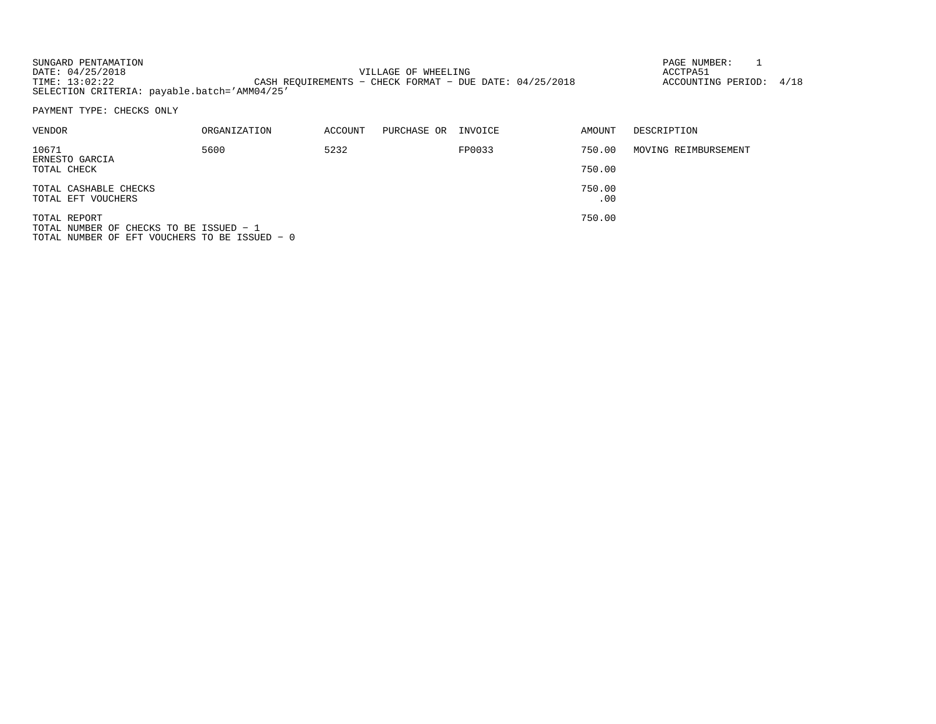| SUNGARD PENTAMATION                          |                                                           | PAGE NUMBER:            |  |
|----------------------------------------------|-----------------------------------------------------------|-------------------------|--|
| DATE: 04/25/2018                             | VILLAGE OF WHEELING                                       | ACCTPA51                |  |
| TIME: 13:02:22                               | CASH REOUIREMENTS - CHECK FORMAT - DUE DATE: $04/25/2018$ | ACCOUNTING PERIOD: 4/18 |  |
| SELECTION CRITERIA: payable.batch='AMM04/25' |                                                           |                         |  |

PAYMENT TYPE: CHECKS ONLY

| VENDOR                                                       | ORGANIZATION | ACCOUNT | PURCHASE OR | INVOICE | AMOUNT  | DESCRIPTION          |
|--------------------------------------------------------------|--------------|---------|-------------|---------|---------|----------------------|
| 10671<br>ERNESTO GARCIA                                      | 5600         | 5232    |             | FP0033  | 750.00  | MOVING REIMBURSEMENT |
| TOTAL CHECK                                                  |              |         |             |         | 750.00  |                      |
| TOTAL CASHABLE CHECKS                                        |              |         |             |         | 750.00  |                      |
| TOTAL EFT VOUCHERS                                           |              |         |             |         | $.00\,$ |                      |
| TOTAL REPORT<br>$T$ TOTAL NIIMBER OF CHECKS TO BE ISSUED $-$ |              |         |             |         | 750.00  |                      |

TOTAL NUMBER OF CHECKS TO BE ISSUED − 1 TOTAL NUMBER OF EFT VOUCHERS TO BE ISSUED − 0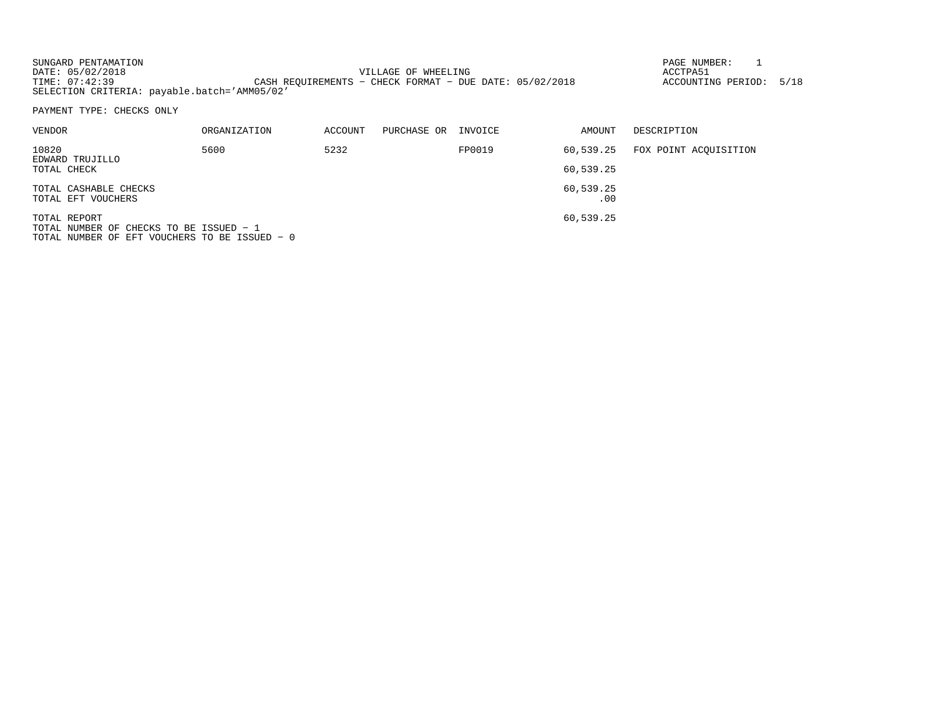| SUNGARD PENTAMATION                          |                                                           | PAGE NUMBER:       |      |
|----------------------------------------------|-----------------------------------------------------------|--------------------|------|
| DATE: 05/02/2018                             | VILLAGE OF WHEELING                                       | ACCTPA51           |      |
| TIME: 07:42:39                               | CASH REOUIREMENTS - CHECK FORMAT - DUE DATE: $05/02/2018$ | ACCOUNTING PERIOD: | 5/18 |
| SELECTION CRITERIA: payable.batch='AMM05/02' |                                                           |                    |      |

PAYMENT TYPE: CHECKS ONLY

| VENDOR                         | ORGANIZATION | ACCOUNT | PURCHASE OR | INVOICE | AMOUNT    | DESCRIPTION           |
|--------------------------------|--------------|---------|-------------|---------|-----------|-----------------------|
| 10820                          | 5600         | 5232    |             | FP0019  | 60,539.25 | FOX POINT ACOUISITION |
| EDWARD TRUJILLO<br>TOTAL CHECK |              |         |             |         | 60,539.25 |                       |
| TOTAL CASHABLE CHECKS          |              |         |             |         | 60,539.25 |                       |
| TOTAL EFT VOUCHERS             |              |         |             |         | .00       |                       |
| TOTAL REPORT                   |              |         |             |         | 60,539.25 |                       |

TOTAL NUMBER OF CHECKS TO BE ISSUED − 1 TOTAL NUMBER OF EFT VOUCHERS TO BE ISSUED − 0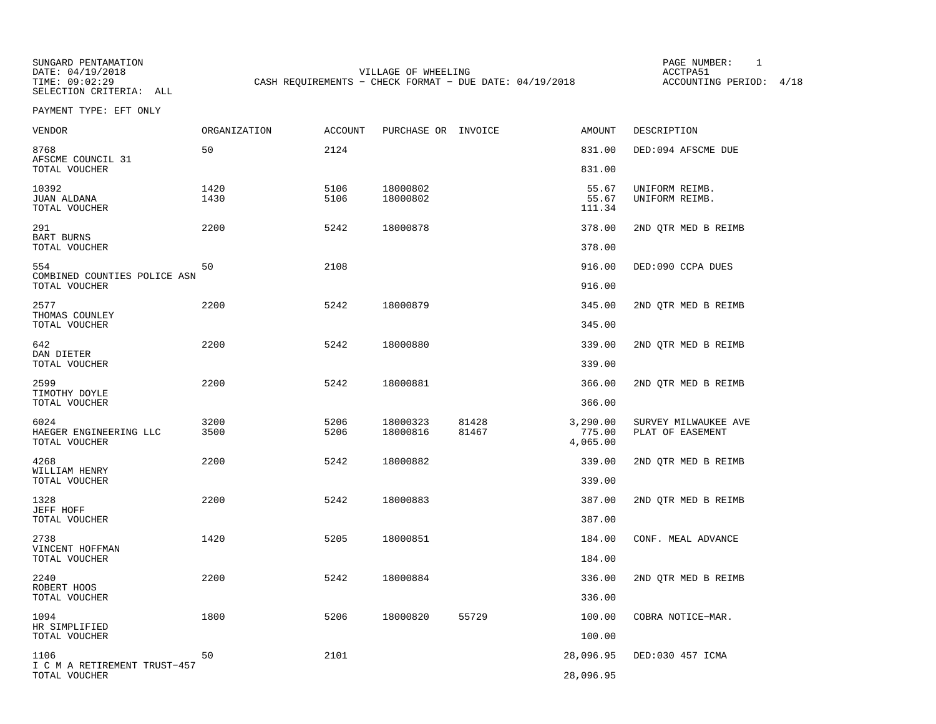SUNGARD PENTAMATION PAGE NUMBER: 1VILLAGE OF WHEELING **ACCTPA51** TIME: 09:02:29 CASH REQUIREMENTS - CHECK FORMAT - DUE DATE: 04/19/2018

ACCOUNTING PERIOD: 4/18

PAYMENT TYPE: EFT ONLY

| <b>VENDOR</b>                                   | <b>ORGANIZATION</b> | <b>ACCOUNT</b> | PURCHASE OR INVOICE  |                | <b>AMOUNT</b>                  | DESCRIPTION                              |
|-------------------------------------------------|---------------------|----------------|----------------------|----------------|--------------------------------|------------------------------------------|
| 8768<br>AFSCME COUNCIL 31                       | 50                  | 2124           |                      |                | 831.00                         | DED:094 AFSCME DUE                       |
| TOTAL VOUCHER                                   |                     |                |                      |                | 831.00                         |                                          |
| 10392<br><b>JUAN ALDANA</b><br>TOTAL VOUCHER    | 1420<br>1430        | 5106<br>5106   | 18000802<br>18000802 |                | 55.67<br>55.67<br>111.34       | UNIFORM REIMB.<br>UNIFORM REIMB.         |
| 291<br>BART BURNS<br>TOTAL VOUCHER              | 2200                | 5242           | 18000878             |                | 378.00<br>378.00               | 2ND QTR MED B REIMB                      |
| 554<br>COMBINED COUNTIES POLICE ASN             | 50                  | 2108           |                      |                | 916.00                         | DED:090 CCPA DUES                        |
| TOTAL VOUCHER                                   |                     |                |                      |                | 916.00                         |                                          |
| 2577<br>THOMAS COUNLEY<br>TOTAL VOUCHER         | 2200                | 5242           | 18000879             |                | 345.00<br>345.00               | 2ND QTR MED B REIMB                      |
|                                                 |                     |                |                      |                |                                |                                          |
| 642<br>DAN DIETER                               | 2200                | 5242           | 18000880             |                | 339.00                         | 2ND QTR MED B REIMB                      |
| TOTAL VOUCHER                                   |                     |                |                      |                | 339.00                         |                                          |
| 2599<br>TIMOTHY DOYLE                           | 2200                | 5242           | 18000881             |                | 366.00                         | 2ND QTR MED B REIMB                      |
| TOTAL VOUCHER                                   |                     |                |                      |                | 366.00                         |                                          |
| 6024<br>HAEGER ENGINEERING LLC<br>TOTAL VOUCHER | 3200<br>3500        | 5206<br>5206   | 18000323<br>18000816 | 81428<br>81467 | 3,290.00<br>775.00<br>4,065.00 | SURVEY MILWAUKEE AVE<br>PLAT OF EASEMENT |
| 4268                                            | 2200                | 5242           | 18000882             |                | 339.00                         | 2ND QTR MED B REIMB                      |
| WILLIAM HENRY<br>TOTAL VOUCHER                  |                     |                |                      |                | 339.00                         |                                          |
|                                                 |                     |                |                      |                |                                |                                          |
| 1328<br>JEFF HOFF<br>TOTAL VOUCHER              | 2200                | 5242           | 18000883             |                | 387.00<br>387.00               | 2ND QTR MED B REIMB                      |
| 2738                                            | 1420                | 5205           | 18000851             |                | 184.00                         | CONF. MEAL ADVANCE                       |
| VINCENT HOFFMAN<br>TOTAL VOUCHER                |                     |                |                      |                | 184.00                         |                                          |
| 2240                                            | 2200                | 5242           | 18000884             |                | 336.00                         | 2ND QTR MED B REIMB                      |
| ROBERT HOOS<br>TOTAL VOUCHER                    |                     |                |                      |                | 336.00                         |                                          |
| 1094                                            | 1800                | 5206           | 18000820             | 55729          | 100.00                         | COBRA NOTICE-MAR.                        |
| HR SIMPLIFIED<br>TOTAL VOUCHER                  |                     |                |                      |                | 100.00                         |                                          |
| 1106                                            | 50                  | 2101           |                      |                | 28,096.95                      | DED:030 457 ICMA                         |
| I C M A RETIREMENT TRUST-457<br>TOTAL VOUCHER   |                     |                |                      |                | 28,096.95                      |                                          |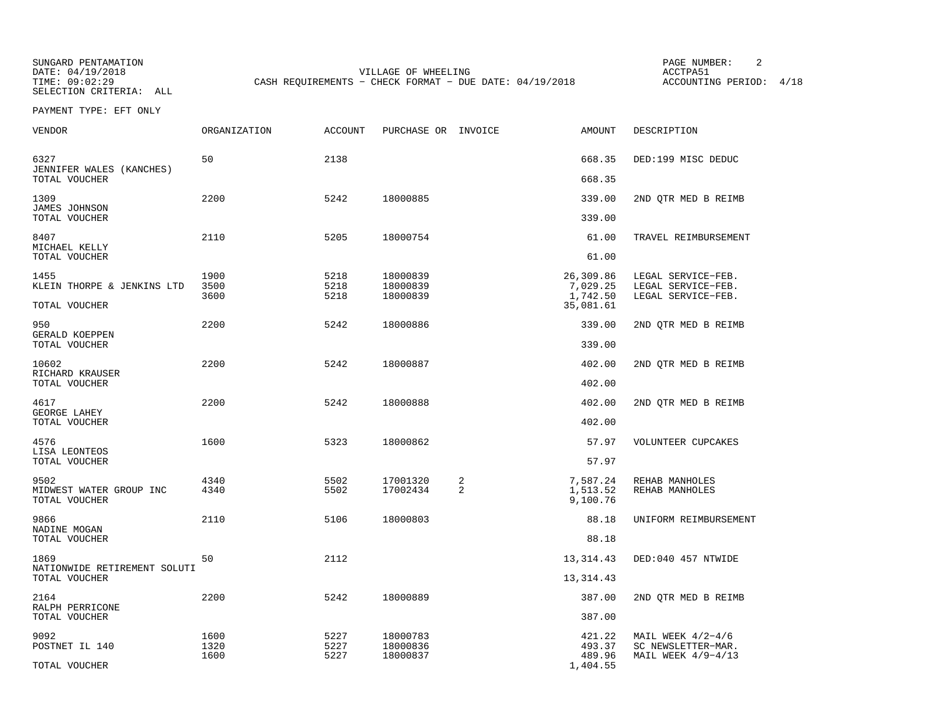SUNGARD PENTAMATION PAGE NUMBER: 2VILLAGE OF WHEELING **ACCTPA51** TIME: 09:02:29 CASH REQUIREMENTS - CHECK FORMAT - DUE DATE: 04/19/2018

ACCOUNTING PERIOD: 4/18

PAYMENT TYPE: EFT ONLY

| 50<br>2138<br>6327<br>JENNIFER WALES (KANCHES)<br>TOTAL VOUCHER<br>1309<br>2200<br>5242<br>18000885<br><b>JAMES JOHNSON</b><br>TOTAL VOUCHER | 668.35<br>668.35<br>339.00<br>339.00<br>61.00<br>61.00<br>26,309.86<br>7,029.25 | DED:199 MISC DEDUC<br>2ND QTR MED B REIMB<br>TRAVEL REIMBURSEMENT |
|----------------------------------------------------------------------------------------------------------------------------------------------|---------------------------------------------------------------------------------|-------------------------------------------------------------------|
|                                                                                                                                              |                                                                                 |                                                                   |
|                                                                                                                                              |                                                                                 |                                                                   |
|                                                                                                                                              |                                                                                 |                                                                   |
| 8407<br>2110<br>5205<br>18000754<br>MICHAEL KELLY                                                                                            |                                                                                 |                                                                   |
| TOTAL VOUCHER                                                                                                                                |                                                                                 |                                                                   |
| 1455<br>1900<br>5218<br>18000839<br>KLEIN THORPE & JENKINS LTD<br>3500<br>5218<br>18000839<br>3600<br>5218<br>18000839<br>TOTAL VOUCHER      | 1,742.50<br>35,081.61                                                           | LEGAL SERVICE-FEB.<br>LEGAL SERVICE-FEB.<br>LEGAL SERVICE-FEB.    |
|                                                                                                                                              |                                                                                 |                                                                   |
| 2200<br>950<br>5242<br>18000886<br>GERALD KOEPPEN<br>TOTAL VOUCHER                                                                           | 339.00<br>339.00                                                                | 2ND QTR MED B REIMB                                               |
| 2200<br>5242<br>10602<br>18000887<br>RICHARD KRAUSER                                                                                         | 402.00                                                                          | 2ND QTR MED B REIMB                                               |
| TOTAL VOUCHER                                                                                                                                | 402.00                                                                          |                                                                   |
| 2200<br>5242<br>4617<br>18000888<br>GEORGE LAHEY                                                                                             | 402.00                                                                          | 2ND OTR MED B REIMB                                               |
| TOTAL VOUCHER                                                                                                                                | 402.00                                                                          |                                                                   |
| 4576<br>1600<br>5323<br>18000862<br>LISA LEONTEOS                                                                                            | 57.97                                                                           | VOLUNTEER CUPCAKES                                                |
| TOTAL VOUCHER                                                                                                                                | 57.97                                                                           |                                                                   |
| 4340<br>2<br>9502<br>5502<br>17001320<br>$\overline{a}$<br>4340<br>MIDWEST WATER GROUP INC<br>5502<br>17002434<br>TOTAL VOUCHER              | 7,587.24<br>1,513.52<br>9,100.76                                                | REHAB MANHOLES<br>REHAB MANHOLES                                  |
| 2110<br>5106<br>18000803<br>9866                                                                                                             | 88.18                                                                           | UNIFORM REIMBURSEMENT                                             |
| NADINE MOGAN<br>TOTAL VOUCHER                                                                                                                | 88.18                                                                           |                                                                   |
| 50<br>2112<br>1869<br>NATIONWIDE RETIREMENT SOLUTI                                                                                           | 13, 314. 43                                                                     | DED:040 457 NTWIDE                                                |
| TOTAL VOUCHER                                                                                                                                | 13,314.43                                                                       |                                                                   |
| 2200<br>5242<br>2164<br>18000889<br>RALPH PERRICONE                                                                                          | 387.00                                                                          | 2ND OTR MED B REIMB                                               |
| TOTAL VOUCHER                                                                                                                                | 387.00                                                                          |                                                                   |
| 1600<br>5227<br>9092<br>18000783<br>1320<br>5227<br>POSTNET IL 140<br>18000836<br>5227<br>1600<br>18000837<br>TOTAL VOUCHER                  | 421.22<br>493.37<br>489.96<br>1,404.55                                          | MAIL WEEK $4/2-4/6$<br>SC NEWSLETTER-MAR.<br>MAIL WEEK $4/9-4/13$ |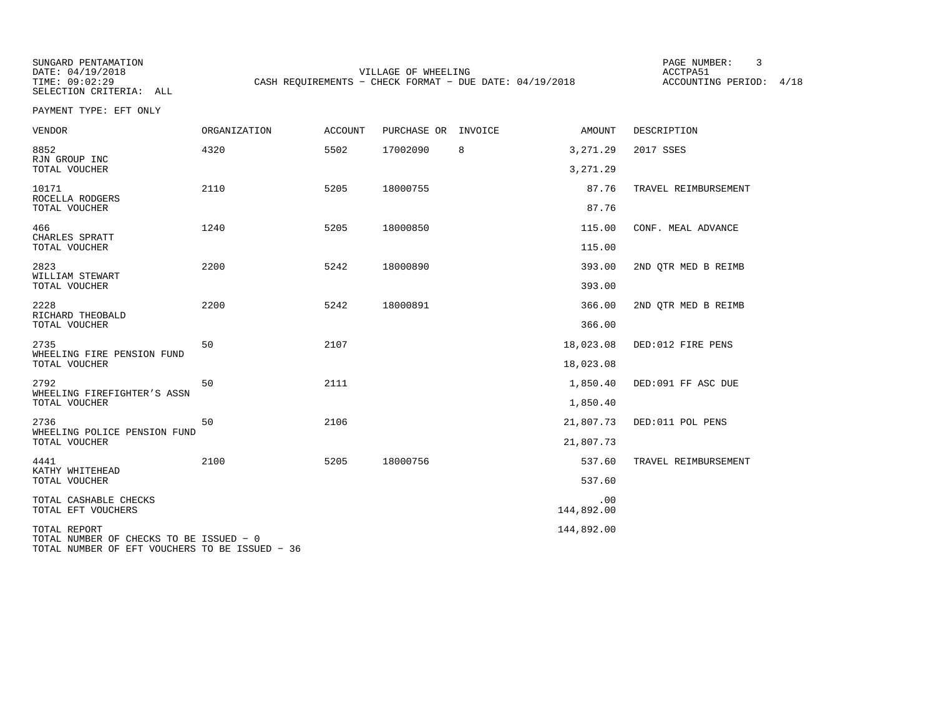SUNGARD PENTAMATION PAGE NUMBER: 3VILLAGE OF WHEELING **ACCTPA51** TIME: 09:02:29 CASH REQUIREMENTS - CHECK FORMAT - DUE DATE: 04/19/2018

ACCOUNTING PERIOD: 4/18

PAYMENT TYPE: EFT ONLY

| <b>VENDOR</b>                                                                                             | <b>ORGANIZATION</b> | <b>ACCOUNT</b> | PURCHASE OR | INVOICE | AMOUNT            | DESCRIPTION          |
|-----------------------------------------------------------------------------------------------------------|---------------------|----------------|-------------|---------|-------------------|----------------------|
| 8852<br>RJN GROUP INC                                                                                     | 4320                | 5502           | 17002090    | 8       | 3,271.29          | 2017 SSES            |
| TOTAL VOUCHER                                                                                             |                     |                |             |         | 3,271.29          |                      |
| 10171<br>ROCELLA RODGERS                                                                                  | 2110                | 5205           | 18000755    |         | 87.76             | TRAVEL REIMBURSEMENT |
| TOTAL VOUCHER                                                                                             |                     |                |             |         | 87.76             |                      |
| 466<br>CHARLES SPRATT                                                                                     | 1240                | 5205           | 18000850    |         | 115.00            | CONF. MEAL ADVANCE   |
| TOTAL VOUCHER                                                                                             |                     |                |             |         | 115.00            |                      |
| 2823<br>WILLIAM STEWART                                                                                   | 2200                | 5242           | 18000890    |         | 393.00            | 2ND OTR MED B REIMB  |
| TOTAL VOUCHER                                                                                             |                     |                |             |         | 393.00            |                      |
| 2228<br>RICHARD THEOBALD                                                                                  | 2200                | 5242           | 18000891    |         | 366.00            | 2ND QTR MED B REIMB  |
| TOTAL VOUCHER                                                                                             |                     |                |             |         | 366.00            |                      |
| 2735<br>WHEELING FIRE PENSION FUND                                                                        | 50                  | 2107           |             |         | 18,023.08         | DED:012 FIRE PENS    |
| TOTAL VOUCHER                                                                                             |                     |                |             |         | 18,023.08         |                      |
| 2792<br>WHEELING FIREFIGHTER'S ASSN                                                                       | 50                  | 2111           |             |         | 1,850.40          | DED:091 FF ASC DUE   |
| TOTAL VOUCHER                                                                                             |                     |                |             |         | 1,850.40          |                      |
| 2736<br>WHEELING POLICE PENSION FUND                                                                      | 50                  | 2106           |             |         | 21,807.73         | DED:011 POL PENS     |
| TOTAL VOUCHER                                                                                             |                     |                |             |         | 21,807.73         |                      |
| 4441<br>KATHY WHITEHEAD                                                                                   | 2100                | 5205           | 18000756    |         | 537.60            | TRAVEL REIMBURSEMENT |
| TOTAL VOUCHER                                                                                             |                     |                |             |         | 537.60            |                      |
| TOTAL CASHABLE CHECKS<br>TOTAL EFT VOUCHERS                                                               |                     |                |             |         | .00<br>144,892.00 |                      |
| TOTAL REPORT<br>TOTAL NUMBER OF CHECKS TO BE ISSUED - 0<br>TOTAL NUMBER OF EFT VOUCHERS TO BE ISSUED - 36 |                     |                |             |         | 144,892.00        |                      |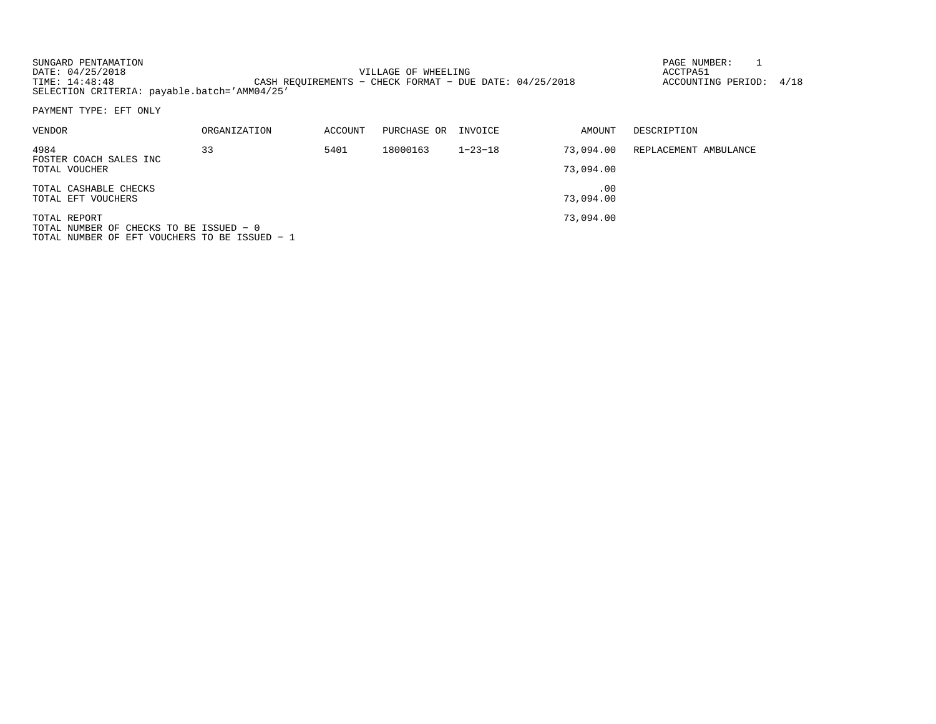| SUNGARD PENTAMATION |                                                           | PAGE NUMBER:            |  |
|---------------------|-----------------------------------------------------------|-------------------------|--|
| DATE: 04/25/2018    | VILLAGE OF WHEELING                                       | ACCTPA51                |  |
| TIME: 14:48:48      | CASH REOUIREMENTS - CHECK FORMAT - DUE DATE: $04/25/2018$ | ACCOUNTING PERIOD: 4/18 |  |
|                     | SELECTION CRITERIA: payable.batch='AMM04/25'              |                         |  |

PAYMENT TYPE: EFT ONLY

| <b>VENDOR</b>                           | ORGANIZATION | ACCOUNT | PURCHASE OR | INVOICE       | AMOUNT    | DESCRIPTION           |
|-----------------------------------------|--------------|---------|-------------|---------------|-----------|-----------------------|
| 4984                                    | 33           | 5401    | 18000163    | $1 - 23 - 18$ | 73,094.00 | REPLACEMENT AMBULANCE |
| FOSTER COACH SALES INC<br>TOTAL VOUCHER |              |         |             |               | 73,094.00 |                       |
| TOTAL CASHABLE CHECKS                   |              |         |             |               | .00       |                       |
| TOTAL EFT VOUCHERS                      |              |         |             |               | 73,094.00 |                       |
| TOTAL REPORT                            |              |         |             |               | 73,094.00 |                       |
| TOTAL NUMBER OF CHECKS TO BE ISSUED - 0 |              |         |             |               |           |                       |

TOTAL NUMBER OF CHECKS TO BE ISSUED − 0 TOTAL NUMBER OF EFT VOUCHERS TO BE ISSUED − 1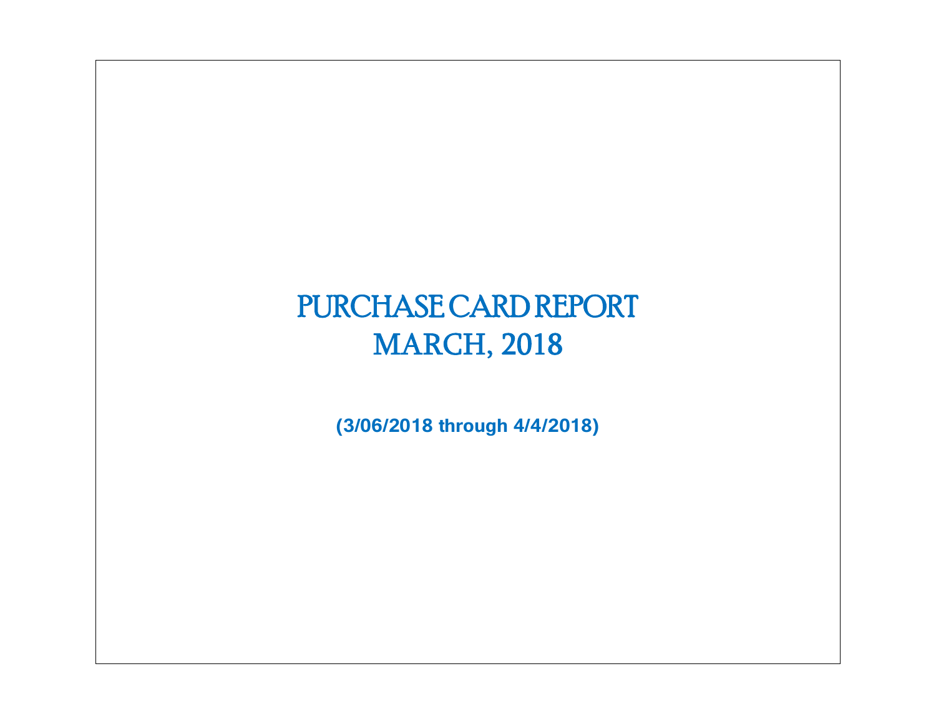# PURCHASE CARD REPORT MARCH, 2018

**(3/06/2018 through 4/4/2018)**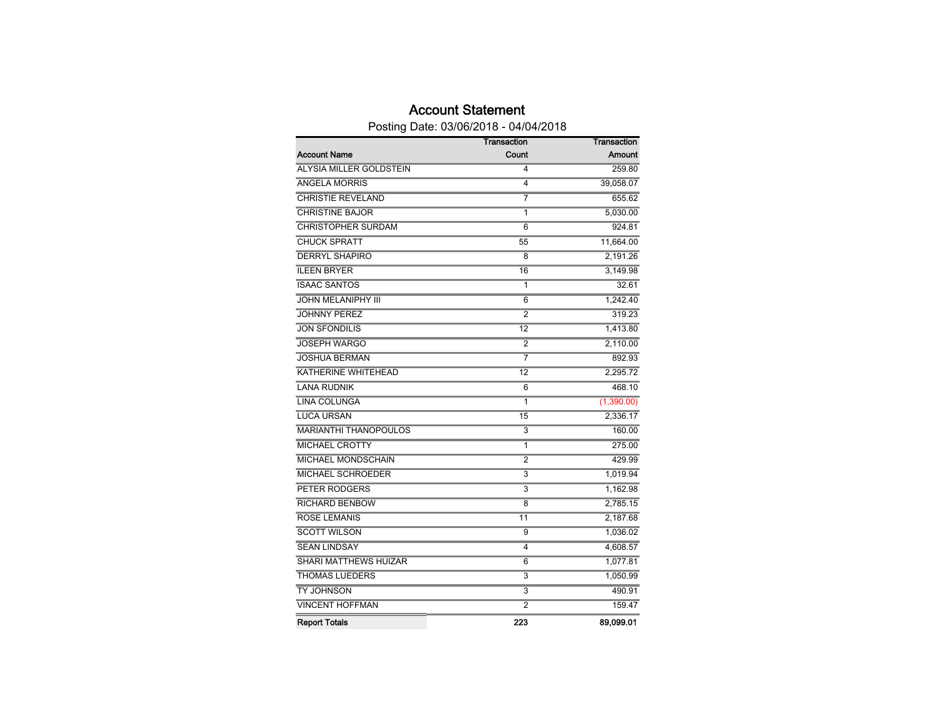## Account Statement

Posting Date: 03/06/2018 - 04/04/2018

|                              | Transaction               | Transaction   |
|------------------------------|---------------------------|---------------|
| <b>Account Name</b>          | Count                     | <b>Amount</b> |
| ALYSIA MILLER GOLDSTEIN      | 4                         | 259.80        |
| <b>ANGELA MORRIS</b>         | 4                         | 39,058.07     |
| <b>CHRISTIE REVELAND</b>     | 7                         | 655.62        |
| <b>CHRISTINE BAJOR</b>       | 1                         | 5,030.00      |
| <b>CHRISTOPHER SURDAM</b>    | 6                         | 924.81        |
| <b>CHUCK SPRATT</b>          | 55                        | 11,664.00     |
| <b>DERRYL SHAPIRO</b>        | 8                         | 2,191.26      |
| <b>ILEEN BRYER</b>           | 16                        | 3.149.98      |
| <b>ISAAC SANTOS</b>          | 1                         | 32.61         |
| <b>JOHN MELANIPHY III</b>    | 6                         | 1,242.40      |
| <b>JOHNNY PEREZ</b>          | 2                         | 319.23        |
| <b>JON SFONDILIS</b>         | $\overline{12}$           | 1,413.80      |
| <b>JOSEPH WARGO</b>          | $\overline{2}$            | 2,110.00      |
| <b>JOSHUA BERMAN</b>         | 7                         | 892.93        |
| KATHERINE WHITEHEAD          | 12                        | 2,295.72      |
| <b>LANA RUDNIK</b>           | 6                         | 468.10        |
| <b>LINA COLUNGA</b>          | 1                         | (1,390.00)    |
| <b>LUCA URSAN</b>            | 15                        | 2,336.17      |
| <b>MARIANTHI THANOPOULOS</b> | 3                         | 160.00        |
| <b>MICHAEL CROTTY</b>        | 1                         | 275.00        |
| <b>MICHAEL MONDSCHAIN</b>    | $\overline{2}$            | 429.99        |
| <b>MICHAEL SCHROEDER</b>     | $\overline{\overline{3}}$ | 1,019.94      |
| <b>PETER RODGERS</b>         | 3                         | 1,162.98      |
| <b>RICHARD BENBOW</b>        | 8                         | 2,785.15      |
| <b>ROSE LEMANIS</b>          | 11                        | 2,187.68      |
| <b>SCOTT WILSON</b>          | $\overline{9}$            | 1,036.02      |
| <b>SEAN LINDSAY</b>          | 4                         | 4,608.57      |
| SHARI MATTHEWS HUIZAR        | 6                         | 1,077.81      |
| <b>THOMAS LUEDERS</b>        | 3                         | 1,050.99      |
| <b>TY JOHNSON</b>            | 3                         | 490.91        |
| <b>VINCENT HOFFMAN</b>       | $\overline{2}$            | 159.47        |
| <b>Report Totals</b>         | 223                       | 89,099.01     |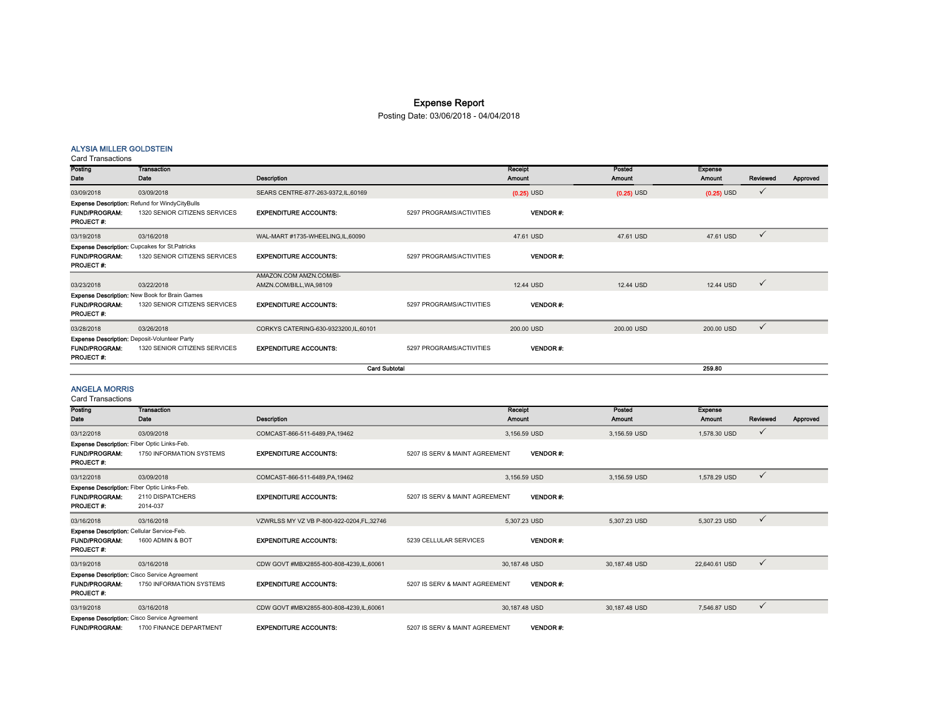## Expense Report

Posting Date: 03/06/2018 - 04/04/2018

#### ALYSIA MILLER GOLDSTEIN

Card Transactions

| Posting                                  | <b>Transaction</b>                                   |                                        |                          | Receipt         | Posted       | <b>Expense</b> |              |          |
|------------------------------------------|------------------------------------------------------|----------------------------------------|--------------------------|-----------------|--------------|----------------|--------------|----------|
| Date                                     | Date                                                 | Description                            |                          | <b>Amount</b>   | Amount       | Amount         | Reviewed     | Approved |
| 03/09/2018                               | 03/09/2018                                           | SEARS CENTRE-877-263-9372, IL, 60169   |                          | $(0.25)$ USD    | $(0.25)$ USD | $(0.25)$ USD   | $\checkmark$ |          |
|                                          | Expense Description: Refund for WindyCityBulls       |                                        |                          |                 |              |                |              |          |
| <b>FUND/PROGRAM:</b><br><b>PROJECT#:</b> | 1320 SENIOR CITIZENS SERVICES                        | <b>EXPENDITURE ACCOUNTS:</b>           | 5297 PROGRAMS/ACTIVITIES | <b>VENDOR#</b>  |              |                |              |          |
| 03/19/2018                               | 03/16/2018                                           | WAL-MART #1735-WHEELING,IL,60090       |                          | 47.61 USD       | 47.61 USD    | 47.61 USD      | $\checkmark$ |          |
|                                          | <b>Expense Description:</b> Cupcakes for St.Patricks |                                        |                          |                 |              |                |              |          |
| <b>FUND/PROGRAM:</b>                     | 1320 SENIOR CITIZENS SERVICES                        | <b>EXPENDITURE ACCOUNTS:</b>           | 5297 PROGRAMS/ACTIVITIES | <b>VENDOR#:</b> |              |                |              |          |
| <b>PROJECT#:</b>                         |                                                      |                                        |                          |                 |              |                |              |          |
|                                          |                                                      | AMAZON.COM AMZN.COM/BI-                |                          |                 |              |                |              |          |
| 03/23/2018                               | 03/22/2018                                           | AMZN.COM/BILL, WA, 98109               |                          | 12.44 USD       | 12.44 USD    | 12.44 USD      | $\checkmark$ |          |
|                                          | Expense Description: New Book for Brain Games        |                                        |                          |                 |              |                |              |          |
| <b>FUND/PROGRAM:</b><br><b>PROJECT#:</b> | 1320 SENIOR CITIZENS SERVICES                        | <b>EXPENDITURE ACCOUNTS:</b>           | 5297 PROGRAMS/ACTIVITIES | <b>VENDOR#:</b> |              |                |              |          |
| 03/28/2018                               | 03/26/2018                                           | CORKYS CATERING-630-9323200, IL, 60101 |                          | 200.00 USD      | 200.00 USD   | 200.00 USD     | $\checkmark$ |          |
|                                          | Expense Description: Deposit-Volunteer Party         |                                        |                          |                 |              |                |              |          |
| <b>FUND/PROGRAM:</b><br><b>PROJECT#:</b> | 1320 SENIOR CITIZENS SERVICES                        | <b>EXPENDITURE ACCOUNTS:</b>           | 5297 PROGRAMS/ACTIVITIES | <b>VENDOR#</b>  |              |                |              |          |
|                                          |                                                      |                                        | 259.80                   |                 |              |                |              |          |

#### ANGELA MORRIS

| Posting                                                                                 | <b>Transaction</b>                                                              |                                          |                                | Receipt       |                  | Posted        | <b>Expense</b> |              |          |
|-----------------------------------------------------------------------------------------|---------------------------------------------------------------------------------|------------------------------------------|--------------------------------|---------------|------------------|---------------|----------------|--------------|----------|
| Date                                                                                    | Date                                                                            | Description                              |                                | Amount        |                  | Amount        | <b>Amount</b>  | Reviewed     | Approved |
| 03/12/2018                                                                              | 03/09/2018                                                                      | COMCAST-866-511-6489, PA, 19462          |                                | 3,156.59 USD  |                  | 3,156.59 USD  | 1,578.30 USD   | $\checkmark$ |          |
| Expense Description: Fiber Optic Links-Feb.<br><b>FUND/PROGRAM:</b><br><b>PROJECT#:</b> | 1750 INFORMATION SYSTEMS                                                        | <b>EXPENDITURE ACCOUNTS:</b>             | 5207 IS SERV & MAINT AGREEMENT |               | <b>VENDOR#</b>   |               |                |              |          |
| 03/12/2018                                                                              | 03/09/2018                                                                      | COMCAST-866-511-6489.PA.19462            |                                | 3.156.59 USD  |                  | 3.156.59 USD  | 1,578.29 USD   | $\checkmark$ |          |
| Expense Description: Fiber Optic Links-Feb.<br><b>FUND/PROGRAM:</b><br><b>PROJECT#:</b> | 2110 DISPATCHERS<br>2014-037                                                    | <b>EXPENDITURE ACCOUNTS:</b>             | 5207 IS SERV & MAINT AGREEMENT |               | <b>VENDOR #:</b> |               |                |              |          |
| 03/16/2018                                                                              | 03/16/2018                                                                      | VZWRLSS MY VZ VB P-800-922-0204.FL.32746 |                                | 5,307.23 USD  |                  | 5,307.23 USD  | 5,307.23 USD   | $\checkmark$ |          |
| Expense Description: Cellular Service-Feb.<br><b>FUND/PROGRAM:</b><br><b>PROJECT#:</b>  | 1600 ADMIN & BOT                                                                | <b>EXPENDITURE ACCOUNTS:</b>             | 5239 CELLULAR SERVICES         |               | <b>VENDOR#:</b>  |               |                |              |          |
| 03/19/2018                                                                              | 03/16/2018                                                                      | CDW GOVT #MBX2855-800-808-4239,IL,60061  |                                | 30,187.48 USD |                  | 30,187.48 USD | 22,640.61 USD  | $\checkmark$ |          |
| <b>FUND/PROGRAM:</b><br><b>PROJECT#:</b>                                                | <b>Expense Description: Cisco Service Agreement</b><br>1750 INFORMATION SYSTEMS | <b>EXPENDITURE ACCOUNTS:</b>             | 5207 IS SERV & MAINT AGREEMENT |               | <b>VENDOR#:</b>  |               |                |              |          |
| 03/19/2018                                                                              | 03/16/2018                                                                      | CDW GOVT #MBX2855-800-808-4239,IL,60061  |                                | 30,187.48 USD |                  | 30,187.48 USD | 7,546.87 USD   | $\checkmark$ |          |
| <b>FUND/PROGRAM:</b>                                                                    | <b>Expense Description:</b> Cisco Service Agreement<br>1700 FINANCE DEPARTMENT  | <b>EXPENDITURE ACCOUNTS:</b>             | 5207 IS SERV & MAINT AGREEMENT |               | <b>VENDOR#:</b>  |               |                |              |          |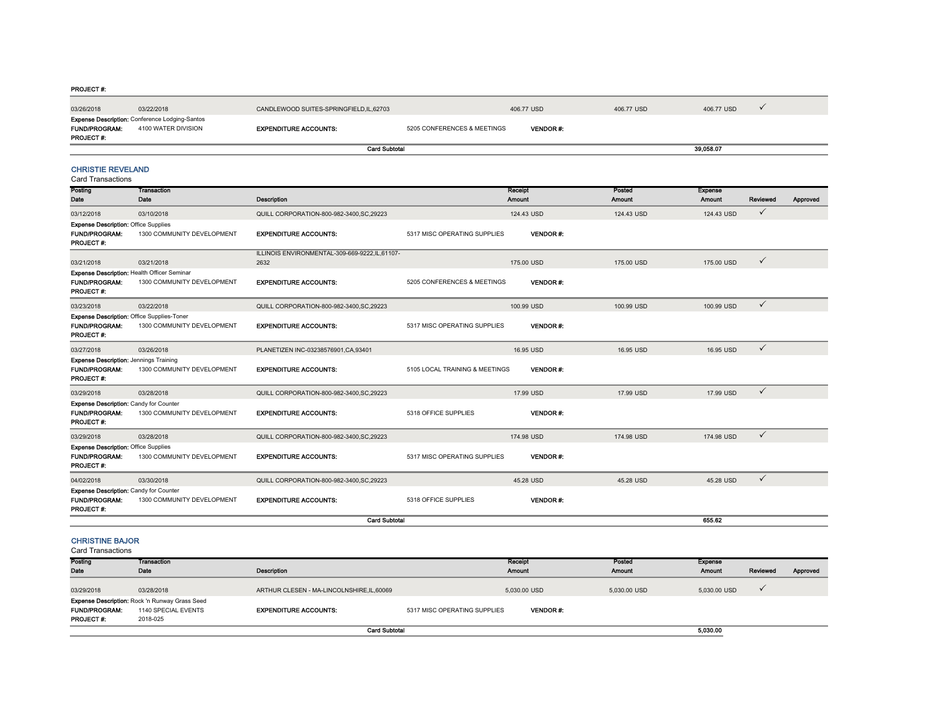#### PROJECT #:

| 03/26/2018                                                                                | 03/22/2018                                                                   | CANDLEWOOD SUITES-SPRINGFIELD,IL,62703                |                                | 406,77 USD        | 406,77 USD              | 406,77 USD               | $\checkmark$ |          |
|-------------------------------------------------------------------------------------------|------------------------------------------------------------------------------|-------------------------------------------------------|--------------------------------|-------------------|-------------------------|--------------------------|--------------|----------|
| <b>FUND/PROGRAM:</b><br><b>PROJECT#:</b>                                                  | <b>Expense Description: Conference Lodging-Santos</b><br>4100 WATER DIVISION | <b>EXPENDITURE ACCOUNTS:</b>                          | 5205 CONFERENCES & MEETINGS    | <b>VENDOR#:</b>   |                         |                          |              |          |
|                                                                                           |                                                                              | <b>Card Subtotal</b>                                  |                                |                   |                         | 39,058.07                |              |          |
| <b>CHRISTIE REVELAND</b><br><b>Card Transactions</b>                                      |                                                                              |                                                       |                                |                   |                         |                          |              |          |
| Posting<br>Date                                                                           | <b>Transaction</b><br>Date                                                   | <b>Description</b>                                    |                                | Receipt<br>Amount | Posted<br><b>Amount</b> | <b>Expense</b><br>Amount | Reviewed     | Approved |
| 03/12/2018                                                                                | 03/10/2018                                                                   | QUILL CORPORATION-800-982-3400, SC, 29223             |                                | 124.43 USD        | 124.43 USD              | 124.43 USD               | $\checkmark$ |          |
| <b>Expense Description: Office Supplies</b><br><b>FUND/PROGRAM:</b><br><b>PROJECT#:</b>   | 1300 COMMUNITY DEVELOPMENT                                                   | <b>EXPENDITURE ACCOUNTS:</b>                          | 5317 MISC OPERATING SUPPLIES   | <b>VENDOR#:</b>   |                         |                          |              |          |
| 03/21/2018                                                                                | 03/21/2018                                                                   | ILLINOIS ENVIRONMENTAL-309-669-9222,IL,61107-<br>2632 |                                | 175.00 USD        | 175.00 USD              | 175.00 USD               | $\checkmark$ |          |
| Expense Description: Health Officer Seminar<br><b>FUND/PROGRAM:</b><br><b>PROJECT#:</b>   | 1300 COMMUNITY DEVELOPMENT                                                   | <b>EXPENDITURE ACCOUNTS:</b>                          | 5205 CONFERENCES & MEETINGS    | <b>VENDOR#:</b>   |                         |                          |              |          |
| 03/23/2018                                                                                | 03/22/2018                                                                   | QUILL CORPORATION-800-982-3400, SC, 29223             |                                | 100.99 USD        | 100.99 USD              | 100.99 USD               | $\checkmark$ |          |
| Expense Description: Office Supplies-Toner<br><b>FUND/PROGRAM:</b><br>PROJECT #:          | 1300 COMMUNITY DEVELOPMENT                                                   | <b>EXPENDITURE ACCOUNTS:</b>                          | 5317 MISC OPERATING SUPPLIES   | <b>VENDOR#:</b>   |                         |                          |              |          |
| 03/27/2018                                                                                | 03/26/2018                                                                   | PLANETIZEN INC-03238576901, CA, 93401                 |                                | 16.95 USD         | 16.95 USD               | 16.95 USD                | $\checkmark$ |          |
| <b>Expense Description: Jennings Training</b><br><b>FUND/PROGRAM:</b><br><b>PROJECT#:</b> | 1300 COMMUNITY DEVELOPMENT                                                   | <b>EXPENDITURE ACCOUNTS:</b>                          | 5105 LOCAL TRAINING & MEETINGS | <b>VENDOR#:</b>   |                         |                          |              |          |
| 03/29/2018                                                                                | 03/28/2018                                                                   | QUILL CORPORATION-800-982-3400, SC, 29223             |                                | 17.99 USD         | 17.99 USD               | 17.99 USD                | $\checkmark$ |          |
| <b>Expense Description: Candy for Counter</b><br><b>FUND/PROGRAM:</b><br><b>PROJECT#:</b> | 1300 COMMUNITY DEVELOPMENT                                                   | <b>EXPENDITURE ACCOUNTS:</b>                          | 5318 OFFICE SUPPLIES           | <b>VENDOR#:</b>   |                         |                          |              |          |
| 03/29/2018                                                                                | 03/28/2018                                                                   | QUILL CORPORATION-800-982-3400, SC, 29223             |                                | 174.98 USD        | 174.98 USD              | 174.98 USD               | $\checkmark$ |          |
| <b>Expense Description: Office Supplies</b><br><b>FUND/PROGRAM:</b><br><b>PROJECT#:</b>   | 1300 COMMUNITY DEVELOPMENT                                                   | <b>EXPENDITURE ACCOUNTS:</b>                          | 5317 MISC OPERATING SUPPLIES   | <b>VENDOR#:</b>   |                         |                          |              |          |
| 04/02/2018                                                                                | 03/30/2018                                                                   | QUILL CORPORATION-800-982-3400.SC.29223               |                                | 45.28 USD         | 45.28 USD               | 45.28 USD                | $\checkmark$ |          |
| <b>Expense Description: Candy for Counter</b><br><b>FUND/PROGRAM:</b><br>PROJECT #:       | 1300 COMMUNITY DEVELOPMENT                                                   | <b>EXPENDITURE ACCOUNTS:</b>                          | 5318 OFFICE SUPPLIES           | <b>VENDOR#:</b>   |                         |                          |              |          |
|                                                                                           |                                                                              | <b>Card Subtotal</b>                                  |                                |                   |                         | 655.62                   |              |          |
| <b>CHRISTINE BAJOR</b>                                                                    |                                                                              |                                                       |                                |                   |                         |                          |              |          |

| Posting                                  | <b>Transaction</b>                                                                       |                                            |                              | Receipt         | Posted       | <b>Expense</b> |          |          |
|------------------------------------------|------------------------------------------------------------------------------------------|--------------------------------------------|------------------------------|-----------------|--------------|----------------|----------|----------|
| Date                                     | Date                                                                                     | <b>Description</b>                         |                              | Amount          | Amount       | <b>Amount</b>  | Reviewed | Approved |
| 03/29/2018                               | 03/28/2018                                                                               | ARTHUR CLESEN - MA-LINCOLNSHIRE, IL, 60069 |                              | 5,030.00 USD    | 5,030.00 USD | 5,030.00 USD   |          |          |
| <b>FUND/PROGRAM:</b><br><b>PROJECT#:</b> | <b>Expense Description: Rock 'n Runway Grass Seed</b><br>1140 SPECIAL EVENTS<br>2018-025 | <b>EXPENDITURE ACCOUNTS:</b>               | 5317 MISC OPERATING SUPPLIES | <b>VENDOR#:</b> |              |                |          |          |
|                                          |                                                                                          | <b>Card Subtotal</b>                       |                              |                 |              | 5,030.00       |          |          |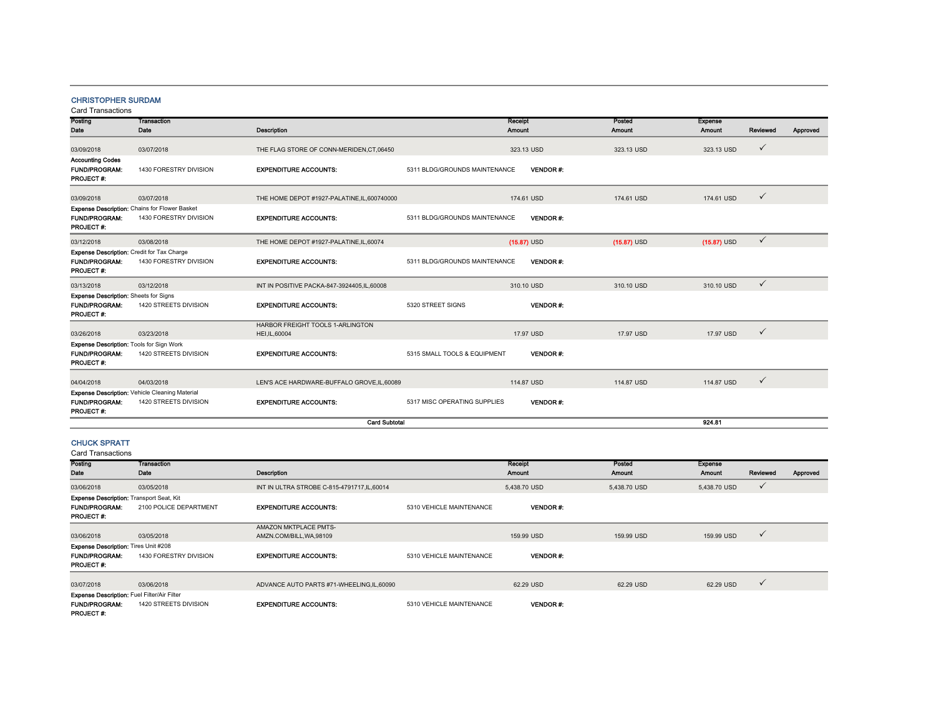## CHRISTOPHER SURDAM

| Posting                                      | <b>Transaction</b>                                    |                                             |                               | Receipt         | Posted        | <b>Expense</b> |              |          |
|----------------------------------------------|-------------------------------------------------------|---------------------------------------------|-------------------------------|-----------------|---------------|----------------|--------------|----------|
| Date                                         | Date                                                  | <b>Description</b>                          |                               | Amount          | Amount        | Amount         | Reviewed     | Approved |
| 03/09/2018                                   | 03/07/2018                                            | THE FLAG STORE OF CONN-MERIDEN, CT, 06450   |                               | 323.13 USD      | 323.13 USD    | 323.13 USD     | $\checkmark$ |          |
|                                              |                                                       |                                             |                               |                 |               |                |              |          |
| <b>Accounting Codes</b>                      |                                                       |                                             |                               |                 |               |                |              |          |
| <b>FUND/PROGRAM:</b><br>PROJECT#:            | 1430 FORESTRY DIVISION                                | <b>EXPENDITURE ACCOUNTS:</b>                | 5311 BLDG/GROUNDS MAINTENANCE | <b>VENDOR#:</b> |               |                |              |          |
| 03/09/2018                                   | 03/07/2018                                            | THE HOME DEPOT #1927-PALATINE,IL,600740000  |                               | 174.61 USD      | 174.61 USD    | 174.61 USD     | $\checkmark$ |          |
|                                              | Expense Description: Chains for Flower Basket         |                                             |                               |                 |               |                |              |          |
| <b>FUND/PROGRAM:</b><br>PROJECT #:           | 1430 FORESTRY DIVISION                                | <b>EXPENDITURE ACCOUNTS:</b>                | 5311 BLDG/GROUNDS MAINTENANCE | <b>VENDOR#:</b> |               |                |              |          |
| 03/12/2018                                   | 03/08/2018                                            | THE HOME DEPOT #1927-PALATINE,IL,60074      |                               | $(15.87)$ USD   | $(15.87)$ USD | $(15.87)$ USD  | $\checkmark$ |          |
| Expense Description: Credit for Tax Charge   |                                                       |                                             |                               |                 |               |                |              |          |
| <b>FUND/PROGRAM:</b><br>PROJECT #:           | 1430 FORESTRY DIVISION                                | <b>EXPENDITURE ACCOUNTS:</b>                | 5311 BLDG/GROUNDS MAINTENANCE | <b>VENDOR#:</b> |               |                |              |          |
| 03/13/2018                                   | 03/12/2018                                            | INT IN POSITIVE PACKA-847-3924405,IL,60008  |                               | 310.10 USD      | 310.10 USD    | 310.10 USD     | $\checkmark$ |          |
| <b>Expense Description:</b> Sheets for Signs |                                                       |                                             |                               |                 |               |                |              |          |
| <b>FUND/PROGRAM:</b>                         | 1420 STREETS DIVISION                                 | <b>EXPENDITURE ACCOUNTS:</b>                | 5320 STREET SIGNS             | <b>VENDOR#:</b> |               |                |              |          |
| PROJECT #:                                   |                                                       |                                             |                               |                 |               |                |              |          |
|                                              |                                                       | <b>HARBOR FREIGHT TOOLS 1-ARLINGTON</b>     |                               |                 |               |                |              |          |
| 03/26/2018                                   | 03/23/2018                                            | HEI, IL, 60004                              |                               | 17.97 USD       | 17.97 USD     | 17.97 USD      | $\checkmark$ |          |
| Expense Description: Tools for Sign Work     |                                                       |                                             |                               |                 |               |                |              |          |
| <b>FUND/PROGRAM:</b><br>PROJECT #:           | 1420 STREETS DIVISION                                 | <b>EXPENDITURE ACCOUNTS:</b>                | 5315 SMALL TOOLS & EQUIPMENT  | <b>VENDOR#:</b> |               |                |              |          |
|                                              |                                                       |                                             |                               |                 |               |                |              |          |
| 04/04/2018                                   | 04/03/2018                                            | LEN'S ACE HARDWARE-BUFFALO GROVE, IL, 60089 |                               | 114,87 USD      | 114.87 USD    | 114,87 USD     | $\checkmark$ |          |
|                                              | <b>Expense Description: Vehicle Cleaning Material</b> |                                             |                               |                 |               |                |              |          |
| <b>FUND/PROGRAM:</b><br><b>PROJECT#:</b>     | 1420 STREETS DIVISION                                 | <b>EXPENDITURE ACCOUNTS:</b>                | 5317 MISC OPERATING SUPPLIES  | <b>VENDOR#:</b> |               |                |              |          |
|                                              |                                                       | <b>Card Subtotal</b>                        |                               |                 |               | 924.81         |              |          |
|                                              |                                                       |                                             |                               |                 |               |                |              |          |

## CHUCK SPRATT

| Posting                                            | <b>Transaction</b>     |                                            |                          | Receipt         | Posted        | <b>Expense</b> |              |          |
|----------------------------------------------------|------------------------|--------------------------------------------|--------------------------|-----------------|---------------|----------------|--------------|----------|
| Date                                               | Date                   | <b>Description</b>                         |                          | <b>Amount</b>   | <b>Amount</b> | <b>Amount</b>  | Reviewed     | Approved |
| 03/06/2018                                         | 03/05/2018             | INT IN ULTRA STROBE C-815-4791717.IL.60014 |                          | 5.438.70 USD    | 5.438.70 USD  | 5,438.70 USD   | $\checkmark$ |          |
| Expense Description: Transport Seat, Kit           |                        |                                            |                          |                 |               |                |              |          |
| <b>FUND/PROGRAM:</b>                               | 2100 POLICE DEPARTMENT | <b>EXPENDITURE ACCOUNTS:</b>               | 5310 VEHICLE MAINTENANCE | <b>VENDOR#:</b> |               |                |              |          |
| <b>PROJECT#:</b>                                   |                        |                                            |                          |                 |               |                |              |          |
|                                                    |                        | AMAZON MKTPLACE PMTS-                      |                          |                 |               |                |              |          |
| 03/06/2018                                         | 03/05/2018             | AMZN.COM/BILL, WA, 98109                   |                          | 159.99 USD      | 159.99 USD    | 159.99 USD     | $\checkmark$ |          |
| <b>Expense Description: Tires Unit #208</b>        |                        |                                            |                          |                 |               |                |              |          |
| <b>FUND/PROGRAM:</b>                               | 1430 FORESTRY DIVISION | <b>EXPENDITURE ACCOUNTS:</b>               | 5310 VEHICLE MAINTENANCE | <b>VENDOR#:</b> |               |                |              |          |
| <b>PROJECT#:</b>                                   |                        |                                            |                          |                 |               |                |              |          |
|                                                    |                        |                                            |                          |                 |               |                |              |          |
| 03/07/2018                                         | 03/06/2018             | ADVANCE AUTO PARTS #71-WHEELING.IL.60090   |                          | 62.29 USD       | 62.29 USD     | 62.29 USD      | $\checkmark$ |          |
| <b>Expense Description: Fuel Filter/Air Filter</b> |                        |                                            |                          |                 |               |                |              |          |
| <b>FUND/PROGRAM:</b>                               | 1420 STREETS DIVISION  | <b>EXPENDITURE ACCOUNTS:</b>               | 5310 VEHICLE MAINTENANCE | <b>VENDOR#:</b> |               |                |              |          |
| <b>PROJECT#:</b>                                   |                        |                                            |                          |                 |               |                |              |          |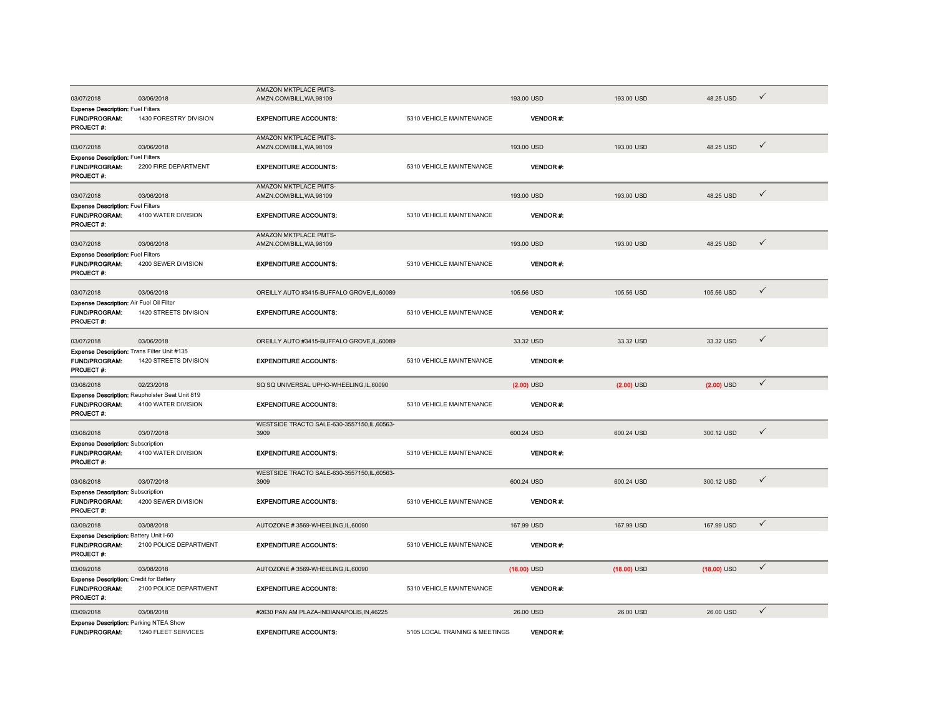|                                                                                    |                                                                       | AMAZON MKTPLACE PMTS-                                    |                                |                 |               |               |              |
|------------------------------------------------------------------------------------|-----------------------------------------------------------------------|----------------------------------------------------------|--------------------------------|-----------------|---------------|---------------|--------------|
| 03/07/2018                                                                         | 03/06/2018                                                            | AMZN.COM/BILL, WA, 98109                                 |                                | 193.00 USD      | 193.00 USD    | 48.25 USD     | $\checkmark$ |
| <b>Expense Description: Fuel Filters</b><br>FUND/PROGRAM:<br><b>PROJECT #:</b>     | 1430 FORESTRY DIVISION                                                | <b>EXPENDITURE ACCOUNTS:</b>                             | 5310 VEHICLE MAINTENANCE       | <b>VENDOR#:</b> |               |               |              |
| 03/07/2018                                                                         | 03/06/2018                                                            | <b>AMAZON MKTPLACE PMTS-</b><br>AMZN.COM/BILL, WA, 98109 |                                | 193.00 USD      | 193.00 USD    | 48.25 USD     | $\checkmark$ |
| <b>Expense Description: Fuel Filters</b><br>FUND/PROGRAM:<br>PROJECT #:            | 2200 FIRE DEPARTMENT                                                  | <b>EXPENDITURE ACCOUNTS:</b>                             | 5310 VEHICLE MAINTENANCE       | <b>VENDOR#:</b> |               |               |              |
| 03/07/2018                                                                         | 03/06/2018                                                            | <b>AMAZON MKTPLACE PMTS-</b><br>AMZN.COM/BILL, WA, 98109 |                                | 193.00 USD      | 193,00 USD    | 48.25 USD     | $\checkmark$ |
| <b>Expense Description: Fuel Filters</b><br><b>FUND/PROGRAM:</b><br>PROJECT #:     | 4100 WATER DIVISION                                                   | <b>EXPENDITURE ACCOUNTS:</b>                             | 5310 VEHICLE MAINTENANCE       | <b>VENDOR#:</b> |               |               |              |
| 03/07/2018                                                                         | 03/06/2018                                                            | AMAZON MKTPLACE PMTS-<br>AMZN.COM/BILL, WA, 98109        |                                | 193.00 USD      | 193.00 USD    | 48.25 USD     | $\checkmark$ |
| <b>Expense Description: Fuel Filters</b><br>FUND/PROGRAM:<br>PROJECT #:            | 4200 SEWER DIVISION                                                   | <b>EXPENDITURE ACCOUNTS:</b>                             | 5310 VEHICLE MAINTENANCE       | <b>VENDOR#:</b> |               |               |              |
| 03/07/2018                                                                         | 03/06/2018                                                            | OREILLY AUTO #3415-BUFFALO GROVE,IL,60089                |                                | 105.56 USD      | 105.56 USD    | 105.56 USD    | $\checkmark$ |
| Expense Description: Air Fuel Oil Filter<br>FUND/PROGRAM:<br>PROJECT#:             | 1420 STREETS DIVISION                                                 | <b>EXPENDITURE ACCOUNTS:</b>                             | 5310 VEHICLE MAINTENANCE       | <b>VENDOR#:</b> |               |               |              |
| 03/07/2018                                                                         | 03/06/2018                                                            | OREILLY AUTO #3415-BUFFALO GROVE,IL,60089                |                                | 33.32 USD       | 33.32 USD     | 33.32 USD     | $\checkmark$ |
| Expense Description: Trans Filter Unit #135<br><b>FUND/PROGRAM:</b><br>PROJECT#:   | 1420 STREETS DIVISION                                                 | <b>EXPENDITURE ACCOUNTS:</b>                             | 5310 VEHICLE MAINTENANCE       | <b>VENDOR#:</b> |               |               |              |
| 03/08/2018                                                                         | 02/23/2018                                                            | SQ SQ UNIVERSAL UPHO-WHEELING,IL,60090                   |                                | $(2.00)$ USD    | $(2.00)$ USD  | $(2.00)$ USD  | $\checkmark$ |
| <b>FUND/PROGRAM:</b><br>PROJECT #:                                                 | Expense Description: Reupholster Seat Unit 819<br>4100 WATER DIVISION | <b>EXPENDITURE ACCOUNTS:</b>                             | 5310 VEHICLE MAINTENANCE       | <b>VENDOR#:</b> |               |               |              |
| 03/08/2018                                                                         | 03/07/2018                                                            | WESTSIDE TRACTO SALE-630-3557150,IL,60563-<br>3909       |                                | 600.24 USD      | 600.24 USD    | 300.12 USD    | $\checkmark$ |
| <b>Expense Description: Subscription</b><br><b>FUND/PROGRAM:</b><br>PROJECT #:     | 4100 WATER DIVISION                                                   | <b>EXPENDITURE ACCOUNTS:</b>                             | 5310 VEHICLE MAINTENANCE       | <b>VENDOR#:</b> |               |               |              |
| 03/08/2018                                                                         | 03/07/2018                                                            | WESTSIDE TRACTO SALE-630-3557150,IL,60563-<br>3909       |                                | 600.24 USD      | 600.24 USD    | 300.12 USD    | $\checkmark$ |
| <b>Expense Description: Subscription</b><br><b>FUND/PROGRAM:</b><br>PROJECT#:      | 4200 SEWER DIVISION                                                   | <b>EXPENDITURE ACCOUNTS:</b>                             | 5310 VEHICLE MAINTENANCE       | <b>VENDOR#:</b> |               |               |              |
| 03/09/2018                                                                         | 03/08/2018                                                            | AUTOZONE #3569-WHEELING.IL.60090                         |                                | 167,99 USD      | 167,99 USD    | 167,99 USD    | $\checkmark$ |
| Expense Description: Battery Unit I-60<br><b>FUND/PROGRAM:</b><br><b>PROJECT#:</b> | 2100 POLICE DEPARTMENT                                                | <b>EXPENDITURE ACCOUNTS:</b>                             | 5310 VEHICLE MAINTENANCE       | <b>VENDOR#:</b> |               |               |              |
| 03/09/2018                                                                         | 03/08/2018                                                            | AUTOZONE #3569-WHEELING,IL,60090                         |                                | $(18.00)$ USD   | $(18.00)$ USD | $(18.00)$ USD | $\checkmark$ |
| <b>Expense Description: Credit for Battery</b><br>FUND/PROGRAM:<br>PROJECT#:       | 2100 POLICE DEPARTMENT                                                | <b>EXPENDITURE ACCOUNTS:</b>                             | 5310 VEHICLE MAINTENANCE       | <b>VENDOR#:</b> |               |               |              |
| 03/09/2018                                                                         | 03/08/2018                                                            | #2630 PAN AM PLAZA-INDIANAPOLIS, IN, 46225               |                                | 26.00 USD       | 26.00 USD     | 26.00 USD     | $\checkmark$ |
| <b>Expense Description: Parking NTEA Show</b><br><b>FUND/PROGRAM:</b>              | 1240 FLEET SERVICES                                                   | <b>EXPENDITURE ACCOUNTS:</b>                             | 5105 LOCAL TRAINING & MEETINGS | <b>VENDOR#:</b> |               |               |              |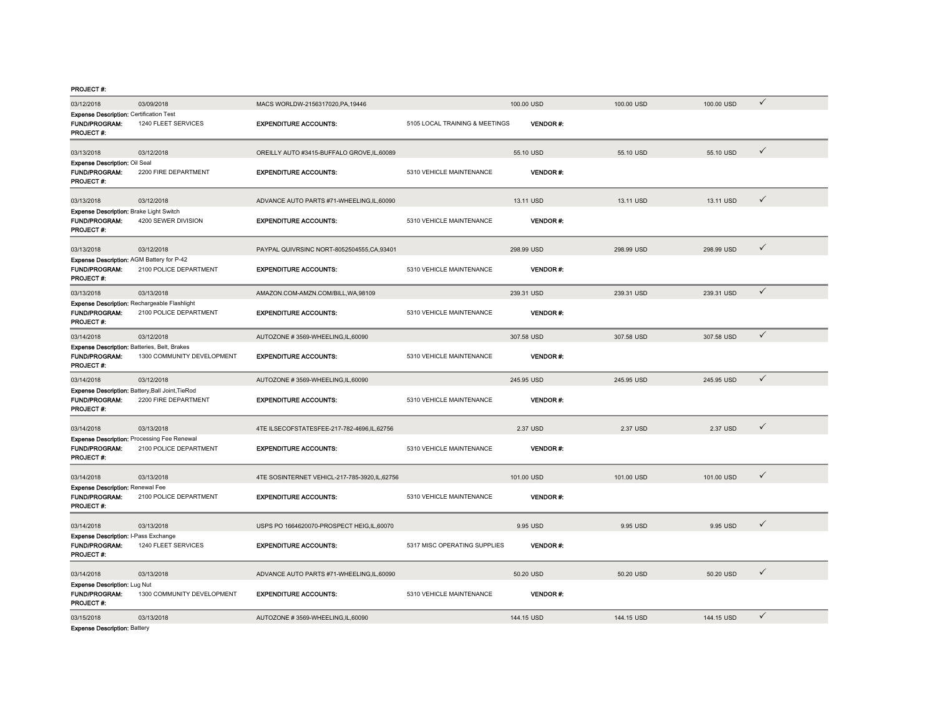| 03/12/2018                                                                             | 03/09/2018                 | MACS WORLDW-2156317020,PA,19446              |                                | 100.00 USD      | 100.00 USD | 100.00 USD | ✓            |
|----------------------------------------------------------------------------------------|----------------------------|----------------------------------------------|--------------------------------|-----------------|------------|------------|--------------|
| <b>Expense Description: Certification Test</b><br><b>FUND/PROGRAM:</b><br>PROJECT #:   | 1240 FLEET SERVICES        | <b>EXPENDITURE ACCOUNTS:</b>                 | 5105 LOCAL TRAINING & MEETINGS | <b>VENDOR#:</b> |            |            |              |
| 03/13/2018                                                                             | 03/12/2018                 | OREILLY AUTO #3415-BUFFALO GROVE.IL.60089    |                                | 55.10 USD       | 55.10 USD  | 55.10 USD  | $\checkmark$ |
| Expense Description: Oil Seal<br><b>FUND/PROGRAM:</b><br>PROJECT#:                     | 2200 FIRE DEPARTMENT       | <b>EXPENDITURE ACCOUNTS:</b>                 | 5310 VEHICLE MAINTENANCE       | <b>VENDOR#:</b> |            |            |              |
| 03/13/2018                                                                             | 03/12/2018                 | ADVANCE AUTO PARTS #71-WHEELING,IL,60090     |                                | 13.11 USD       | 13.11 USD  | 13.11 USD  | $\checkmark$ |
| Expense Description: Brake Light Switch<br><b>FUND/PROGRAM:</b><br>PROJECT #:          | 4200 SEWER DIVISION        | <b>EXPENDITURE ACCOUNTS:</b>                 | 5310 VEHICLE MAINTENANCE       | VENDOR#:        |            |            |              |
| 03/13/2018                                                                             | 03/12/2018                 | PAYPAL QUIVRSINC NORT-8052504555, CA, 93401  |                                | 298.99 USD      | 298.99 USD | 298.99 USD | $\checkmark$ |
| Expense Description: AGM Battery for P-42<br><b>FUND/PROGRAM:</b><br>PROJECT#:         | 2100 POLICE DEPARTMENT     | <b>EXPENDITURE ACCOUNTS:</b>                 | 5310 VEHICLE MAINTENANCE       | <b>VENDOR#:</b> |            |            |              |
| 03/13/2018                                                                             | 03/13/2018                 | AMAZON.COM-AMZN.COM/BILL, WA, 98109          |                                | 239.31 USD      | 239.31 USD | 239.31 USD | $\checkmark$ |
| Expense Description: Rechargeable Flashlight<br><b>FUND/PROGRAM:</b><br>PROJECT #:     | 2100 POLICE DEPARTMENT     | <b>EXPENDITURE ACCOUNTS:</b>                 | 5310 VEHICLE MAINTENANCE       | <b>VENDOR#:</b> |            |            |              |
| 03/14/2018                                                                             | 03/12/2018                 | AUTOZONE #3569-WHEELING,IL,60090             |                                | 307.58 USD      | 307.58 USD | 307.58 USD | $\checkmark$ |
| Expense Description: Batteries, Belt, Brakes<br><b>FUND/PROGRAM:</b><br>PROJECT #:     | 1300 COMMUNITY DEVELOPMENT | <b>EXPENDITURE ACCOUNTS:</b>                 | 5310 VEHICLE MAINTENANCE       | <b>VENDOR#:</b> |            |            |              |
| 03/14/2018                                                                             | 03/12/2018                 | AUTOZONE #3569-WHEELING,IL,60090             |                                | 245.95 USD      | 245.95 USD | 245.95 USD | $\checkmark$ |
| Expense Description: Battery, Ball Joint, TieRod<br><b>FUND/PROGRAM:</b><br>PROJECT #: | 2200 FIRE DEPARTMENT       | <b>EXPENDITURE ACCOUNTS:</b>                 | 5310 VEHICLE MAINTENANCE       | <b>VENDOR#:</b> |            |            |              |
| 03/14/2018                                                                             | 03/13/2018                 | 4TE ILSECOFSTATESFEE-217-782-4696.IL.62756   |                                | 2.37 USD        | 2.37 USD   | 2.37 USD   | $\checkmark$ |
| Expense Description: Processing Fee Renewal<br><b>FUND/PROGRAM:</b><br>PROJECT #:      | 2100 POLICE DEPARTMENT     | <b>EXPENDITURE ACCOUNTS:</b>                 | 5310 VEHICLE MAINTENANCE       | <b>VENDOR#:</b> |            |            |              |
| 03/14/2018                                                                             | 03/13/2018                 | 4TE SOSINTERNET VEHICL-217-785-3920,IL,62756 |                                | 101.00 USD      | 101.00 USD | 101.00 USD | $\checkmark$ |
| <b>Expense Description: Renewal Fee</b><br><b>FUND/PROGRAM:</b><br>PROJECT #:          | 2100 POLICE DEPARTMENT     | <b>EXPENDITURE ACCOUNTS:</b>                 | 5310 VEHICLE MAINTENANCE       | VENDOR#:        |            |            |              |
| 03/14/2018                                                                             | 03/13/2018                 | USPS PO 1664620070-PROSPECT HEIG,IL,60070    |                                | 9.95 USD        | 9.95 USD   | 9.95 USD   | $\checkmark$ |
| Expense Description: I-Pass Exchange<br><b>FUND/PROGRAM:</b><br><b>PROJECT#:</b>       | 1240 FLEET SERVICES        | <b>EXPENDITURE ACCOUNTS:</b>                 | 5317 MISC OPERATING SUPPLIES   | <b>VENDOR#:</b> |            |            |              |
| 03/14/2018                                                                             | 03/13/2018                 | ADVANCE AUTO PARTS #71-WHEELING,IL,60090     |                                | 50.20 USD       | 50.20 USD  | 50.20 USD  | $\checkmark$ |
| <b>Expense Description: Lug Nut</b><br><b>FUND/PROGRAM:</b><br>PROJECT#:               | 1300 COMMUNITY DEVELOPMENT | <b>EXPENDITURE ACCOUNTS:</b>                 | 5310 VEHICLE MAINTENANCE       | <b>VENDOR#:</b> |            |            |              |
| 03/15/2018<br>Expense Description: Battery                                             | 03/13/2018                 | AUTOZONE #3569-WHEELING,IL,60090             |                                | 144.15 USD      | 144.15 USD | 144.15 USD | $\checkmark$ |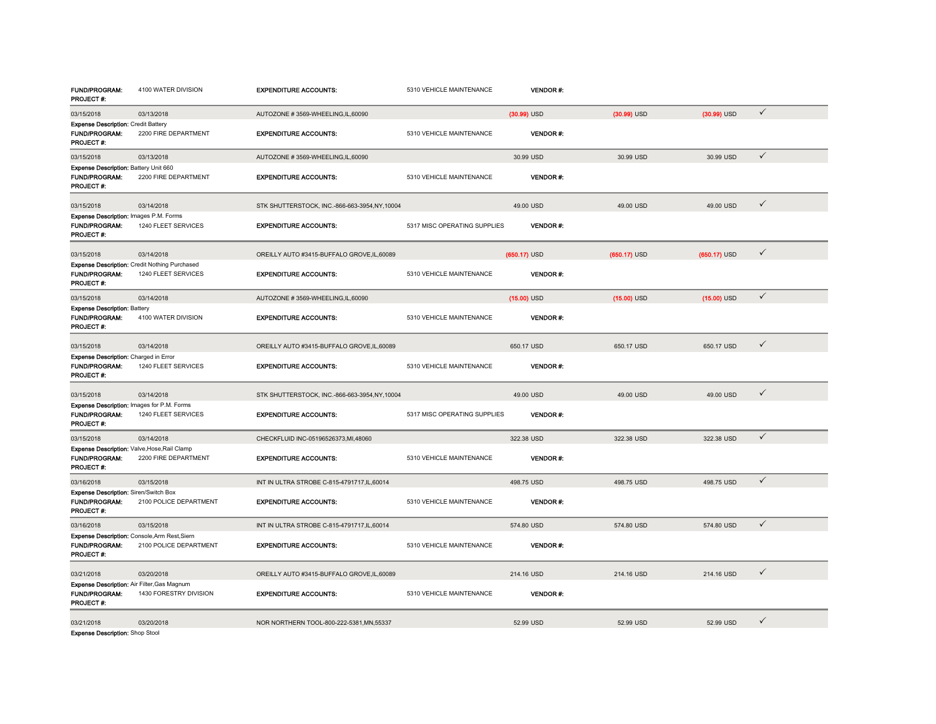| <b>FUND/PROGRAM:</b><br><b>PROJECT#:</b>                                            | 4100 WATER DIVISION                                                         | <b>EXPENDITURE ACCOUNTS:</b>                   | 5310 VEHICLE MAINTENANCE     | <b>VENDOR#:</b> |                |                |              |  |
|-------------------------------------------------------------------------------------|-----------------------------------------------------------------------------|------------------------------------------------|------------------------------|-----------------|----------------|----------------|--------------|--|
| 03/15/2018                                                                          | 03/13/2018                                                                  | AUTOZONE #3569-WHEELING.IL.60090               |                              | $(30.99)$ USD   | $(30.99)$ USD  | $(30.99)$ USD  | $\checkmark$ |  |
| <b>Expense Description: Credit Battery</b><br>FUND/PROGRAM:<br>PROJECT #:           | 2200 FIRE DEPARTMENT                                                        | <b>EXPENDITURE ACCOUNTS:</b>                   | 5310 VEHICLE MAINTENANCE     | <b>VENDOR#:</b> |                |                |              |  |
| 03/15/2018                                                                          | 03/13/2018                                                                  | AUTOZONE #3569-WHEELING,IL,60090               |                              | 30.99 USD       | 30.99 USD      | 30.99 USD      | $\checkmark$ |  |
| Expense Description: Battery Unit 660<br>FUND/PROGRAM:<br>PROJECT#:                 | 2200 FIRE DEPARTMENT                                                        | <b>EXPENDITURE ACCOUNTS:</b>                   | 5310 VEHICLE MAINTENANCE     | <b>VENDOR#:</b> |                |                |              |  |
| 03/15/2018                                                                          | 03/14/2018                                                                  | STK SHUTTERSTOCK, INC.-866-663-3954, NY, 10004 |                              | 49.00 USD       | 49.00 USD      | 49.00 USD      | ✓            |  |
| Expense Description: Images P.M. Forms<br>FUND/PROGRAM:<br>PROJECT #:               | 1240 FLEET SERVICES                                                         | <b>EXPENDITURE ACCOUNTS:</b>                   | 5317 MISC OPERATING SUPPLIES | <b>VENDOR#:</b> |                |                |              |  |
| 03/15/2018                                                                          | 03/14/2018                                                                  | OREILLY AUTO #3415-BUFFALO GROVE,IL,60089      |                              | $(650.17)$ USD  | $(650.17)$ USD | $(650.17)$ USD | $\checkmark$ |  |
| <b>FUND/PROGRAM:</b><br>PROJECT #:                                                  | <b>Expense Description: Credit Nothing Purchased</b><br>1240 FLEET SERVICES | <b>EXPENDITURE ACCOUNTS:</b>                   | 5310 VEHICLE MAINTENANCE     | <b>VENDOR#:</b> |                |                |              |  |
| 03/15/2018                                                                          | 03/14/2018                                                                  | AUTOZONE #3569-WHEELING,IL,60090               |                              | $(15.00)$ USD   | $(15.00)$ USD  | $(15.00)$ USD  | $\checkmark$ |  |
| <b>Expense Description: Battery</b><br><b>FUND/PROGRAM:</b><br>PROJECT#:            | 4100 WATER DIVISION                                                         | <b>EXPENDITURE ACCOUNTS:</b>                   | 5310 VEHICLE MAINTENANCE     | <b>VENDOR#:</b> |                |                |              |  |
| 03/15/2018                                                                          | 03/14/2018                                                                  | OREILLY AUTO #3415-BUFFALO GROVE,IL,60089      |                              | 650.17 USD      | 650.17 USD     | 650.17 USD     | $\checkmark$ |  |
| Expense Description: Charged in Error<br><b>FUND/PROGRAM:</b><br>PROJECT #:         | 1240 FLEET SERVICES                                                         | <b>EXPENDITURE ACCOUNTS:</b>                   | 5310 VEHICLE MAINTENANCE     | <b>VENDOR#:</b> |                |                |              |  |
| 03/15/2018                                                                          | 03/14/2018                                                                  | STK SHUTTERSTOCK, INC.-866-663-3954,NY,10004   |                              | 49.00 USD       | 49.00 USD      | 49.00 USD      | $\checkmark$ |  |
| Expense Description: Images for P.M. Forms<br><b>FUND/PROGRAM:</b><br>PROJECT#:     | 1240 FLEET SERVICES                                                         | <b>EXPENDITURE ACCOUNTS:</b>                   | 5317 MISC OPERATING SUPPLIES | <b>VENDOR#:</b> |                |                |              |  |
| 03/15/2018                                                                          | 03/14/2018                                                                  | CHECKFLUID INC-05196526373, MI, 48060          |                              | 322.38 USD      | 322.38 USD     | 322.38 USD     | $\checkmark$ |  |
| Expense Description: Valve, Hose, Rail Clamp<br><b>FUND/PROGRAM:</b><br>PROJECT #:  | 2200 FIRE DEPARTMENT                                                        | <b>EXPENDITURE ACCOUNTS:</b>                   | 5310 VEHICLE MAINTENANCE     | <b>VENDOR#:</b> |                |                |              |  |
| 03/16/2018                                                                          | 03/15/2018                                                                  | INT IN ULTRA STROBE C-815-4791717, IL, 60014   |                              | 498.75 USD      | 498.75 USD     | 498.75 USD     | $\checkmark$ |  |
| Expense Description: Siren/Switch Box<br>FUND/PROGRAM:<br>PROJECT #:                | 2100 POLICE DEPARTMENT                                                      | <b>EXPENDITURE ACCOUNTS:</b>                   | 5310 VEHICLE MAINTENANCE     | <b>VENDOR#:</b> |                |                |              |  |
| 03/16/2018                                                                          | 03/15/2018                                                                  | INT IN ULTRA STROBE C-815-4791717,IL,60014     |                              | 574.80 USD      | 574.80 USD     | 574.80 USD     | $\checkmark$ |  |
| Expense Description: Console, Arm Rest, Siern<br><b>FUND/PROGRAM:</b><br>PROJECT #: | 2100 POLICE DEPARTMENT                                                      | <b>EXPENDITURE ACCOUNTS:</b>                   | 5310 VEHICLE MAINTENANCE     | <b>VENDOR#:</b> |                |                |              |  |
| 03/21/2018                                                                          | 03/20/2018                                                                  | OREILLY AUTO #3415-BUFFALO GROVE,IL,60089      |                              | 214.16 USD      | 214.16 USD     | 214.16 USD     | ✓            |  |
| Expense Description: Air Filter, Gas Magnum<br><b>FUND/PROGRAM:</b><br>PROJECT#:    | 1430 FORESTRY DIVISION                                                      | <b>EXPENDITURE ACCOUNTS:</b>                   | 5310 VEHICLE MAINTENANCE     | <b>VENDOR#:</b> |                |                |              |  |
| 03/21/2018<br><b>Expense Description: Shop Stool</b>                                | 03/20/2018                                                                  | NOR NORTHERN TOOL-800-222-5381.MN.55337        |                              | 52.99 USD       | 52.99 USD      | 52.99 USD      | ✓            |  |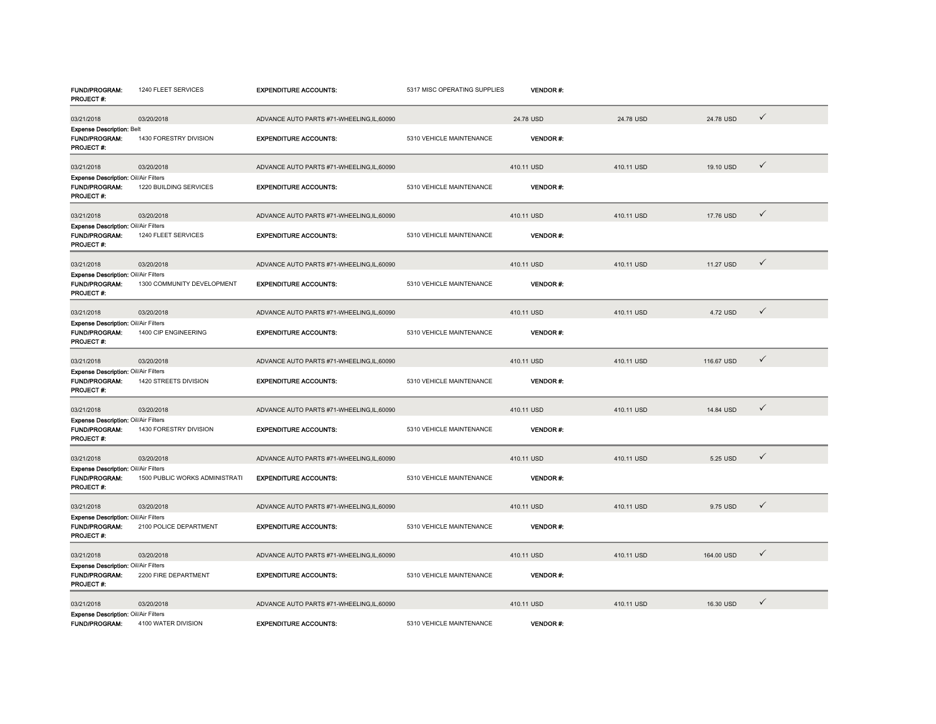| FUND/PROGRAM:<br>PROJECT #:                                                      | 1240 FLEET SERVICES            | <b>EXPENDITURE ACCOUNTS:</b>             | 5317 MISC OPERATING SUPPLIES | VENDOR #:       |            |            |              |  |
|----------------------------------------------------------------------------------|--------------------------------|------------------------------------------|------------------------------|-----------------|------------|------------|--------------|--|
| 03/21/2018                                                                       | 03/20/2018                     | ADVANCE AUTO PARTS #71-WHEELING,IL,60090 |                              | 24.78 USD       | 24.78 USD  | 24.78 USD  | $\checkmark$ |  |
| <b>Expense Description: Belt</b><br>FUND/PROGRAM:<br>PROJECT #:                  | 1430 FORESTRY DIVISION         | <b>EXPENDITURE ACCOUNTS:</b>             | 5310 VEHICLE MAINTENANCE     | <b>VENDOR#:</b> |            |            |              |  |
| 03/21/2018                                                                       | 03/20/2018                     | ADVANCE AUTO PARTS #71-WHEELING,IL,60090 |                              | 410.11 USD      | 410.11 USD | 19.10 USD  | $\checkmark$ |  |
| Expense Description: Oil/Air Filters<br>FUND/PROGRAM:<br>PROJECT#:               | 1220 BUILDING SERVICES         | <b>EXPENDITURE ACCOUNTS:</b>             | 5310 VEHICLE MAINTENANCE     | VENDOR#:        |            |            |              |  |
| 03/21/2018                                                                       | 03/20/2018                     | ADVANCE AUTO PARTS #71-WHEELING,IL,60090 |                              | 410.11 USD      | 410.11 USD | 17.76 USD  | $\checkmark$ |  |
| Expense Description: Oil/Air Filters<br>FUND/PROGRAM:<br>PROJECT#:               | 1240 FLEET SERVICES            | <b>EXPENDITURE ACCOUNTS:</b>             | 5310 VEHICLE MAINTENANCE     | VENDOR#:        |            |            |              |  |
| 03/21/2018                                                                       | 03/20/2018                     | ADVANCE AUTO PARTS #71-WHEELING,IL,60090 |                              | 410.11 USD      | 410.11 USD | 11.27 USD  | $\checkmark$ |  |
| Expense Description: Oil/Air Filters<br>FUND/PROGRAM:<br>PROJECT#:               | 1300 COMMUNITY DEVELOPMENT     | <b>EXPENDITURE ACCOUNTS:</b>             | 5310 VEHICLE MAINTENANCE     | <b>VENDOR#:</b> |            |            |              |  |
| 03/21/2018                                                                       | 03/20/2018                     | ADVANCE AUTO PARTS #71-WHEELING,IL,60090 |                              | 410.11 USD      | 410.11 USD | 4.72 USD   | $\checkmark$ |  |
| Expense Description: Oil/Air Filters<br>FUND/PROGRAM:<br>PROJECT #:              | 1400 CIP ENGINEERING           | <b>EXPENDITURE ACCOUNTS:</b>             | 5310 VEHICLE MAINTENANCE     | <b>VENDOR#:</b> |            |            |              |  |
| 03/21/2018                                                                       | 03/20/2018                     | ADVANCE AUTO PARTS #71-WHEELING,IL,60090 |                              | 410.11 USD      | 410.11 USD | 116.67 USD | $\checkmark$ |  |
| Expense Description: Oil/Air Filters<br>FUND/PROGRAM:<br>PROJECT#:               | 1420 STREETS DIVISION          | <b>EXPENDITURE ACCOUNTS:</b>             | 5310 VEHICLE MAINTENANCE     | <b>VENDOR#:</b> |            |            |              |  |
| 03/21/2018                                                                       | 03/20/2018                     | ADVANCE AUTO PARTS #71-WHEELING,IL,60090 |                              | 410.11 USD      | 410.11 USD | 14.84 USD  | $\checkmark$ |  |
| Expense Description: Oil/Air Filters<br>FUND/PROGRAM:<br>PROJECT#:               | 1430 FORESTRY DIVISION         | <b>EXPENDITURE ACCOUNTS:</b>             | 5310 VEHICLE MAINTENANCE     | VENDOR#:        |            |            |              |  |
| 03/21/2018                                                                       | 03/20/2018                     | ADVANCE AUTO PARTS #71-WHEELING,IL,60090 |                              | 410.11 USD      | 410.11 USD | 5.25 USD   | $\checkmark$ |  |
| <b>Expense Description: Oil/Air Filters</b><br>FUND/PROGRAM:<br><b>PROJECT#:</b> | 1500 PUBLIC WORKS ADMINISTRATI | <b>EXPENDITURE ACCOUNTS:</b>             | 5310 VEHICLE MAINTENANCE     | <b>VENDOR#:</b> |            |            |              |  |
| 03/21/2018                                                                       | 03/20/2018                     | ADVANCE AUTO PARTS #71-WHEELING,IL,60090 |                              | 410.11 USD      | 410.11 USD | 9.75 USD   | $\checkmark$ |  |
| Expense Description: Oil/Air Filters<br>FUND/PROGRAM:<br>PROJECT#:               | 2100 POLICE DEPARTMENT         | <b>EXPENDITURE ACCOUNTS:</b>             | 5310 VEHICLE MAINTENANCE     | <b>VENDOR#:</b> |            |            |              |  |
| 03/21/2018                                                                       | 03/20/2018                     | ADVANCE AUTO PARTS #71-WHEELING,IL,60090 |                              | 410.11 USD      | 410.11 USD | 164.00 USD | $\checkmark$ |  |
| Expense Description: Oil/Air Filters<br>FUND/PROGRAM:<br>PROJECT #:              | 2200 FIRE DEPARTMENT           | <b>EXPENDITURE ACCOUNTS:</b>             | 5310 VEHICLE MAINTENANCE     | <b>VENDOR#:</b> |            |            |              |  |
| 03/21/2018                                                                       | 03/20/2018                     | ADVANCE AUTO PARTS #71-WHEELING,IL,60090 |                              | 410.11 USD      | 410.11 USD | 16.30 USD  | $\checkmark$ |  |
| Expense Description: Oil/Air Filters<br><b>FUND/PROGRAM:</b>                     | 4100 WATER DIVISION            | <b>EXPENDITURE ACCOUNTS:</b>             | 5310 VEHICLE MAINTENANCE     | <b>VENDOR#:</b> |            |            |              |  |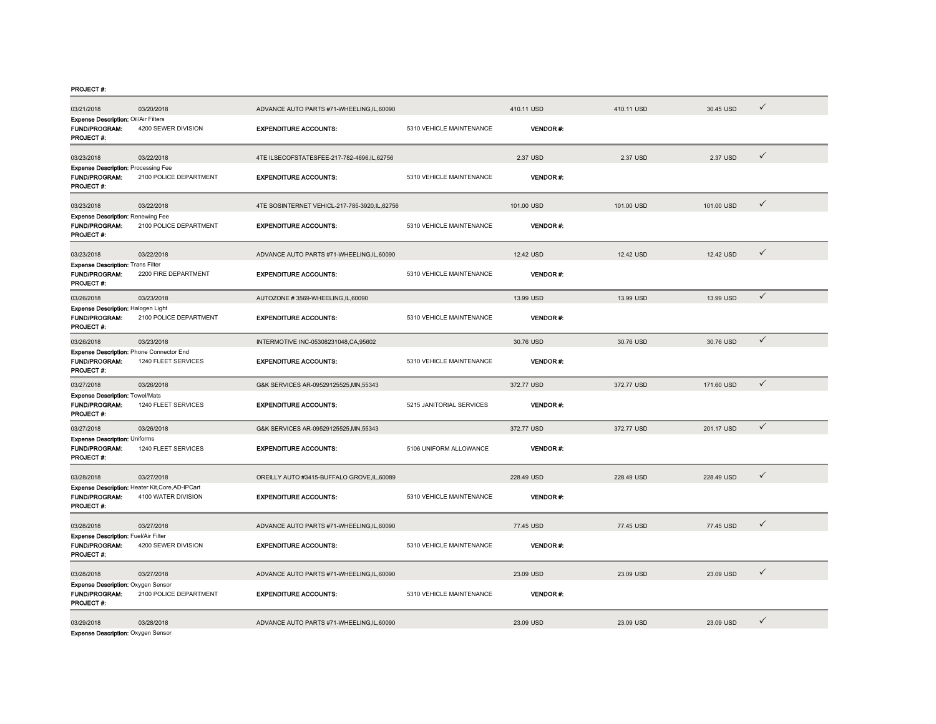PROJECT #:

| 03/21/2018                                                                        | 03/20/2018                                                              | ADVANCE AUTO PARTS #71-WHEELING,IL,60090     |                          | 410.11 USD       | 410.11 USD | 30.45 USD  | ✓            |
|-----------------------------------------------------------------------------------|-------------------------------------------------------------------------|----------------------------------------------|--------------------------|------------------|------------|------------|--------------|
| Expense Description: Oil/Air Filters<br>FUND/PROGRAM:<br>PROJECT #:               | 4200 SEWER DIVISION                                                     | <b>EXPENDITURE ACCOUNTS:</b>                 | 5310 VEHICLE MAINTENANCE | <b>VENDOR#:</b>  |            |            |              |
| 03/23/2018                                                                        | 03/22/2018                                                              | 4TE ILSECOFSTATESFEE-217-782-4696.IL.62756   |                          | 2.37 USD         | 2.37 USD   | 2.37 USD   | ✓            |
| <b>Expense Description: Processing Fee</b><br><b>FUND/PROGRAM:</b><br>PROJECT#:   | 2100 POLICE DEPARTMENT                                                  | <b>EXPENDITURE ACCOUNTS:</b>                 | 5310 VEHICLE MAINTENANCE | <b>VENDOR#:</b>  |            |            |              |
| 03/23/2018                                                                        | 03/22/2018                                                              | 4TE SOSINTERNET VEHICL-217-785-3920,IL,62756 |                          | 101.00 USD       | 101.00 USD | 101.00 USD | $\checkmark$ |
| <b>Expense Description: Renewing Fee</b><br>FUND/PROGRAM:<br>PROJECT#:            | 2100 POLICE DEPARTMENT                                                  | <b>EXPENDITURE ACCOUNTS:</b>                 | 5310 VEHICLE MAINTENANCE | <b>VENDOR#:</b>  |            |            |              |
| 03/23/2018                                                                        | 03/22/2018                                                              | ADVANCE AUTO PARTS #71-WHEELING,IL,60090     |                          | 12.42 USD        | 12.42 USD  | 12.42 USD  | $\checkmark$ |
| Expense Description: Trans Filter<br>FUND/PROGRAM:<br><b>PROJECT#:</b>            | 2200 FIRE DEPARTMENT                                                    | <b>EXPENDITURE ACCOUNTS:</b>                 | 5310 VEHICLE MAINTENANCE | <b>VENDOR#:</b>  |            |            |              |
| 03/26/2018                                                                        | 03/23/2018                                                              | AUTOZONE #3569-WHEELING,IL,60090             |                          | 13.99 USD        | 13.99 USD  | 13.99 USD  | $\checkmark$ |
| Expense Description: Halogen Light<br><b>FUND/PROGRAM:</b><br>PROJECT #:          | 2100 POLICE DEPARTMENT                                                  | <b>EXPENDITURE ACCOUNTS:</b>                 | 5310 VEHICLE MAINTENANCE | <b>VENDOR#:</b>  |            |            |              |
| 03/26/2018                                                                        | 03/23/2018                                                              | INTERMOTIVE INC-05308231048,CA,95602         |                          | 30.76 USD        | 30.76 USD  | 30.76 USD  | $\checkmark$ |
| Expense Description: Phone Connector End<br><b>FUND/PROGRAM:</b><br>PROJECT #:    | 1240 FLEET SERVICES                                                     | <b>EXPENDITURE ACCOUNTS:</b>                 | 5310 VEHICLE MAINTENANCE | <b>VENDOR #:</b> |            |            |              |
| 03/27/2018                                                                        | 03/26/2018                                                              | G&K SERVICES AR-09529125525.MN.55343         |                          | 372.77 USD       | 372.77 USD | 171.60 USD | $\checkmark$ |
| Expense Description: Towel/Mats<br><b>FUND/PROGRAM:</b><br>PROJECT #:             | 1240 FLEET SERVICES                                                     | <b>EXPENDITURE ACCOUNTS:</b>                 | 5215 JANITORIAL SERVICES | <b>VENDOR#:</b>  |            |            |              |
| 03/27/2018                                                                        | 03/26/2018                                                              | G&K SERVICES AR-09529125525, MN, 55343       |                          | 372.77 USD       | 372.77 USD | 201.17 USD | $\checkmark$ |
| <b>Expense Description: Uniforms</b><br><b>FUND/PROGRAM:</b><br><b>PROJECT #:</b> | 1240 FLEET SERVICES                                                     | <b>EXPENDITURE ACCOUNTS:</b>                 | 5106 UNIFORM ALLOWANCE   | <b>VENDOR#:</b>  |            |            |              |
| 03/28/2018                                                                        | 03/27/2018                                                              | OREILLY AUTO #3415-BUFFALO GROVE,IL,60089    |                          | 228.49 USD       | 228.49 USD | 228.49 USD | ✓            |
| <b>FUND/PROGRAM:</b><br>PROJECT#:                                                 | Expense Description: Heater Kit, Core, AD-IPCart<br>4100 WATER DIVISION | <b>EXPENDITURE ACCOUNTS:</b>                 | 5310 VEHICLE MAINTENANCE | <b>VENDOR#:</b>  |            |            |              |
| 03/28/2018                                                                        | 03/27/2018                                                              | ADVANCE AUTO PARTS #71-WHEELING,IL,60090     |                          | 77.45 USD        | 77.45 USD  | 77.45 USD  | $\checkmark$ |
| Expense Description: Fuel/Air Filter<br>FUND/PROGRAM:<br><b>PROJECT#:</b>         | 4200 SEWER DIVISION                                                     | <b>EXPENDITURE ACCOUNTS:</b>                 | 5310 VEHICLE MAINTENANCE | VENDOR#:         |            |            |              |
| 03/28/2018                                                                        | 03/27/2018                                                              | ADVANCE AUTO PARTS #71-WHEELING,IL,60090     |                          | 23.09 USD        | 23.09 USD  | 23.09 USD  | $\checkmark$ |
| Expense Description: Oxygen Sensor<br>FUND/PROGRAM:<br><b>PROJECT#:</b>           | 2100 POLICE DEPARTMENT                                                  | <b>EXPENDITURE ACCOUNTS:</b>                 | 5310 VEHICLE MAINTENANCE | VENDOR#:         |            |            |              |
| 03/29/2018<br>Expense Description: Oxygen Sensor                                  | 03/28/2018                                                              | ADVANCE AUTO PARTS #71-WHEELING,IL,60090     |                          | 23.09 USD        | 23.09 USD  | 23.09 USD  | ✓            |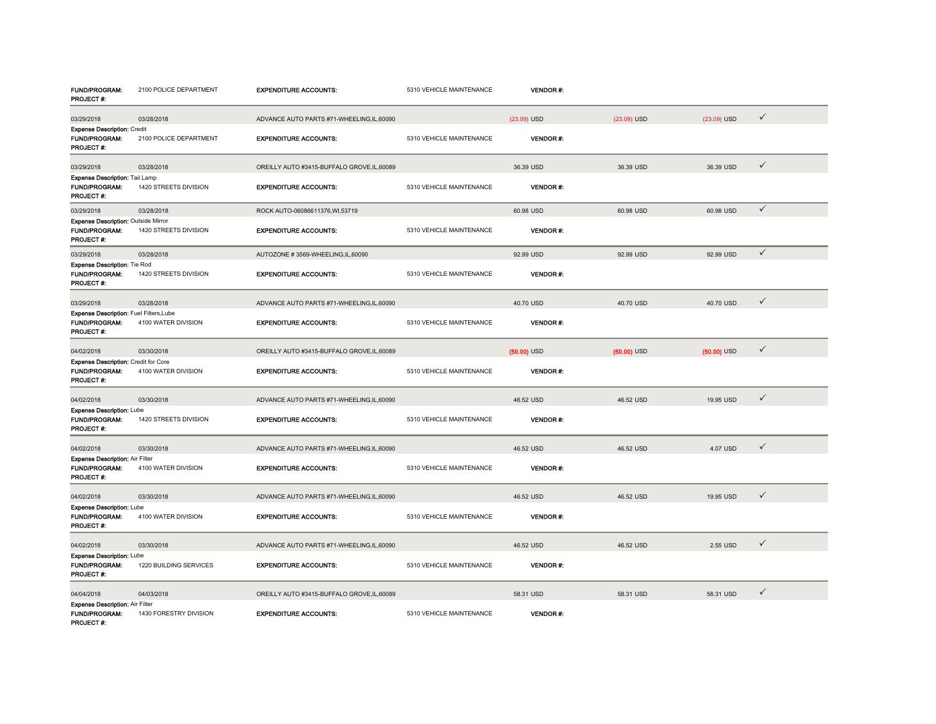| <b>FUND/PROGRAM:</b><br>PROJECT#:                                                 | 2100 POLICE DEPARTMENT | <b>EXPENDITURE ACCOUNTS:</b>              | 5310 VEHICLE MAINTENANCE | <b>VENDOR#:</b> |               |               |              |  |
|-----------------------------------------------------------------------------------|------------------------|-------------------------------------------|--------------------------|-----------------|---------------|---------------|--------------|--|
| 03/29/2018                                                                        | 03/28/2018             | ADVANCE AUTO PARTS #71-WHEELING,IL,60090  |                          | (23.09) USD     | $(23.09)$ USD | (23.09) USD   | $\checkmark$ |  |
| <b>Expense Description: Credit</b><br><b>FUND/PROGRAM:</b><br>PROJECT#:           | 2100 POLICE DEPARTMENT | <b>EXPENDITURE ACCOUNTS:</b>              | 5310 VEHICLE MAINTENANCE | <b>VENDOR#:</b> |               |               |              |  |
| 03/29/2018                                                                        | 03/28/2018             | OREILLY AUTO #3415-BUFFALO GROVE,IL,60089 |                          | 36.39 USD       | 36.39 USD     | 36.39 USD     | $\checkmark$ |  |
| Expense Description: Tail Lamp<br>FUND/PROGRAM:<br>PROJECT#:                      | 1420 STREETS DIVISION  | <b>EXPENDITURE ACCOUNTS:</b>              | 5310 VEHICLE MAINTENANCE | <b>VENDOR#:</b> |               |               |              |  |
| 03/29/2018                                                                        | 03/28/2018             | ROCK AUTO-06086611376, WI, 53719          |                          | 60.98 USD       | 60.98 USD     | 60.98 USD     | $\checkmark$ |  |
| Expense Description: Outside Mirror<br><b>FUND/PROGRAM:</b><br>PROJECT#:          | 1420 STREETS DIVISION  | <b>EXPENDITURE ACCOUNTS:</b>              | 5310 VEHICLE MAINTENANCE | <b>VENDOR#:</b> |               |               |              |  |
| 03/29/2018                                                                        | 03/28/2018             | AUTOZONE #3569-WHEELING,IL,60090          |                          | 92.99 USD       | 92.99 USD     | 92.99 USD     | $\checkmark$ |  |
| <b>Expense Description: Tie Rod</b><br><b>FUND/PROGRAM:</b><br>PROJECT #:         | 1420 STREETS DIVISION  | <b>EXPENDITURE ACCOUNTS:</b>              | 5310 VEHICLE MAINTENANCE | <b>VENDOR#:</b> |               |               |              |  |
| 03/29/2018                                                                        | 03/28/2018             | ADVANCE AUTO PARTS #71-WHEELING,IL,60090  |                          | 40.70 USD       | 40.70 USD     | 40.70 USD     | ✓            |  |
| Expense Description: Fuel Filters, Lube<br>FUND/PROGRAM:<br>PROJECT#:             | 4100 WATER DIVISION    | <b>EXPENDITURE ACCOUNTS:</b>              | 5310 VEHICLE MAINTENANCE | VENDOR#:        |               |               |              |  |
| 04/02/2018                                                                        | 03/30/2018             | OREILLY AUTO #3415-BUFFALO GROVE,IL,60089 |                          | $(50.00)$ USD   | $(50.00)$ USD | $(50.00)$ USD | $\checkmark$ |  |
| <b>Expense Description: Credit for Core</b><br><b>FUND/PROGRAM:</b><br>PROJECT #: | 4100 WATER DIVISION    | <b>EXPENDITURE ACCOUNTS:</b>              | 5310 VEHICLE MAINTENANCE | <b>VENDOR#:</b> |               |               |              |  |
| 04/02/2018                                                                        | 03/30/2018             | ADVANCE AUTO PARTS #71-WHEELING,IL,60090  |                          | 46.52 USD       | 46.52 USD     | 19.95 USD     | $\checkmark$ |  |
| <b>Expense Description: Lube</b><br>FUND/PROGRAM:<br>PROJECT #:                   | 1420 STREETS DIVISION  | <b>EXPENDITURE ACCOUNTS:</b>              | 5310 VEHICLE MAINTENANCE | <b>VENDOR#:</b> |               |               |              |  |
| 04/02/2018                                                                        | 03/30/2018             | ADVANCE AUTO PARTS #71-WHEELING,IL,60090  |                          | 46.52 USD       | 46.52 USD     | 4.07 USD      | $\checkmark$ |  |
| <b>Expense Description: Air Filter</b><br><b>FUND/PROGRAM:</b><br>PROJECT #:      | 4100 WATER DIVISION    | <b>EXPENDITURE ACCOUNTS:</b>              | 5310 VEHICLE MAINTENANCE | <b>VENDOR#:</b> |               |               |              |  |
| 04/02/2018                                                                        | 03/30/2018             | ADVANCE AUTO PARTS #71-WHEELING,IL,60090  |                          | 46.52 USD       | 46.52 USD     | 19.95 USD     | $\checkmark$ |  |
| <b>Expense Description: Lube</b><br><b>FUND/PROGRAM:</b><br>PROJECT #:            | 4100 WATER DIVISION    | <b>EXPENDITURE ACCOUNTS:</b>              | 5310 VEHICLE MAINTENANCE | <b>VENDOR#:</b> |               |               |              |  |
| 04/02/2018                                                                        | 03/30/2018             | ADVANCE AUTO PARTS #71-WHEELING,IL,60090  |                          | 46.52 USD       | 46.52 USD     | 2.55 USD      | ✓            |  |
| <b>Expense Description: Lube</b><br><b>FUND/PROGRAM:</b><br>PROJECT#:             | 1220 BUILDING SERVICES | <b>EXPENDITURE ACCOUNTS:</b>              | 5310 VEHICLE MAINTENANCE | <b>VENDOR#:</b> |               |               |              |  |
| 04/04/2018                                                                        | 04/03/2018             | OREILLY AUTO #3415-BUFFALO GROVE,IL,60089 |                          | 58.31 USD       | 58.31 USD     | 58.31 USD     | $\checkmark$ |  |
| <b>Expense Description: Air Filter</b><br><b>FUND/PROGRAM:</b><br>PROJECT #       | 1430 FORESTRY DIVISION | <b>EXPENDITURE ACCOUNTS:</b>              | 5310 VEHICLE MAINTENANCE | <b>VENDOR#:</b> |               |               |              |  |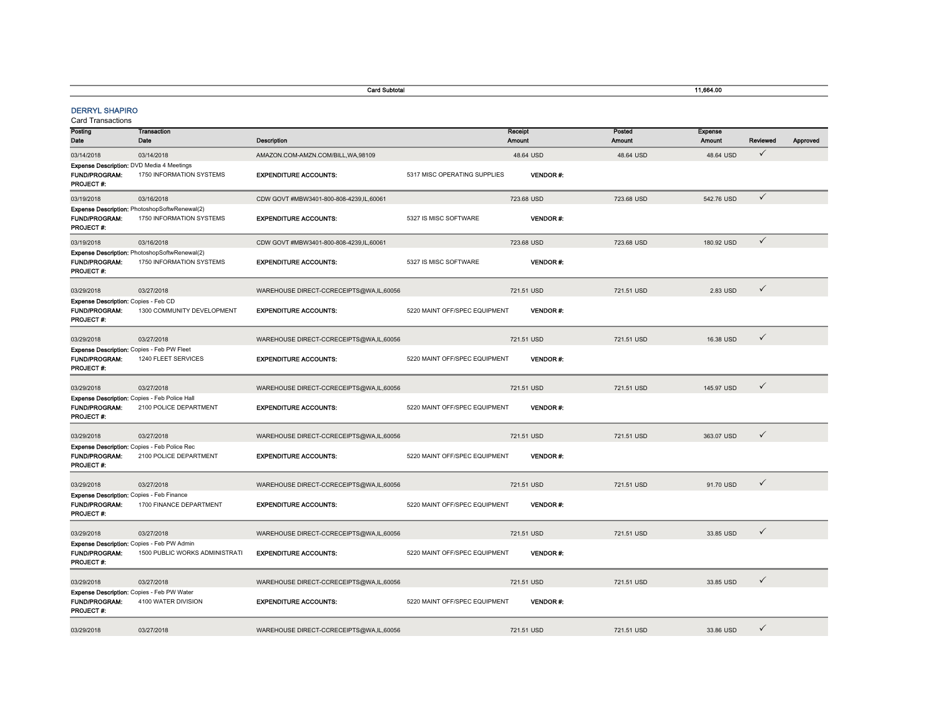|                                                                                        | <b>Card Subtotal</b>                                                          |                                         |                               |                   |                 |                  | 11,664.00                       |              |          |
|----------------------------------------------------------------------------------------|-------------------------------------------------------------------------------|-----------------------------------------|-------------------------------|-------------------|-----------------|------------------|---------------------------------|--------------|----------|
| <b>DERRYL SHAPIRO</b><br><b>Card Transactions</b>                                      |                                                                               |                                         |                               |                   |                 |                  |                                 |              |          |
| Posting<br>Date                                                                        | <b>Transaction</b><br>Date                                                    | Description                             |                               | Receipt<br>Amount |                 | Posted<br>Amount | <b>Expense</b><br><b>Amount</b> | Reviewed     | Approved |
| 03/14/2018                                                                             | 03/14/2018                                                                    | AMAZON.COM-AMZN.COM/BILL, WA, 98109     |                               |                   | 48.64 USD       | 48.64 USD        | 48.64 USD                       | $\checkmark$ |          |
| Expense Description: DVD Media 4 Meetings<br>FUND/PROGRAM:<br>PROJECT #:               | 1750 INFORMATION SYSTEMS                                                      | <b>EXPENDITURE ACCOUNTS:</b>            | 5317 MISC OPERATING SUPPLIES  |                   | <b>VENDOR#:</b> |                  |                                 |              |          |
| 03/19/2018                                                                             | 03/16/2018                                                                    | CDW GOVT #MBW3401-800-808-4239,IL,60061 |                               | 723.68 USD        |                 | 723.68 USD       | 542.76 USD                      | $\checkmark$ |          |
| <b>FUND/PROGRAM:</b><br>PROJECT #:                                                     | Expense Description: PhotoshopSoftwRenewal(2)<br>1750 INFORMATION SYSTEMS     | <b>EXPENDITURE ACCOUNTS:</b>            | 5327 IS MISC SOFTWARE         |                   | <b>VENDOR#:</b> |                  |                                 |              |          |
| 03/19/2018                                                                             | 03/16/2018                                                                    | CDW GOVT #MBW3401-800-808-4239,IL,60061 |                               | 723.68 USD        |                 | 723.68 USD       | 180.92 USD                      | $\checkmark$ |          |
| FUND/PROGRAM:<br>PROJECT #:                                                            | Expense Description: PhotoshopSoftwRenewal(2)<br>1750 INFORMATION SYSTEMS     | <b>EXPENDITURE ACCOUNTS:</b>            | 5327 IS MISC SOFTWARE         |                   | VENDOR #:       |                  |                                 |              |          |
| 03/29/2018                                                                             | 03/27/2018                                                                    | WAREHOUSE DIRECT-CCRECEIPTS@WA,IL,60056 |                               | 721.51 USD        |                 | 721.51 USD       | 2.83 USD                        | ✓            |          |
| Expense Description: Copies - Feb CD<br>FUND/PROGRAM:<br>PROJECT #:                    | 1300 COMMUNITY DEVELOPMENT                                                    | <b>EXPENDITURE ACCOUNTS:</b>            | 5220 MAINT OFF/SPEC EQUIPMENT |                   | <b>VENDOR#:</b> |                  |                                 |              |          |
| 03/29/2018                                                                             | 03/27/2018                                                                    | WAREHOUSE DIRECT-CCRECEIPTS@WA,IL,60056 |                               | 721.51 USD        |                 | 721.51 USD       | 16.38 USD                       | ✓            |          |
| Expense Description: Copies - Feb PW Fleet<br>FUND/PROGRAM:<br><b>PROJECT#:</b>        | 1240 FLEET SERVICES                                                           | <b>EXPENDITURE ACCOUNTS:</b>            | 5220 MAINT OFF/SPEC EQUIPMENT |                   | <b>VENDOR#:</b> |                  |                                 |              |          |
| 03/29/2018                                                                             | 03/27/2018                                                                    | WAREHOUSE DIRECT-CCRECEIPTS@WA,IL,60056 |                               | 721.51 USD        |                 | 721.51 USD       | 145.97 USD                      | $\checkmark$ |          |
| FUND/PROGRAM:<br>PROJECT#:                                                             | Expense Description: Copies - Feb Police Hall<br>2100 POLICE DEPARTMENT       | <b>EXPENDITURE ACCOUNTS:</b>            | 5220 MAINT OFF/SPEC EQUIPMENT |                   | VENDOR#:        |                  |                                 |              |          |
| 03/29/2018                                                                             | 03/27/2018                                                                    | WAREHOUSE DIRECT-CCRECEIPTS@WA,IL,60056 |                               | 721.51 USD        |                 | 721.51 USD       | 363.07 USD                      | ✓            |          |
| FUND/PROGRAM:<br>PROJECT #:                                                            | <b>Expense Description: Copies - Feb Police Rec</b><br>2100 POLICE DEPARTMENT | <b>EXPENDITURE ACCOUNTS:</b>            | 5220 MAINT OFF/SPEC EQUIPMENT |                   | <b>VENDOR#:</b> |                  |                                 |              |          |
| 03/29/2018                                                                             | 03/27/2018                                                                    | WAREHOUSE DIRECT-CCRECEIPTS@WA,IL,60056 |                               | 721.51 USD        |                 | 721.51 USD       | 91.70 USD                       | ✓            |          |
| <b>Expense Description: Copies - Feb Finance</b><br><b>FUND/PROGRAM:</b><br>PROJECT #: | 1700 FINANCE DEPARTMENT                                                       | <b>EXPENDITURE ACCOUNTS:</b>            | 5220 MAINT OFF/SPEC EQUIPMENT |                   | <b>VENDOR#:</b> |                  |                                 |              |          |
| 03/29/2018                                                                             | 03/27/2018                                                                    | WAREHOUSE DIRECT-CCRECEIPTS@WA,IL,60056 |                               | 721.51 USD        |                 | 721.51 USD       | 33.85 USD                       | $\checkmark$ |          |
| <b>FUND/PROGRAM:</b><br><b>PROJECT#:</b>                                               | Expense Description: Copies - Feb PW Admin<br>1500 PUBLIC WORKS ADMINISTRATI  | <b>EXPENDITURE ACCOUNTS:</b>            | 5220 MAINT OFF/SPEC EQUIPMENT |                   | <b>VENDOR#:</b> |                  |                                 |              |          |
| 03/29/2018                                                                             | 03/27/2018                                                                    | WAREHOUSE DIRECT-CCRECEIPTS@WA,IL,60056 |                               | 721.51 USD        |                 | 721.51 USD       | 33.85 USD                       | ✓            |          |
| FUND/PROGRAM:<br>PROJECT #:                                                            | Expense Description: Copies - Feb PW Water<br>4100 WATER DIVISION             | <b>EXPENDITURE ACCOUNTS:</b>            | 5220 MAINT OFF/SPEC EQUIPMENT |                   | VENDOR#:        |                  |                                 |              |          |
| 03/29/2018                                                                             | 03/27/2018                                                                    | WAREHOUSE DIRECT-CCRECEIPTS@WA,IL,60056 |                               | 721.51 USD        |                 | 721.51 USD       | 33.86 USD                       | ✓            |          |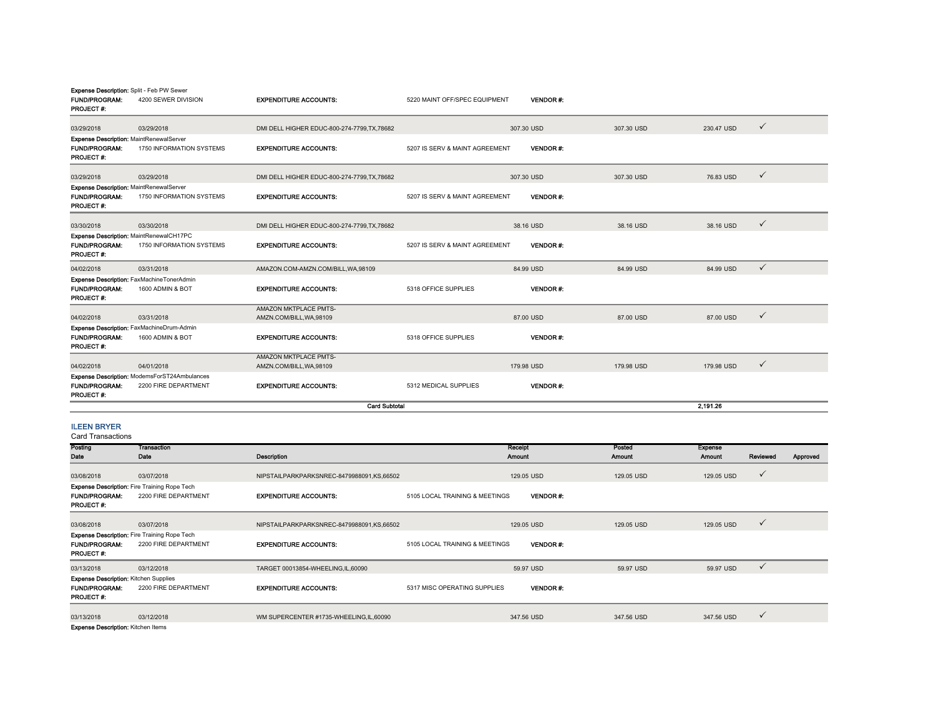| Expense Description: Split - Feb PW Sewer<br><b>FUND/PROGRAM:</b><br>PROJECT#:      | 4200 SEWER DIVISION                                                  | <b>EXPENDITURE ACCOUNTS:</b>                      | 5220 MAINT OFF/SPEC EQUIPMENT  | <b>VENDOR #:</b> |            |            |              |
|-------------------------------------------------------------------------------------|----------------------------------------------------------------------|---------------------------------------------------|--------------------------------|------------------|------------|------------|--------------|
| 03/29/2018                                                                          | 03/29/2018                                                           | DMI DELL HIGHER EDUC-800-274-7799.TX.78682        |                                | 307.30 USD       | 307.30 USD | 230.47 USD | $\checkmark$ |
| Expense Description: MaintRenewalServer<br><b>FUND/PROGRAM:</b><br>PROJECT#:        | 1750 INFORMATION SYSTEMS                                             | <b>EXPENDITURE ACCOUNTS:</b>                      | 5207 IS SERV & MAINT AGREEMENT | <b>VENDOR#:</b>  |            |            |              |
| 03/29/2018                                                                          | 03/29/2018                                                           | DMI DELL HIGHER EDUC-800-274-7799.TX.78682        |                                | 307.30 USD       | 307.30 USD | 76.83 USD  | $\checkmark$ |
| Expense Description: MaintRenewalServer<br><b>FUND/PROGRAM:</b><br><b>PROJECT#:</b> | 1750 INFORMATION SYSTEMS                                             | <b>EXPENDITURE ACCOUNTS:</b>                      | 5207 IS SERV & MAINT AGREEMENT | <b>VENDOR#:</b>  |            |            |              |
| 03/30/2018                                                                          | 03/30/2018                                                           | DMI DELL HIGHER EDUC-800-274-7799.TX.78682        |                                | 38.16 USD        | 38.16 USD  | 38.16 USD  | $\checkmark$ |
| <b>FUND/PROGRAM:</b><br>PROJECT#:                                                   | Expense Description: MaintRenewalCH17PC<br>1750 INFORMATION SYSTEMS  | <b>EXPENDITURE ACCOUNTS:</b>                      | 5207 IS SERV & MAINT AGREEMENT | <b>VENDOR#:</b>  |            |            |              |
| 04/02/2018                                                                          | 03/31/2018                                                           | AMAZON.COM-AMZN.COM/BILL, WA, 98109               |                                | 84.99 USD        | 84.99 USD  | 84.99 USD  | $\checkmark$ |
| <b>FUND/PROGRAM:</b><br><b>PROJECT#:</b>                                            | Expense Description: FaxMachineTonerAdmin<br>1600 ADMIN & BOT        | <b>EXPENDITURE ACCOUNTS:</b>                      | 5318 OFFICE SUPPLIES           | <b>VENDOR#:</b>  |            |            |              |
| 04/02/2018                                                                          | 03/31/2018                                                           | AMAZON MKTPLACE PMTS-<br>AMZN.COM/BILL, WA, 98109 |                                | 87,00 USD        | 87.00 USD  | 87.00 USD  | $\checkmark$ |
| <b>FUND/PROGRAM:</b><br>PROJECT #:                                                  | Expense Description: FaxMachineDrum-Admin<br>1600 ADMIN & BOT        | <b>EXPENDITURE ACCOUNTS:</b>                      | 5318 OFFICE SUPPLIES           | <b>VENDOR#:</b>  |            |            |              |
| 04/02/2018                                                                          | 04/01/2018                                                           | AMAZON MKTPLACE PMTS-<br>AMZN.COM/BILL, WA, 98109 |                                | 179.98 USD       | 179.98 USD | 179.98 USD | $\checkmark$ |
| <b>FUND/PROGRAM:</b><br>PROJECT #:                                                  | Expense Description: ModemsForST24Ambulances<br>2200 FIRE DEPARTMENT | <b>EXPENDITURE ACCOUNTS:</b>                      | 5312 MEDICAL SUPPLIES          | <b>VENDOR#:</b>  |            |            |              |
|                                                                                     | <b>Card Subtotal</b>                                                 |                                                   |                                |                  | 2.191.26   |            |              |

## ILEEN BRYER

| Posting                                             | <b>Transaction</b>   |                                           |                                | Receipt         | Posted     | <b>Expense</b> |              |          |
|-----------------------------------------------------|----------------------|-------------------------------------------|--------------------------------|-----------------|------------|----------------|--------------|----------|
| Date                                                | Date                 | <b>Description</b>                        |                                | <b>Amount</b>   | Amount     | <b>Amount</b>  | Reviewed     | Approved |
|                                                     |                      |                                           |                                |                 |            |                |              |          |
| 03/08/2018                                          | 03/07/2018           | NIPSTAILPARKPARKSNREC-8479988091,KS,66502 |                                | 129.05 USD      | 129.05 USD | 129.05 USD     | $\checkmark$ |          |
| <b>Expense Description: Fire Training Rope Tech</b> |                      |                                           |                                |                 |            |                |              |          |
| <b>FUND/PROGRAM:</b>                                | 2200 FIRE DEPARTMENT | <b>EXPENDITURE ACCOUNTS:</b>              | 5105 LOCAL TRAINING & MEETINGS | <b>VENDOR#:</b> |            |                |              |          |
| <b>PROJECT#:</b>                                    |                      |                                           |                                |                 |            |                |              |          |
|                                                     |                      |                                           |                                |                 |            |                |              |          |
| 03/08/2018                                          | 03/07/2018           | NIPSTAILPARKPARKSNREC-8479988091,KS,66502 |                                | 129.05 USD      | 129.05 USD | 129.05 USD     | $\checkmark$ |          |
| <b>Expense Description: Fire Training Rope Tech</b> |                      |                                           |                                |                 |            |                |              |          |
| <b>FUND/PROGRAM:</b>                                | 2200 FIRE DEPARTMENT | <b>EXPENDITURE ACCOUNTS:</b>              | 5105 LOCAL TRAINING & MEETINGS | <b>VENDOR#:</b> |            |                |              |          |
| <b>PROJECT#:</b>                                    |                      |                                           |                                |                 |            |                |              |          |
| 03/13/2018                                          | 03/12/2018           | TARGET 00013854-WHEELING,IL,60090         |                                | 59.97 USD       | 59.97 USD  | 59.97 USD      | $\checkmark$ |          |
| <b>Expense Description: Kitchen Supplies</b>        |                      |                                           |                                |                 |            |                |              |          |
| <b>FUND/PROGRAM:</b>                                | 2200 FIRE DEPARTMENT | <b>EXPENDITURE ACCOUNTS:</b>              | 5317 MISC OPERATING SUPPLIES   | <b>VENDOR#:</b> |            |                |              |          |
| <b>PROJECT#:</b>                                    |                      |                                           |                                |                 |            |                |              |          |
|                                                     |                      |                                           |                                |                 |            |                |              |          |
| 03/13/2018                                          | 03/12/2018           | WM SUPERCENTER #1735-WHEELING,IL,60090    |                                | 347.56 USD      | 347.56 USD | 347.56 USD     | $\checkmark$ |          |
| <b>Expense Description: Kitchen Items</b>           |                      |                                           |                                |                 |            |                |              |          |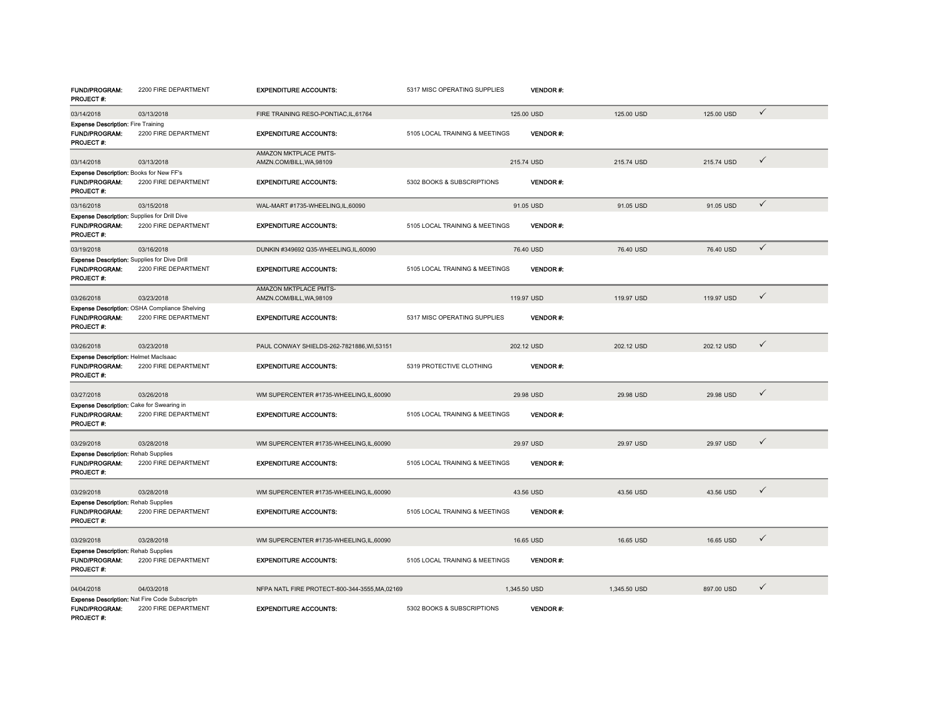| <b>FUND/PROGRAM:</b><br><b>PROJECT #:</b>                                                | 2200 FIRE DEPARTMENT                                                         | <b>EXPENDITURE ACCOUNTS:</b>                             | 5317 MISC OPERATING SUPPLIES   | VENDOR #:       |              |            |              |
|------------------------------------------------------------------------------------------|------------------------------------------------------------------------------|----------------------------------------------------------|--------------------------------|-----------------|--------------|------------|--------------|
| 03/14/2018                                                                               | 03/13/2018                                                                   | FIRE TRAINING RESO-PONTIAC, IL, 61764                    |                                | 125.00 USD      | 125.00 USD   | 125.00 USD | $\checkmark$ |
| <b>Expense Description: Fire Training</b><br>FUND/PROGRAM:<br>PROJECT #:                 | 2200 FIRE DEPARTMENT                                                         | <b>EXPENDITURE ACCOUNTS:</b>                             | 5105 LOCAL TRAINING & MEETINGS | <b>VENDOR#:</b> |              |            |              |
| 03/14/2018                                                                               | 03/13/2018                                                                   | <b>AMAZON MKTPLACE PMTS-</b><br>AMZN.COM/BILL, WA, 98109 |                                | 215.74 USD      | 215,74 USD   | 215,74 USD | $\checkmark$ |
| Expense Description: Books for New FF's<br><b>FUND/PROGRAM:</b><br>PROJECT #:            | 2200 FIRE DEPARTMENT                                                         | <b>EXPENDITURE ACCOUNTS:</b>                             | 5302 BOOKS & SUBSCRIPTIONS     | <b>VENDOR#:</b> |              |            |              |
| 03/16/2018                                                                               | 03/15/2018                                                                   | WAL-MART #1735-WHEELING.IL.60090                         |                                | 91.05 USD       | 91.05 USD    | 91.05 USD  | $\checkmark$ |
| <b>Expense Description: Supplies for Drill Dive</b><br><b>FUND/PROGRAM:</b><br>PROJECT#: | 2200 FIRE DEPARTMENT                                                         | <b>EXPENDITURE ACCOUNTS:</b>                             | 5105 LOCAL TRAINING & MEETINGS | <b>VENDOR#:</b> |              |            |              |
| 03/19/2018                                                                               | 03/16/2018                                                                   | DUNKIN #349692 Q35-WHEELING,IL,60090                     |                                | 76.40 USD       | 76.40 USD    | 76.40 USD  | $\checkmark$ |
| Expense Description: Supplies for Dive Drill<br><b>FUND/PROGRAM:</b><br>PROJECT #:       | 2200 FIRE DEPARTMENT                                                         | <b>EXPENDITURE ACCOUNTS:</b>                             | 5105 LOCAL TRAINING & MEETINGS | VENDOR#:        |              |            |              |
| 03/26/2018                                                                               | 03/23/2018                                                                   | AMAZON MKTPLACE PMTS-<br>AMZN.COM/BILL, WA, 98109        |                                | 119.97 USD      | 119.97 USD   | 119.97 USD | $\checkmark$ |
| <b>FUND/PROGRAM:</b><br>PROJECT#:                                                        | Expense Description: OSHA Compliance Shelving<br>2200 FIRE DEPARTMENT        | <b>EXPENDITURE ACCOUNTS:</b>                             | 5317 MISC OPERATING SUPPLIES   | <b>VENDOR#:</b> |              |            |              |
| 03/26/2018                                                                               | 03/23/2018                                                                   | PAUL CONWAY SHIELDS-262-7821886.WI.53151                 |                                | 202.12 USD      | 202.12 USD   | 202.12 USD | $\checkmark$ |
| Expense Description: Helmet MacIsaac<br><b>FUND/PROGRAM:</b><br><b>PROJECT #:</b>        | 2200 FIRE DEPARTMENT                                                         | <b>EXPENDITURE ACCOUNTS:</b>                             | 5319 PROTECTIVE CLOTHING       | <b>VENDOR#:</b> |              |            |              |
| 03/27/2018                                                                               | 03/26/2018                                                                   | WM SUPERCENTER #1735-WHEELING.IL.60090                   |                                | 29.98 USD       | 29.98 USD    | 29.98 USD  | $\checkmark$ |
| Expense Description: Cake for Swearing in<br><b>FUND/PROGRAM:</b><br>PROJECT#:           | 2200 FIRE DEPARTMENT                                                         | <b>EXPENDITURE ACCOUNTS:</b>                             | 5105 LOCAL TRAINING & MEETINGS | <b>VENDOR#:</b> |              |            |              |
| 03/29/2018                                                                               | 03/28/2018                                                                   | WM SUPERCENTER #1735-WHEELING,IL,60090                   |                                | 29.97 USD       | 29.97 USD    | 29.97 USD  | $\checkmark$ |
| <b>Expense Description: Rehab Supplies</b><br><b>FUND/PROGRAM:</b><br><b>PROJECT#:</b>   | 2200 FIRE DEPARTMENT                                                         | <b>EXPENDITURE ACCOUNTS:</b>                             | 5105 LOCAL TRAINING & MEETINGS | <b>VENDOR#:</b> |              |            |              |
| 03/29/2018                                                                               | 03/28/2018                                                                   | WM SUPERCENTER #1735-WHEELING,IL,60090                   |                                | 43.56 USD       | 43.56 USD    | 43.56 USD  | ✓            |
| <b>Expense Description: Rehab Supplies</b><br>FUND/PROGRAM:<br>PROJECT#:                 | 2200 FIRE DEPARTMENT                                                         | <b>EXPENDITURE ACCOUNTS:</b>                             | 5105 LOCAL TRAINING & MEETINGS | <b>VENDOR#:</b> |              |            |              |
| 03/29/2018                                                                               | 03/28/2018                                                                   | WM SUPERCENTER #1735-WHEELING,IL,60090                   |                                | 16.65 USD       | 16.65 USD    | 16.65 USD  | ✓            |
| <b>Expense Description: Rehab Supplies</b><br><b>FUND/PROGRAM:</b><br><b>PROJECT#:</b>   | 2200 FIRE DEPARTMENT                                                         | <b>EXPENDITURE ACCOUNTS:</b>                             | 5105 LOCAL TRAINING & MEETINGS | <b>VENDOR#:</b> |              |            |              |
| 04/04/2018                                                                               | 04/03/2018                                                                   | NFPA NATL FIRE PROTECT-800-344-3555, MA, 02169           |                                | 1,345.50 USD    | 1,345.50 USD | 897.00 USD | $\checkmark$ |
| <b>FUND/PROGRAM:</b><br>PROJECT#:                                                        | <b>Expense Description: Nat Fire Code Subscriptn</b><br>2200 FIRE DEPARTMENT | <b>EXPENDITURE ACCOUNTS:</b>                             | 5302 BOOKS & SUBSCRIPTIONS     | <b>VENDOR#:</b> |              |            |              |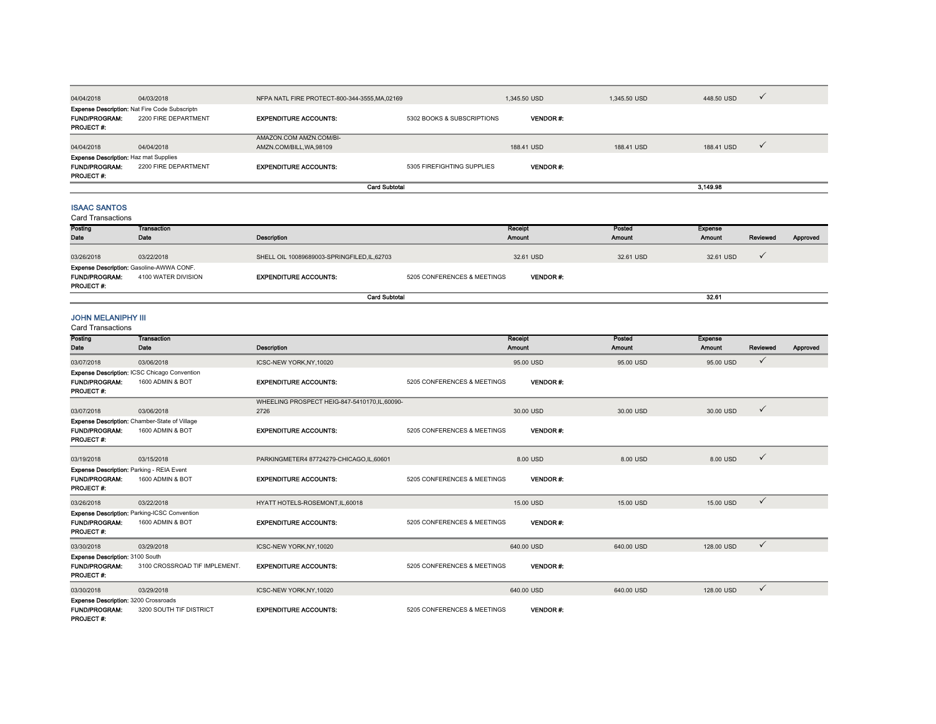| 04/04/2018                                                                               | 04/03/2018                                                                   | NFPA NATL FIRE PROTECT-800-344-3555, MA, 02169    |                            | 1.345.50 USD    | 1.345.50 USD | 448,50 USD |  |
|------------------------------------------------------------------------------------------|------------------------------------------------------------------------------|---------------------------------------------------|----------------------------|-----------------|--------------|------------|--|
| <b>FUND/PROGRAM:</b><br><b>PROJECT #:</b>                                                | <b>Expense Description: Nat Fire Code Subscriptn</b><br>2200 FIRE DEPARTMENT | <b>EXPENDITURE ACCOUNTS:</b>                      | 5302 BOOKS & SUBSCRIPTIONS | <b>VENDOR#</b>  |              |            |  |
| 04/04/2018                                                                               | 04/04/2018                                                                   | AMAZON.COM AMZN.COM/BI-<br>AMZN.COM/BILL.WA.98109 |                            | 188.41 USD      | 188.41 USD   | 188.41 USD |  |
| <b>Expense Description: Haz mat Supplies</b><br><b>FUND/PROGRAM:</b><br><b>PROJECT#:</b> | 2200 FIRE DEPARTMENT                                                         | <b>EXPENDITURE ACCOUNTS:</b>                      | 5305 FIREFIGHTING SUPPLIES | <b>VENDOR#:</b> |              |            |  |
|                                                                                          | <b>Card Subtotal</b>                                                         |                                                   |                            |                 |              | 3,149.98   |  |

## ISAAC SANTOS

| <b>Card Transactions</b> |                                                 |                                              |                             |                |           |                |          |  |  |
|--------------------------|-------------------------------------------------|----------------------------------------------|-----------------------------|----------------|-----------|----------------|----------|--|--|
| Posting                  | Transaction                                     |                                              |                             | Receipt        | Posted    | <b>Expense</b> |          |  |  |
| Date                     | Date                                            | Description                                  |                             | <b>Amount</b>  | Amount    | <b>Amount</b>  | Reviewed |  |  |
|                          |                                                 |                                              |                             |                |           |                |          |  |  |
| 03/26/2018               | 03/22/2018                                      | SHELL OIL 10089689003-SPRINGFILED, IL, 62703 |                             | 32.61 USD      | 32.61 USD | 32.61 USD      |          |  |  |
|                          | <b>Expense Description: Gasoline-AWWA CONF.</b> |                                              |                             |                |           |                |          |  |  |
| <b>FUND/PROGRAM:</b>     | 4100 WATER DIVISION                             | <b>EXPENDITURE ACCOUNTS:</b>                 | 5205 CONFERENCES & MEETINGS | <b>VENDOR#</b> |           |                |          |  |  |
| <b>PROJECT#:</b>         |                                                 |                                              |                             |                |           |                |          |  |  |
|                          | <b>Card Subtotal</b>                            |                                              |                             |                |           |                |          |  |  |

proved

### JOHN MELANIPHY III

| <b>Card Transactions</b>                                                                |                                                                   |                                                      |                             |                   |                  |                          |              |          |
|-----------------------------------------------------------------------------------------|-------------------------------------------------------------------|------------------------------------------------------|-----------------------------|-------------------|------------------|--------------------------|--------------|----------|
| Posting<br>Date                                                                         | <b>Transaction</b><br>Date                                        | Description                                          |                             | Receipt<br>Amount | Posted<br>Amount | <b>Expense</b><br>Amount | Reviewed     | Approved |
| 03/07/2018                                                                              | 03/06/2018                                                        | ICSC-NEW YORK, NY, 10020                             |                             | 95.00 USD         | 95.00 USD        | 95.00 USD                | ✓            |          |
| <b>FUND/PROGRAM:</b><br><b>PROJECT#:</b>                                                | Expense Description: ICSC Chicago Convention<br>1600 ADMIN & BOT  | <b>EXPENDITURE ACCOUNTS:</b>                         | 5205 CONFERENCES & MEETINGS | <b>VENDOR#</b>    |                  |                          |              |          |
| 03/07/2018                                                                              | 03/06/2018                                                        | WHEELING PROSPECT HEIG-847-5410170,IL,60090-<br>2726 |                             | 30.00 USD         | 30.00 USD        | 30.00 USD                | $\checkmark$ |          |
| <b>FUND/PROGRAM:</b><br>PROJECT#:                                                       | Expense Description: Chamber-State of Village<br>1600 ADMIN & BOT | <b>EXPENDITURE ACCOUNTS:</b>                         | 5205 CONFERENCES & MEETINGS | <b>VENDOR#:</b>   |                  |                          |              |          |
| 03/19/2018                                                                              | 03/15/2018                                                        | PARKINGMETER4 87724279-CHICAGO.IL.60601              |                             | 8.00 USD          | 8.00 USD         | 8.00 USD                 | $\checkmark$ |          |
| Expense Description: Parking - REIA Event<br><b>FUND/PROGRAM:</b><br><b>PROJECT#:</b>   | 1600 ADMIN & BOT                                                  | <b>EXPENDITURE ACCOUNTS:</b>                         | 5205 CONFERENCES & MEETINGS | <b>VENDOR#</b>    |                  |                          |              |          |
| 03/26/2018                                                                              | 03/22/2018                                                        | HYATT HOTELS-ROSEMONT, IL, 60018                     |                             | 15,00 USD         | 15,00 USD        | 15.00 USD                | $\checkmark$ |          |
| <b>FUND/PROGRAM:</b><br>PROJECT #:                                                      | Expense Description: Parking-ICSC Convention<br>1600 ADMIN & BOT  | <b>EXPENDITURE ACCOUNTS:</b>                         | 5205 CONFERENCES & MEETINGS | <b>VENDOR#:</b>   |                  |                          |              |          |
| 03/30/2018                                                                              | 03/29/2018                                                        | ICSC-NEW YORK, NY, 10020                             |                             | 640.00 USD        | 640.00 USD       | 128.00 USD               | $\checkmark$ |          |
| Expense Description: 3100 South<br><b>FUND/PROGRAM:</b><br>PROJECT #:                   | 3100 CROSSROAD TIF IMPLEMENT.                                     | <b>EXPENDITURE ACCOUNTS:</b>                         | 5205 CONFERENCES & MEETINGS | <b>VENDOR#:</b>   |                  |                          |              |          |
| 03/30/2018                                                                              | 03/29/2018                                                        | ICSC-NEW YORK, NY, 10020                             |                             | 640.00 USD        | 640.00 USD       | 128,00 USD               | $\checkmark$ |          |
| <b>Expense Description: 3200 Crossroads</b><br><b>FUND/PROGRAM:</b><br><b>PROJECT#:</b> | 3200 SOUTH TIF DISTRICT                                           | <b>EXPENDITURE ACCOUNTS:</b>                         | 5205 CONFERENCES & MEETINGS | <b>VENDOR#:</b>   |                  |                          |              |          |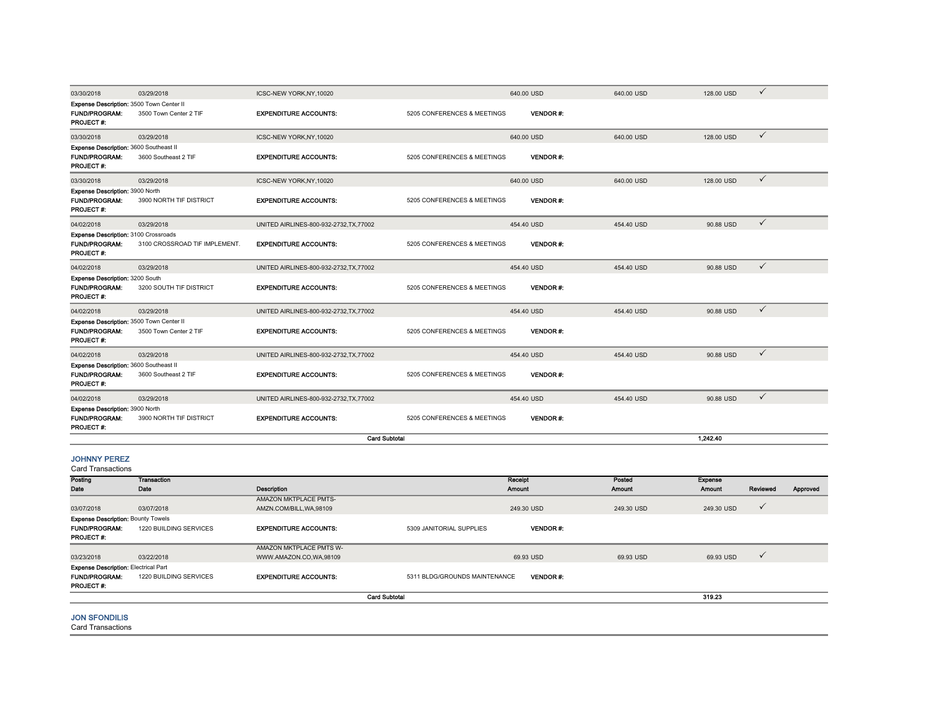| 03/30/2018                                                                           | 03/29/2018                    | ICSC-NEW YORK, NY, 10020                          |                               | 640.00 USD               | 640.00 USD              | 128.00 USD               | $\checkmark$ |          |
|--------------------------------------------------------------------------------------|-------------------------------|---------------------------------------------------|-------------------------------|--------------------------|-------------------------|--------------------------|--------------|----------|
| Expense Description: 3500 Town Center II<br><b>FUND/PROGRAM:</b><br>PROJECT#:        | 3500 Town Center 2 TIF        | <b>EXPENDITURE ACCOUNTS:</b>                      | 5205 CONFERENCES & MEETINGS   | <b>VENDOR#:</b>          |                         |                          |              |          |
| 03/30/2018                                                                           | 03/29/2018                    | ICSC-NEW YORK, NY, 10020                          |                               | 640.00 USD               | 640.00 USD              | 128.00 USD               | $\checkmark$ |          |
| Expense Description: 3600 Southeast II<br><b>FUND/PROGRAM:</b><br>PROJECT #:         | 3600 Southeast 2 TIF          | <b>EXPENDITURE ACCOUNTS:</b>                      | 5205 CONFERENCES & MEETINGS   | <b>VENDOR#:</b>          |                         |                          |              |          |
| 03/30/2018                                                                           | 03/29/2018                    | ICSC-NEW YORK, NY, 10020                          |                               | 640.00 USD               | 640.00 USD              | 128.00 USD               | $\checkmark$ |          |
| Expense Description: 3900 North<br><b>FUND/PROGRAM:</b><br>PROJECT #:                | 3900 NORTH TIF DISTRICT       | <b>EXPENDITURE ACCOUNTS:</b>                      | 5205 CONFERENCES & MEETINGS   | <b>VENDOR#:</b>          |                         |                          |              |          |
| 04/02/2018                                                                           | 03/29/2018                    | UNITED AIRLINES-800-932-2732, TX, 77002           |                               | 454.40 USD               | 454.40 USD              | 90.88 USD                | $\checkmark$ |          |
| Expense Description: 3100 Crossroads<br><b>FUND/PROGRAM:</b><br>PROJECT#:            | 3100 CROSSROAD TIF IMPLEMENT. | <b>EXPENDITURE ACCOUNTS:</b>                      | 5205 CONFERENCES & MEETINGS   | <b>VENDOR#:</b>          |                         |                          |              |          |
| 04/02/2018                                                                           | 03/29/2018                    | UNITED AIRLINES-800-932-2732, TX, 77002           |                               | 454.40 USD               | 454.40 USD              | 90.88 USD                | $\checkmark$ |          |
| Expense Description: 3200 South<br><b>FUND/PROGRAM:</b><br>PROJECT#:                 | 3200 SOUTH TIF DISTRICT       | <b>EXPENDITURE ACCOUNTS:</b>                      | 5205 CONFERENCES & MEETINGS   | <b>VENDOR#:</b>          |                         |                          |              |          |
| 04/02/2018                                                                           | 03/29/2018                    | UNITED AIRLINES-800-932-2732, TX, 77002           |                               | 454.40 USD               | 454.40 USD              | 90.88 USD                | $\checkmark$ |          |
| Expense Description: 3500 Town Center II<br><b>FUND/PROGRAM:</b><br><b>PROJECT#:</b> | 3500 Town Center 2 TIF        | <b>EXPENDITURE ACCOUNTS:</b>                      | 5205 CONFERENCES & MEETINGS   | <b>VENDOR#:</b>          |                         |                          |              |          |
| 04/02/2018                                                                           | 03/29/2018                    | UNITED AIRLINES-800-932-2732, TX, 77002           |                               | 454.40 USD               | 454.40 USD              | 90.88 USD                | $\checkmark$ |          |
| Expense Description: 3600 Southeast II<br><b>FUND/PROGRAM:</b><br>PROJECT #:         | 3600 Southeast 2 TIF          | <b>EXPENDITURE ACCOUNTS:</b>                      | 5205 CONFERENCES & MEETINGS   | <b>VENDOR#:</b>          |                         |                          |              |          |
| 04/02/2018                                                                           | 03/29/2018                    | UNITED AIRLINES-800-932-2732, TX, 77002           |                               | 454.40 USD               | 454.40 USD              | 90.88 USD                | $\checkmark$ |          |
| <b>Expense Description: 3900 North</b><br>FUND/PROGRAM:<br>PROJECT#:                 | 3900 NORTH TIF DISTRICT       | <b>EXPENDITURE ACCOUNTS:</b>                      | 5205 CONFERENCES & MEETINGS   | <b>VENDOR#:</b>          |                         |                          |              |          |
|                                                                                      |                               | <b>Card Subtotal</b>                              |                               |                          |                         | 1,242.40                 |              |          |
| <b>JOHNNY PEREZ</b><br><b>Card Transactions</b>                                      |                               |                                                   |                               |                          |                         |                          |              |          |
| Posting<br>Date                                                                      | <b>Transaction</b><br>Date    | Description                                       |                               | Receipt<br><b>Amount</b> | Posted<br><b>Amount</b> | Expense<br><b>Amount</b> | Reviewed     | Approved |
| 03/07/2018<br><b>Expense Description: Bounty Towels</b>                              | 03/07/2018                    | AMAZON MKTPLACE PMTS-<br>AMZN.COM/BILL, WA, 98109 |                               | 249.30 USD               | 249.30 USD              | 249.30 USD               | $\checkmark$ |          |
| FUND/PROGRAM:<br>PROJECT#:                                                           | 1220 BUILDING SERVICES        | <b>EXPENDITURE ACCOUNTS:</b>                      | 5309 JANITORIAL SUPPLIES      | <b>VENDOR#:</b>          |                         |                          |              |          |
| 03/23/2018                                                                           | 03/22/2018                    | AMAZON MKTPLACE PMTS W-<br>WWW.AMAZON.CO,WA,98109 |                               | 69.93 USD                | 69.93 USD               | 69.93 USD                | $\checkmark$ |          |
| <b>Expense Description: Electrical Part</b><br><b>FUND/PROGRAM:</b><br>PROJECT#:     | 1220 BUILDING SERVICES        | <b>EXPENDITURE ACCOUNTS:</b>                      | 5311 BLDG/GROUNDS MAINTENANCE | VENDOR#:                 |                         |                          |              |          |
|                                                                                      |                               | <b>Card Subtotal</b>                              |                               |                          |                         | 319.23                   |              |          |

## JON SFONDILIS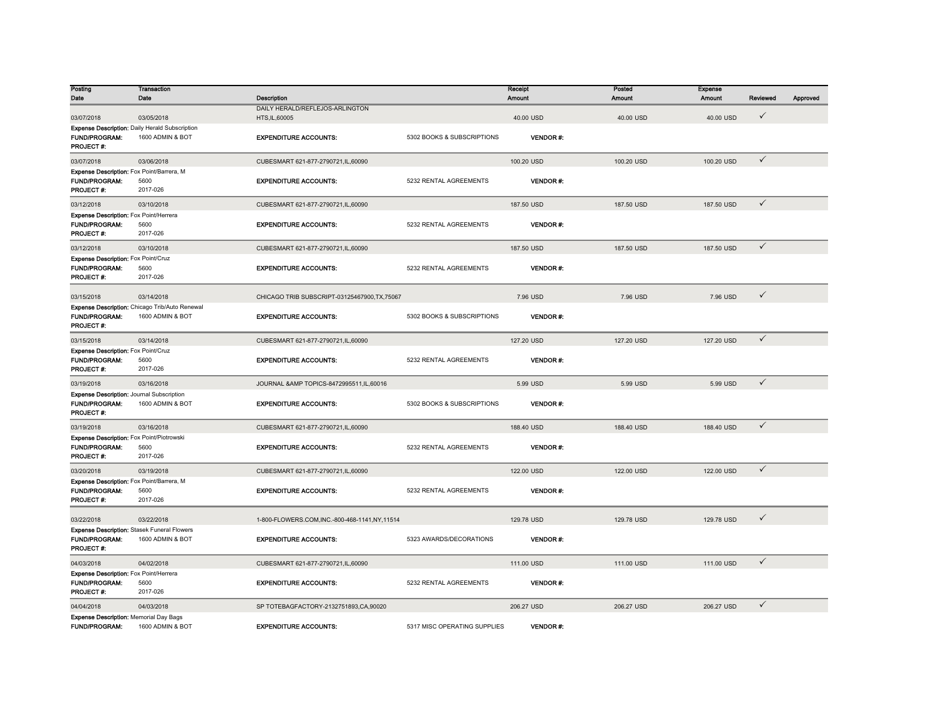| Posting                                            | <b>Transaction</b>                                    |                                               |                              | Receipt         | Posted        | <b>Expense</b> |              |          |
|----------------------------------------------------|-------------------------------------------------------|-----------------------------------------------|------------------------------|-----------------|---------------|----------------|--------------|----------|
| Date                                               | Date                                                  | Description                                   |                              | <b>Amount</b>   | <b>Amount</b> | <b>Amount</b>  | Reviewed     | Approved |
|                                                    |                                                       | DAILY HERALD/REFLEJOS-ARLINGTON               |                              |                 |               |                |              |          |
| 03/07/2018                                         | 03/05/2018                                            | HTS, IL, 60005                                |                              | 40.00 USD       | 40.00 USD     | 40.00 USD      | $\checkmark$ |          |
|                                                    | <b>Expense Description: Daily Herald Subscription</b> |                                               |                              |                 |               |                |              |          |
| FUND/PROGRAM:                                      | 1600 ADMIN & BOT                                      | <b>EXPENDITURE ACCOUNTS:</b>                  | 5302 BOOKS & SUBSCRIPTIONS   | VENDOR#:        |               |                |              |          |
| <b>PROJECT #:</b>                                  |                                                       |                                               |                              |                 |               |                |              |          |
| 03/07/2018                                         | 03/06/2018                                            | CUBESMART 621-877-2790721.IL.60090            |                              | 100.20 USD      | 100.20 USD    | 100.20 USD     | $\checkmark$ |          |
| Expense Description: Fox Point/Barrera, M          |                                                       |                                               |                              |                 |               |                |              |          |
| FUND/PROGRAM:                                      | 5600                                                  | <b>EXPENDITURE ACCOUNTS:</b>                  | 5232 RENTAL AGREEMENTS       | <b>VENDOR#:</b> |               |                |              |          |
| <b>PROJECT#:</b>                                   | 2017-026                                              |                                               |                              |                 |               |                |              |          |
| 03/12/2018                                         | 03/10/2018                                            | CUBESMART 621-877-2790721,IL,60090            |                              | 187.50 USD      | 187.50 USD    | 187.50 USD     | $\checkmark$ |          |
| Expense Description: Fox Point/Herrera             |                                                       |                                               |                              |                 |               |                |              |          |
| <b>FUND/PROGRAM:</b>                               | 5600                                                  | <b>EXPENDITURE ACCOUNTS:</b>                  | 5232 RENTAL AGREEMENTS       | <b>VENDOR#:</b> |               |                |              |          |
| <b>PROJECT#:</b>                                   | 2017-026                                              |                                               |                              |                 |               |                |              |          |
| 03/12/2018                                         | 03/10/2018                                            | CUBESMART 621-877-2790721,IL,60090            |                              | 187.50 USD      | 187.50 USD    | 187.50 USD     | $\checkmark$ |          |
| Expense Description: Fox Point/Cruz                |                                                       |                                               |                              |                 |               |                |              |          |
| <b>FUND/PROGRAM:</b><br>PROJECT #:                 | 5600<br>2017-026                                      | <b>EXPENDITURE ACCOUNTS:</b>                  | 5232 RENTAL AGREEMENTS       | <b>VENDOR#:</b> |               |                |              |          |
|                                                    |                                                       |                                               |                              |                 |               |                |              |          |
| 03/15/2018                                         | 03/14/2018                                            | CHICAGO TRIB SUBSCRIPT-03125467900, TX, 75067 |                              | 7.96 USD        | 7.96 USD      | 7.96 USD       | $\checkmark$ |          |
|                                                    | Expense Description: Chicago Trib/Auto Renewal        |                                               |                              |                 |               |                |              |          |
| <b>FUND/PROGRAM:</b>                               | 1600 ADMIN & BOT                                      | <b>EXPENDITURE ACCOUNTS:</b>                  | 5302 BOOKS & SUBSCRIPTIONS   | VENDOR#:        |               |                |              |          |
| PROJECT#:                                          |                                                       |                                               |                              |                 |               |                |              |          |
| 03/15/2018                                         | 03/14/2018                                            | CUBESMART 621-877-2790721.IL.60090            |                              | 127.20 USD      | 127,20 USD    | 127.20 USD     | $\checkmark$ |          |
| Expense Description: Fox Point/Cruz                |                                                       |                                               |                              |                 |               |                |              |          |
| FUND/PROGRAM:                                      | 5600                                                  | <b>EXPENDITURE ACCOUNTS:</b>                  | 5232 RENTAL AGREEMENTS       | <b>VENDOR#:</b> |               |                |              |          |
| PROJECT#:                                          | 2017-026                                              |                                               |                              |                 |               |                |              |          |
| 03/19/2018                                         | 03/16/2018                                            | JOURNAL & AMP TOPICS-8472995511.IL.60016      |                              | 5.99 USD        | 5.99 USD      | 5.99 USD       | $\checkmark$ |          |
| <b>Expense Description: Journal Subscription</b>   |                                                       |                                               |                              |                 |               |                |              |          |
| FUND/PROGRAM:                                      | 1600 ADMIN & BOT                                      | <b>EXPENDITURE ACCOUNTS:</b>                  | 5302 BOOKS & SUBSCRIPTIONS   | <b>VENDOR#:</b> |               |                |              |          |
| <b>PROJECT#:</b>                                   |                                                       |                                               |                              |                 |               |                |              |          |
| 03/19/2018                                         | 03/16/2018                                            | CUBESMART 621-877-2790721,IL,60090            |                              | 188.40 USD      | 188.40 USD    | 188.40 USD     | $\checkmark$ |          |
| Expense Description: Fox Point/Piotrowski          |                                                       |                                               |                              |                 |               |                |              |          |
| FUND/PROGRAM:                                      | 5600                                                  | <b>EXPENDITURE ACCOUNTS:</b>                  | 5232 RENTAL AGREEMENTS       | VENDOR#:        |               |                |              |          |
| <b>PROJECT#:</b>                                   | 2017-026                                              |                                               |                              |                 |               |                |              |          |
| 03/20/2018                                         | 03/19/2018                                            | CUBESMART 621-877-2790721,IL,60090            |                              | 122.00 USD      | 122.00 USD    | 122.00 USD     | $\checkmark$ |          |
| Expense Description: Fox Point/Barrera, M          |                                                       |                                               |                              |                 |               |                |              |          |
| FUND/PROGRAM:                                      | 5600                                                  | <b>EXPENDITURE ACCOUNTS:</b>                  | 5232 RENTAL AGREEMENTS       | <b>VENDOR#:</b> |               |                |              |          |
| <b>PROJECT#:</b>                                   | 2017-026                                              |                                               |                              |                 |               |                |              |          |
| 03/22/2018                                         | 03/22/2018                                            | 1-800-FLOWERS.COM,INC.-800-468-1141,NY,11514  |                              | 129.78 USD      | 129.78 USD    | 129.78 USD     | $\checkmark$ |          |
| <b>Expense Description: Stasek Funeral Flowers</b> |                                                       |                                               |                              |                 |               |                |              |          |
| <b>FUND/PROGRAM:</b>                               | 1600 ADMIN & BOT                                      | <b>EXPENDITURE ACCOUNTS:</b>                  | 5323 AWARDS/DECORATIONS      | <b>VENDOR#:</b> |               |                |              |          |
| <b>PROJECT#:</b>                                   |                                                       |                                               |                              |                 |               |                |              |          |
| 04/03/2018                                         | 04/02/2018                                            | CUBESMART 621-877-2790721,IL,60090            |                              | 111.00 USD      | 111.00 USD    | 111.00 USD     | $\checkmark$ |          |
| Expense Description: Fox Point/Herrera             |                                                       |                                               |                              |                 |               |                |              |          |
| <b>FUND/PROGRAM:</b>                               | 5600                                                  | <b>EXPENDITURE ACCOUNTS:</b>                  | 5232 RENTAL AGREEMENTS       | <b>VENDOR#:</b> |               |                |              |          |
| PROJECT#:                                          | 2017-026                                              |                                               |                              |                 |               |                |              |          |
| 04/04/2018                                         | 04/03/2018                                            | SP TOTEBAGFACTORY-2132751893,CA,90020         |                              | 206.27 USD      | 206.27 USD    | 206.27 USD     | $\checkmark$ |          |
| <b>Expense Description: Memorial Day Bags</b>      |                                                       |                                               |                              |                 |               |                |              |          |
| <b>FUND/PROGRAM:</b>                               | 1600 ADMIN & BOT                                      | <b>EXPENDITURE ACCOUNTS:</b>                  | 5317 MISC OPERATING SUPPLIES | VENDOR#:        |               |                |              |          |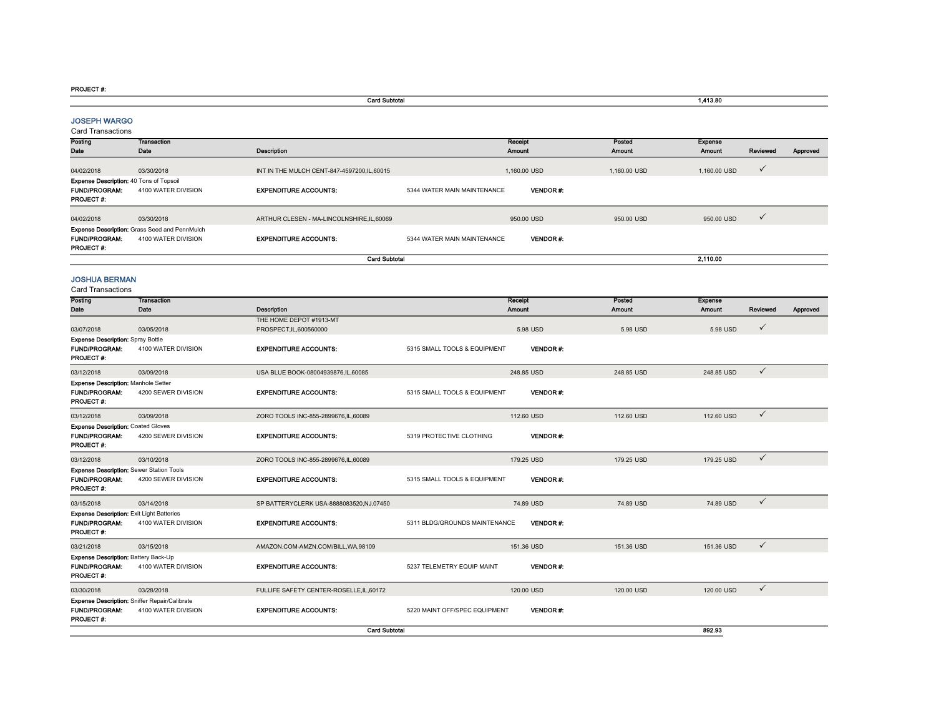#### PROJECT #:

|                                                                                |                                                                      | <b>Card Subtotal</b>                       |                               |                 |              | 1,413.80       |              |          |
|--------------------------------------------------------------------------------|----------------------------------------------------------------------|--------------------------------------------|-------------------------------|-----------------|--------------|----------------|--------------|----------|
| <b>JOSEPH WARGO</b><br>Card Transactions                                       |                                                                      |                                            |                               |                 |              |                |              |          |
| Posting                                                                        | Transaction                                                          |                                            |                               | Receipt         | Posted       | <b>Expense</b> |              |          |
| Date                                                                           | Date                                                                 | Description                                |                               | Amount          | Amount       | Amount         | Reviewed     | Approved |
| 04/02/2018                                                                     | 03/30/2018                                                           | INT IN THE MULCH CENT-847-4597200.IL.60015 |                               | 1.160.00 USD    | 1.160.00 USD | 1.160.00 USD   | $\checkmark$ |          |
| Expense Description: 40 Tons of Topsoil                                        |                                                                      |                                            |                               |                 |              |                |              |          |
| <b>FUND/PROGRAM:</b><br><b>PROJECT#:</b>                                       | 4100 WATER DIVISION                                                  | <b>EXPENDITURE ACCOUNTS:</b>               | 5344 WATER MAIN MAINTENANCE   | VENDOR #.       |              |                |              |          |
| 04/02/2018                                                                     | 03/30/2018                                                           | ARTHUR CLESEN - MA-LINCOLNSHIRE, IL, 60069 |                               | 950.00 USD      | 950.00 USD   | 950.00 USD     | $\checkmark$ |          |
|                                                                                | Expense Description: Grass Seed and PennMulch                        |                                            |                               |                 |              |                |              |          |
| <b>FUND/PROGRAM:</b><br>PROJECT #:                                             | 4100 WATER DIVISION                                                  | <b>EXPENDITURE ACCOUNTS:</b>               | 5344 WATER MAIN MAINTENANCE   | <b>VENDOR#:</b> |              |                |              |          |
|                                                                                |                                                                      | <b>Card Subtotal</b>                       |                               |                 |              | 2,110.00       |              |          |
| <b>JOSHUA BERMAN</b><br><b>Card Transactions</b>                               |                                                                      |                                            |                               |                 |              |                |              |          |
| Posting                                                                        | <b>Transaction</b>                                                   |                                            |                               | Receipt         | Posted       | Expense        |              |          |
| Date                                                                           | Date                                                                 | Description                                |                               | <b>Amount</b>   | Amount       | Amount         | Reviewed     | Approved |
|                                                                                |                                                                      | THE HOME DEPOT #1913-MT                    |                               |                 |              |                | $\checkmark$ |          |
| 03/07/2018                                                                     | 03/05/2018                                                           | PROSPECT.IL.600560000                      |                               | 5.98 USD        | 5.98 USD     | 5.98 USD       |              |          |
| <b>Expense Description: Spray Bottle</b><br><b>FUND/PROGRAM:</b><br>PROJECT #: | 4100 WATER DIVISION                                                  | <b>EXPENDITURE ACCOUNTS:</b>               | 5315 SMALL TOOLS & EQUIPMENT  | <b>VENDOR#:</b> |              |                |              |          |
| 03/12/2018                                                                     | 03/09/2018                                                           | USA BLUE BOOK-08004939876,IL,60085         |                               | 248.85 USD      | 248.85 USD   | 248.85 USD     | $\checkmark$ |          |
| Expense Description: Manhole Setter                                            |                                                                      |                                            |                               |                 |              |                |              |          |
| FUND/PROGRAM:<br>PROJECT #:                                                    | 4200 SEWER DIVISION                                                  | <b>EXPENDITURE ACCOUNTS:</b>               | 5315 SMALL TOOLS & EQUIPMENT  | <b>VENDOR#:</b> |              |                |              |          |
| 03/12/2018                                                                     | 03/09/2018                                                           | ZORO TOOLS INC-855-2899676,IL,60089        |                               | 112.60 USD      | 112.60 USD   | 112.60 USD     | $\checkmark$ |          |
| <b>Expense Description: Coated Gloves</b>                                      |                                                                      |                                            |                               |                 |              |                |              |          |
| <b>FUND/PROGRAM:</b><br>PROJECT#:                                              | 4200 SEWER DIVISION                                                  | <b>EXPENDITURE ACCOUNTS:</b>               | 5319 PROTECTIVE CLOTHING      | <b>VENDOR#:</b> |              |                |              |          |
| 03/12/2018                                                                     | 03/10/2018                                                           | ZORO TOOLS INC-855-2899676,IL,60089        |                               | 179.25 USD      | 179.25 USD   | 179.25 USD     | $\checkmark$ |          |
| Expense Description: Sewer Station Tools                                       |                                                                      |                                            |                               |                 |              |                |              |          |
| <b>FUND/PROGRAM:</b><br>PROJECT#:                                              | 4200 SEWER DIVISION                                                  | <b>EXPENDITURE ACCOUNTS:</b>               | 5315 SMALL TOOLS & EQUIPMENT  | <b>VENDOR#:</b> |              |                |              |          |
| 03/15/2018                                                                     | 03/14/2018                                                           | SP BATTERYCLERK USA-8888083520, NJ, 07450  |                               | 74.89 USD       | 74.89 USD    | 74.89 USD      | $\checkmark$ |          |
| <b>Expense Description: Exit Light Batteries</b>                               |                                                                      |                                            |                               |                 |              |                |              |          |
| <b>FUND/PROGRAM:</b><br><b>PROJECT#:</b>                                       | 4100 WATER DIVISION                                                  | <b>EXPENDITURE ACCOUNTS:</b>               | 5311 BLDG/GROUNDS MAINTENANCE | <b>VENDOR#:</b> |              |                |              |          |
| 03/21/2018                                                                     | 03/15/2018                                                           | AMAZON.COM-AMZN.COM/BILL, WA, 98109        |                               | 151.36 USD      | 151.36 USD   | 151.36 USD     | $\checkmark$ |          |
| Expense Description: Battery Back-Up<br><b>FUND/PROGRAM:</b><br>PROJECT #:     | 4100 WATER DIVISION                                                  | <b>EXPENDITURE ACCOUNTS:</b>               | 5237 TELEMETRY EQUIP MAINT    | <b>VENDOR#:</b> |              |                |              |          |
| 03/30/2018                                                                     | 03/28/2018                                                           | FULLIFE SAFETY CENTER-ROSELLE, IL, 60172   |                               | 120.00 USD      | 120.00 USD   | 120.00 USD     | $\checkmark$ |          |
| <b>FUND/PROGRAM:</b><br>PROJECT#:                                              | Expense Description: Sniffer Repair/Calibrate<br>4100 WATER DIVISION | <b>EXPENDITURE ACCOUNTS:</b>               | 5220 MAINT OFF/SPEC EQUIPMENT | <b>VENDOR#:</b> |              |                |              |          |
|                                                                                |                                                                      | <b>Card Subtotal</b>                       |                               |                 |              | 892.93         |              |          |

892.93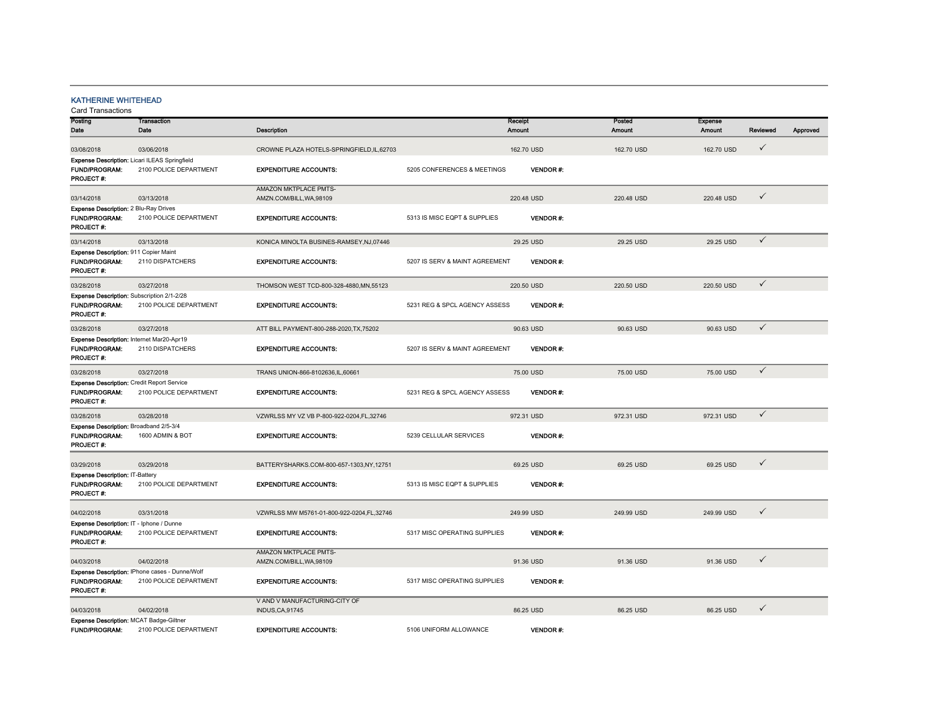## KATHERINE WHITEHEAD

| Posting                                           | <b>Transaction</b>                                   |                                           |                                | Receipt         | Posted     | <b>Expense</b> |              |          |
|---------------------------------------------------|------------------------------------------------------|-------------------------------------------|--------------------------------|-----------------|------------|----------------|--------------|----------|
| Date                                              | Date                                                 | <b>Description</b>                        |                                | Amount          | Amount     | Amount         | Reviewed     | Approved |
|                                                   |                                                      |                                           |                                |                 |            |                |              |          |
| 03/08/2018                                        | 03/06/2018                                           | CROWNE PLAZA HOTELS-SPRINGFIELD,IL,62703  |                                | 162.70 USD      | 162.70 USD | 162.70 USD     | $\checkmark$ |          |
|                                                   | <b>Expense Description: Licari ILEAS Springfield</b> |                                           |                                |                 |            |                |              |          |
| <b>FUND/PROGRAM:</b>                              | 2100 POLICE DEPARTMENT                               | <b>EXPENDITURE ACCOUNTS:</b>              | 5205 CONFERENCES & MEETINGS    | <b>VENDOR#:</b> |            |                |              |          |
| PROJECT #:                                        |                                                      |                                           |                                |                 |            |                |              |          |
|                                                   |                                                      | AMAZON MKTPLACE PMTS-                     |                                |                 |            |                |              |          |
| 03/14/2018                                        | 03/13/2018                                           | AMZN.COM/BILL, WA, 98109                  |                                | 220.48 USD      | 220.48 USD | 220.48 USD     | ✓            |          |
|                                                   |                                                      |                                           |                                |                 |            |                |              |          |
| Expense Description: 2 Blu-Ray Drives             |                                                      |                                           |                                |                 |            |                |              |          |
| <b>FUND/PROGRAM:</b>                              | 2100 POLICE DEPARTMENT                               | <b>EXPENDITURE ACCOUNTS:</b>              | 5313 IS MISC EQPT & SUPPLIES   | <b>VENDOR#:</b> |            |                |              |          |
| PROJECT#:                                         |                                                      |                                           |                                |                 |            |                |              |          |
| 03/14/2018                                        | 03/13/2018                                           | KONICA MINOLTA BUSINES-RAMSEY, NJ, 07446  |                                | 29.25 USD       | 29.25 USD  | 29.25 USD      | $\checkmark$ |          |
|                                                   |                                                      |                                           |                                |                 |            |                |              |          |
| Expense Description: 911 Copier Maint             |                                                      |                                           |                                |                 |            |                |              |          |
| <b>FUND/PROGRAM:</b>                              | 2110 DISPATCHERS                                     | <b>EXPENDITURE ACCOUNTS:</b>              | 5207 IS SERV & MAINT AGREEMENT | <b>VENDOR#:</b> |            |                |              |          |
| PROJECT #:                                        |                                                      |                                           |                                |                 |            |                |              |          |
| 03/28/2018                                        | 03/27/2018                                           | THOMSON WEST TCD-800-328-4880, MN, 55123  |                                | 220.50 USD      | 220.50 USD | 220.50 USD     | $\checkmark$ |          |
|                                                   |                                                      |                                           |                                |                 |            |                |              |          |
| Expense Description: Subscription 2/1-2/28        |                                                      |                                           |                                |                 |            |                |              |          |
| <b>FUND/PROGRAM:</b>                              | 2100 POLICE DEPARTMENT                               | <b>EXPENDITURE ACCOUNTS:</b>              | 5231 REG & SPCL AGENCY ASSESS  | <b>VENDOR#:</b> |            |                |              |          |
| PROJECT#:                                         |                                                      |                                           |                                |                 |            |                |              |          |
|                                                   |                                                      |                                           |                                |                 | 90.63 USD  |                | $\checkmark$ |          |
| 03/28/2018                                        | 03/27/2018                                           | ATT BILL PAYMENT-800-288-2020, TX, 75202  |                                | 90.63 USD       |            | 90.63 USD      |              |          |
| Expense Description: Internet Mar20-Apr19         |                                                      |                                           |                                |                 |            |                |              |          |
| <b>FUND/PROGRAM:</b>                              | 2110 DISPATCHERS                                     | <b>EXPENDITURE ACCOUNTS:</b>              | 5207 IS SERV & MAINT AGREEMENT | <b>VENDOR#:</b> |            |                |              |          |
| PROJECT #:                                        |                                                      |                                           |                                |                 |            |                |              |          |
|                                                   |                                                      |                                           |                                |                 |            |                | $\checkmark$ |          |
| 03/28/2018                                        | 03/27/2018                                           | TRANS UNION-866-8102636,IL,60661          |                                | 75.00 USD       | 75.00 USD  | 75.00 USD      |              |          |
| <b>Expense Description: Credit Report Service</b> |                                                      |                                           |                                |                 |            |                |              |          |
| <b>FUND/PROGRAM:</b>                              | 2100 POLICE DEPARTMENT                               | <b>EXPENDITURE ACCOUNTS:</b>              | 5231 REG & SPCL AGENCY ASSESS  | <b>VENDOR#:</b> |            |                |              |          |
| <b>PROJECT#:</b>                                  |                                                      |                                           |                                |                 |            |                |              |          |
| 03/28/2018                                        | 03/28/2018                                           | VZWRLSS MY VZ VB P-800-922-0204,FL,32746  |                                | 972.31 USD      | 972.31 USD | 972.31 USD     | $\checkmark$ |          |
|                                                   |                                                      |                                           |                                |                 |            |                |              |          |
| Expense Description: Broadband 2/5-3/4            |                                                      |                                           |                                |                 |            |                |              |          |
| <b>FUND/PROGRAM:</b>                              | 1600 ADMIN & BOT                                     | <b>EXPENDITURE ACCOUNTS:</b>              | 5239 CELLULAR SERVICES         | <b>VENDOR#:</b> |            |                |              |          |
| PROJECT #:                                        |                                                      |                                           |                                |                 |            |                |              |          |
|                                                   |                                                      |                                           |                                |                 |            |                |              |          |
| 03/29/2018                                        | 03/29/2018                                           | BATTERYSHARKS.COM-800-657-1303,NY,12751   |                                | 69.25 USD       | 69.25 USD  | 69.25 USD      | ✓            |          |
| Expense Description: IT-Battery                   |                                                      |                                           |                                |                 |            |                |              |          |
| <b>FUND/PROGRAM:</b>                              | 2100 POLICE DEPARTMENT                               | <b>EXPENDITURE ACCOUNTS:</b>              | 5313 IS MISC EQPT & SUPPLIES   | <b>VENDOR#:</b> |            |                |              |          |
| PROJECT#:                                         |                                                      |                                           |                                |                 |            |                |              |          |
|                                                   |                                                      |                                           |                                |                 |            |                |              |          |
|                                                   |                                                      |                                           |                                |                 |            |                | $\checkmark$ |          |
| 04/02/2018                                        | 03/31/2018                                           | VZWRLSS MW M5761-01-800-922-0204.FL.32746 |                                | 249.99 USD      | 249.99 USD | 249.99 USD     |              |          |
| Expense Description: IT - Iphone / Dunne          |                                                      |                                           |                                |                 |            |                |              |          |
| <b>FUND/PROGRAM:</b>                              | 2100 POLICE DEPARTMENT                               | <b>EXPENDITURE ACCOUNTS:</b>              | 5317 MISC OPERATING SUPPLIES   | <b>VENDOR#:</b> |            |                |              |          |
| PROJECT #:                                        |                                                      |                                           |                                |                 |            |                |              |          |
|                                                   |                                                      | AMAZON MKTPLACE PMTS-                     |                                |                 |            |                |              |          |
| 04/03/2018                                        | 04/02/2018                                           | AMZN.COM/BILL.WA.98109                    |                                | 91.36 USD       | 91.36 USD  | 91.36 USD      | ✓            |          |
|                                                   |                                                      |                                           |                                |                 |            |                |              |          |
|                                                   | Expense Description: IPhone cases - Dunne/Wolf       |                                           |                                |                 |            |                |              |          |
| <b>FUND/PROGRAM:</b>                              | 2100 POLICE DEPARTMENT                               | <b>EXPENDITURE ACCOUNTS:</b>              | 5317 MISC OPERATING SUPPLIES   | <b>VENDOR#:</b> |            |                |              |          |
| PROJECT#:                                         |                                                      |                                           |                                |                 |            |                |              |          |
|                                                   |                                                      | V AND V MANUFACTURING-CITY OF             |                                |                 |            |                |              |          |
| 04/03/2018                                        | 04/02/2018                                           | <b>INDUS, CA, 91745</b>                   |                                | 86.25 USD       | 86.25 USD  | 86.25 USD      | ✓            |          |
| Expense Description: MCAT Badge-Giltner           |                                                      |                                           |                                |                 |            |                |              |          |
| <b>FUND/PROGRAM:</b>                              | 2100 POLICE DEPARTMENT                               | <b>EXPENDITURE ACCOUNTS:</b>              | 5106 UNIFORM ALLOWANCE         | <b>VENDOR#:</b> |            |                |              |          |
|                                                   |                                                      |                                           |                                |                 |            |                |              |          |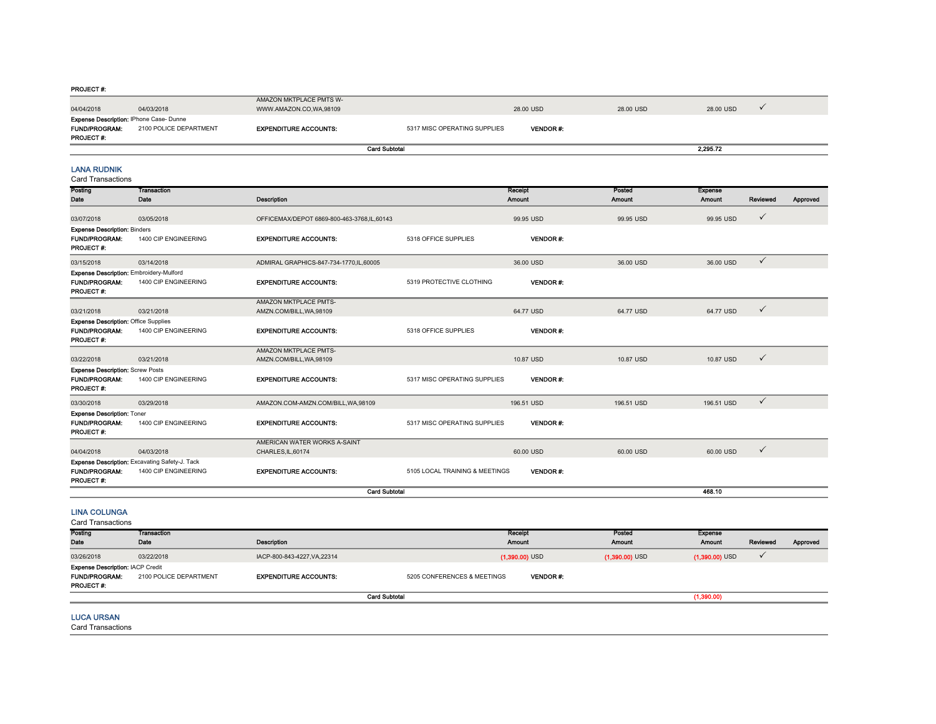#### PROJECT #:

| 04/04/2018                                                                                | 04/03/2018             | AMAZON MKTPLACE PMTS W-<br>WWW.AMAZON.CO.WA.98109 |                              | 28.00 USD       | 28.00 USD | 28.00 USD |  |
|-------------------------------------------------------------------------------------------|------------------------|---------------------------------------------------|------------------------------|-----------------|-----------|-----------|--|
| <b>Expense Description: IPhone Case-Dunne</b><br><b>FUND/PROGRAM:</b><br><b>PROJECT#:</b> | 2100 POLICE DEPARTMENT | <b>EXPENDITURE ACCOUNTS:</b>                      | 5317 MISC OPERATING SUPPLIES | <b>VENDOR#:</b> |           |           |  |
|                                                                                           |                        |                                                   | <b>Card Subtotal</b>         |                 |           | 2.295.72  |  |

LANA RUDNIK

|--|

| Posting<br>Date                                                                         | <b>Transaction</b><br>Date                                             | Description                                        |                                | Receipt<br>Amount | Posted<br><b>Amount</b> | <b>Expense</b><br>Amount | Reviewed     | Approved |
|-----------------------------------------------------------------------------------------|------------------------------------------------------------------------|----------------------------------------------------|--------------------------------|-------------------|-------------------------|--------------------------|--------------|----------|
| 03/07/2018                                                                              | 03/05/2018                                                             | OFFICEMAX/DEPOT 6869-800-463-3768,IL,60143         |                                | 99.95 USD         | 99.95 USD               | 99.95 USD                | $\checkmark$ |          |
| <b>Expense Description: Binders</b><br><b>FUND/PROGRAM:</b><br><b>PROJECT#:</b>         | 1400 CIP ENGINEERING                                                   | <b>EXPENDITURE ACCOUNTS:</b>                       | 5318 OFFICE SUPPLIES           | <b>VENDOR#</b>    |                         |                          |              |          |
| 03/15/2018                                                                              | 03/14/2018                                                             | ADMIRAL GRAPHICS-847-734-1770, IL, 60005           |                                | 36.00 USD         | 36,00 USD               | 36.00 USD                | $\checkmark$ |          |
| Expense Description: Embroidery-Mulford<br><b>FUND/PROGRAM:</b><br>PROJECT #:           | 1400 CIP ENGINEERING                                                   | <b>EXPENDITURE ACCOUNTS:</b>                       | 5319 PROTECTIVE CLOTHING       | <b>VENDOR#:</b>   |                         |                          |              |          |
| 03/21/2018                                                                              | 03/21/2018                                                             | AMAZON MKTPLACE PMTS-<br>AMZN.COM/BILL, WA, 98109  |                                | 64.77 USD         | 64.77 USD               | 64.77 USD                | $\checkmark$ |          |
| <b>Expense Description: Office Supplies</b><br><b>FUND/PROGRAM:</b><br><b>PROJECT#:</b> | 1400 CIP ENGINEERING                                                   | <b>EXPENDITURE ACCOUNTS:</b>                       | 5318 OFFICE SUPPLIES           | <b>VENDOR#:</b>   |                         |                          |              |          |
|                                                                                         |                                                                        | AMAZON MKTPLACE PMTS-                              |                                |                   |                         |                          |              |          |
| 03/22/2018                                                                              | 03/21/2018                                                             | AMZN.COM/BILL, WA, 98109                           |                                | 10.87 USD         | 10.87 USD               | 10.87 USD                | $\checkmark$ |          |
| <b>Expense Description: Screw Posts</b><br><b>FUND/PROGRAM:</b><br><b>PROJECT#:</b>     | 1400 CIP ENGINEERING                                                   | <b>EXPENDITURE ACCOUNTS:</b>                       | 5317 MISC OPERATING SUPPLIES   | <b>VENDOR#:</b>   |                         |                          |              |          |
| 03/30/2018                                                                              | 03/29/2018                                                             | AMAZON.COM-AMZN.COM/BILL, WA, 98109                |                                | 196.51 USD        | 196.51 USD              | 196.51 USD               | $\checkmark$ |          |
| <b>Expense Description: Toner</b><br><b>FUND/PROGRAM:</b><br><b>PROJECT#:</b>           | 1400 CIP ENGINEERING                                                   | <b>EXPENDITURE ACCOUNTS:</b>                       | 5317 MISC OPERATING SUPPLIES   | <b>VENDOR#:</b>   |                         |                          |              |          |
| 04/04/2018                                                                              | 04/03/2018                                                             | AMERICAN WATER WORKS A-SAINT<br>CHARLES, IL, 60174 |                                | 60.00 USD         | 60.00 USD               | 60.00 USD                | $\checkmark$ |          |
| <b>FUND/PROGRAM:</b><br>PROJECT#:                                                       | Expense Description: Excavating Safety-J. Tack<br>1400 CIP ENGINEERING | <b>EXPENDITURE ACCOUNTS:</b>                       | 5105 LOCAL TRAINING & MEETINGS | <b>VENDOR#:</b>   |                         |                          |              |          |
|                                                                                         |                                                                        | <b>Card Subtotal</b>                               |                                |                   |                         | 468.10                   |              |          |

## LINA COLUNGA

Card Transactions

| Posting<br>Date                         | <b>Transaction</b><br>Date | <b>Description</b>           | Receipt<br><b>Amount</b>    |                  | Posted<br><b>Amount</b> | <b>Expense</b><br><b>Amount</b> | Reviewed | Approved |
|-----------------------------------------|----------------------------|------------------------------|-----------------------------|------------------|-------------------------|---------------------------------|----------|----------|
| 03/26/2018                              | 03/22/2018                 | IACP-800-843-4227, VA, 22314 |                             | $(1,390.00)$ USD | $(1,390.00)$ USD        | $(1,390.00)$ USD                |          |          |
| <b>Expense Description: IACP Credit</b> |                            |                              |                             |                  |                         |                                 |          |          |
| <b>FUND/PROGRAM:</b>                    | 2100 POLICE DEPARTMENT     | <b>EXPENDITURE ACCOUNTS:</b> | 5205 CONFERENCES & MEETINGS | <b>VENDOR#:</b>  |                         |                                 |          |          |
| <b>PROJECT#:</b>                        |                            |                              |                             |                  |                         |                                 |          |          |
|                                         |                            |                              | <b>Card Subtotal</b>        |                  |                         | (1,390.00)                      |          |          |

## LUCA URSAN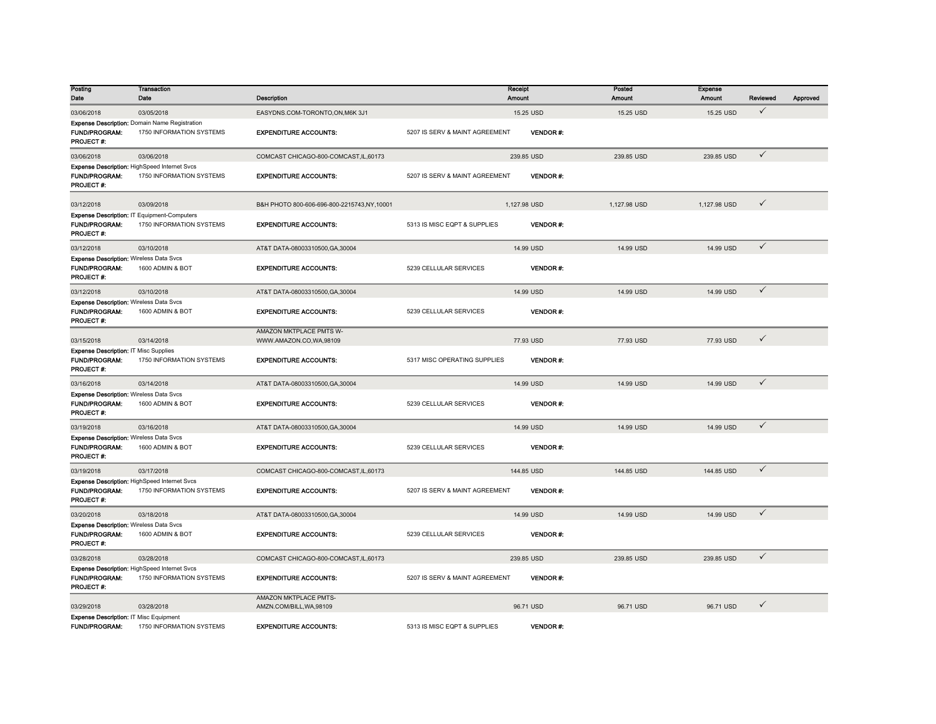| Posting<br>Date                                                                            | <b>Transaction</b><br>Date                                                | Description                                              |                                | Receipt<br>Amount | Posted<br>Amount | <b>Expense</b><br>Amount | Reviewed     | Approved |
|--------------------------------------------------------------------------------------------|---------------------------------------------------------------------------|----------------------------------------------------------|--------------------------------|-------------------|------------------|--------------------------|--------------|----------|
| 03/06/2018                                                                                 | 03/05/2018                                                                | EASYDNS.COM-TORONTO,ON,M6K 3J1                           |                                | 15.25 USD         | 15.25 USD        | 15.25 USD                | $\checkmark$ |          |
| <b>FUND/PROGRAM:</b><br>PROJECT#:                                                          | Expense Description: Domain Name Registration<br>1750 INFORMATION SYSTEMS | <b>EXPENDITURE ACCOUNTS:</b>                             | 5207 IS SERV & MAINT AGREEMENT | <b>VENDOR#:</b>   |                  |                          |              |          |
| 03/06/2018                                                                                 | 03/06/2018                                                                | COMCAST CHICAGO-800-COMCAST,IL,60173                     |                                | 239.85 USD        | 239.85 USD       | 239.85 USD               | $\checkmark$ |          |
| <b>FUND/PROGRAM:</b><br><b>PROJECT#:</b>                                                   | Expense Description: HighSpeed Internet Svcs<br>1750 INFORMATION SYSTEMS  | <b>EXPENDITURE ACCOUNTS:</b>                             | 5207 IS SERV & MAINT AGREEMENT | VENDOR#:          |                  |                          |              |          |
| 03/12/2018                                                                                 | 03/09/2018                                                                | B&H PHOTO 800-606-696-800-2215743,NY,10001               |                                | 1,127.98 USD      | 1,127.98 USD     | 1,127.98 USD             | ✓            |          |
| <b>FUND/PROGRAM:</b><br>PROJECT #:                                                         | Expense Description: IT Equipment-Computers<br>1750 INFORMATION SYSTEMS   | <b>EXPENDITURE ACCOUNTS:</b>                             | 5313 IS MISC EQPT & SUPPLIES   | <b>VENDOR#:</b>   |                  |                          |              |          |
| 03/12/2018                                                                                 | 03/10/2018                                                                | AT&T DATA-08003310500, GA, 30004                         |                                | 14.99 USD         | 14.99 USD        | 14.99 USD                | $\checkmark$ |          |
| <b>Expense Description: Wireless Data Svcs</b><br><b>FUND/PROGRAM:</b><br><b>PROJECT#:</b> | 1600 ADMIN & BOT                                                          | <b>EXPENDITURE ACCOUNTS:</b>                             | 5239 CELLULAR SERVICES         | <b>VENDOR#:</b>   |                  |                          |              |          |
| 03/12/2018                                                                                 | 03/10/2018                                                                | AT&T DATA-08003310500, GA, 30004                         |                                | 14.99 USD         | 14.99 USD        | 14.99 USD                | $\checkmark$ |          |
| <b>Expense Description: Wireless Data Svcs</b><br>FUND/PROGRAM:<br><b>PROJECT#:</b>        | 1600 ADMIN & BOT                                                          | <b>EXPENDITURE ACCOUNTS:</b>                             | 5239 CELLULAR SERVICES         | <b>VENDOR#:</b>   |                  |                          |              |          |
| 03/15/2018                                                                                 | 03/14/2018                                                                | AMAZON MKTPLACE PMTS W-<br>WWW.AMAZON.CO,WA,98109        |                                | 77.93 USD         | 77.93 USD        | 77.93 USD                | ✓            |          |
| Expense Description: IT Misc Supplies<br><b>FUND/PROGRAM:</b><br>PROJECT #:                | 1750 INFORMATION SYSTEMS                                                  | <b>EXPENDITURE ACCOUNTS:</b>                             | 5317 MISC OPERATING SUPPLIES   | <b>VENDOR#:</b>   |                  |                          |              |          |
| 03/16/2018                                                                                 | 03/14/2018                                                                | AT&T DATA-08003310500, GA, 30004                         |                                | 14.99 USD         | 14.99 USD        | 14.99 USD                | $\checkmark$ |          |
| <b>Expense Description: Wireless Data Svcs</b><br>FUND/PROGRAM:<br><b>PROJECT#:</b>        | 1600 ADMIN & BOT                                                          | <b>EXPENDITURE ACCOUNTS:</b>                             | 5239 CELLULAR SERVICES         | <b>VENDOR#:</b>   |                  |                          |              |          |
| 03/19/2018                                                                                 | 03/16/2018                                                                | AT&T DATA-08003310500, GA, 30004                         |                                | 14.99 USD         | 14.99 USD        | 14.99 USD                | $\checkmark$ |          |
| <b>Expense Description: Wireless Data Svcs</b><br><b>FUND/PROGRAM:</b><br><b>PROJECT#:</b> | 1600 ADMIN & BOT                                                          | <b>EXPENDITURE ACCOUNTS:</b>                             | 5239 CELLULAR SERVICES         | <b>VENDOR#:</b>   |                  |                          |              |          |
| 03/19/2018                                                                                 | 03/17/2018                                                                | COMCAST CHICAGO-800-COMCAST.IL.60173                     |                                | 144.85 USD        | 144.85 USD       | 144.85 USD               | $\checkmark$ |          |
| <b>FUND/PROGRAM:</b><br><b>PROJECT#:</b>                                                   | Expense Description: HighSpeed Internet Svcs<br>1750 INFORMATION SYSTEMS  | <b>EXPENDITURE ACCOUNTS:</b>                             | 5207 IS SERV & MAINT AGREEMENT | VENDOR#:          |                  |                          |              |          |
| 03/20/2018                                                                                 | 03/18/2018                                                                | AT&T DATA-08003310500, GA, 30004                         |                                | 14.99 USD         | 14.99 USD        | 14.99 USD                | $\checkmark$ |          |
| <b>Expense Description: Wireless Data Svcs</b><br><b>FUND/PROGRAM:</b><br>PROJECT#:        | 1600 ADMIN & BOT                                                          | <b>EXPENDITURE ACCOUNTS:</b>                             | 5239 CELLULAR SERVICES         | <b>VENDOR#:</b>   |                  |                          |              |          |
| 03/28/2018                                                                                 | 03/28/2018                                                                | COMCAST CHICAGO-800-COMCAST,IL,60173                     |                                | 239.85 USD        | 239.85 USD       | 239.85 USD               | $\checkmark$ |          |
| <b>FUND/PROGRAM:</b><br>PROJECT#:                                                          | Expense Description: HighSpeed Internet Svcs<br>1750 INFORMATION SYSTEMS  | <b>EXPENDITURE ACCOUNTS:</b>                             | 5207 IS SERV & MAINT AGREEMENT | <b>VENDOR#:</b>   |                  |                          |              |          |
| 03/29/2018                                                                                 | 03/28/2018                                                                | <b>AMAZON MKTPLACE PMTS-</b><br>AMZN.COM/BILL, WA, 98109 |                                | 96.71 USD         | 96.71 USD        | 96.71 USD                | ✓            |          |
| Expense Description: IT Misc Equipment<br><b>FUND/PROGRAM:</b>                             | 1750 INFORMATION SYSTEMS                                                  | <b>EXPENDITURE ACCOUNTS:</b>                             | 5313 IS MISC EQPT & SUPPLIES   | <b>VENDOR#:</b>   |                  |                          |              |          |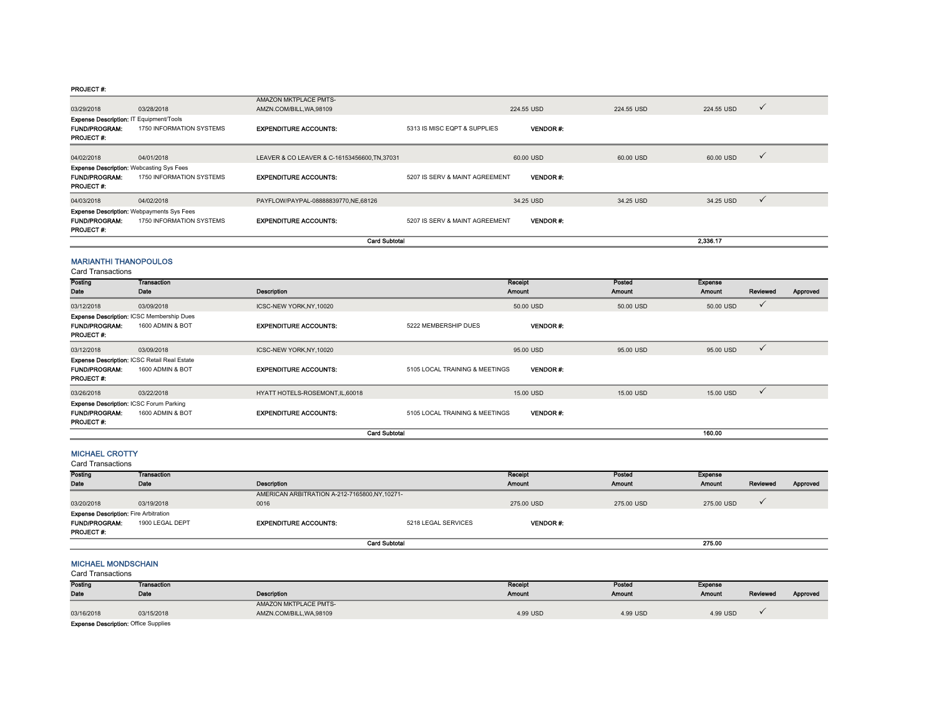#### PROJECT #:

|                                                                                     |                                                                              | <b>Card Subtotal</b>                              |                                |                 |            | 2,336.17   |              |
|-------------------------------------------------------------------------------------|------------------------------------------------------------------------------|---------------------------------------------------|--------------------------------|-----------------|------------|------------|--------------|
| <b>FUND/PROGRAM:</b><br><b>PROJECT#:</b>                                            | <b>Expense Description: Webpayments Sys Fees</b><br>1750 INFORMATION SYSTEMS | <b>EXPENDITURE ACCOUNTS:</b>                      | 5207 IS SERV & MAINT AGREEMENT | <b>VENDOR#:</b> |            |            |              |
| 04/03/2018                                                                          | 04/02/2018                                                                   | PAYFLOW/PAYPAL-08888839770,NE,68126               |                                | 34.25 USD       | 34.25 USD  | 34.25 USD  | $\checkmark$ |
| <b>FUND/PROGRAM:</b><br><b>PROJECT #:</b>                                           | <b>Expense Description: Webcasting Sys Fees</b><br>1750 INFORMATION SYSTEMS  | <b>EXPENDITURE ACCOUNTS:</b>                      | 5207 IS SERV & MAINT AGREEMENT | <b>VENDOR#</b>  |            |            |              |
| 04/02/2018                                                                          | 04/01/2018                                                                   | LEAVER & CO LEAVER & C-16153456600, TN, 37031     |                                | 60.00 USD       | 60.00 USD  | 60.00 USD  | $\checkmark$ |
| Expense Description: IT Equipment/Tools<br><b>FUND/PROGRAM:</b><br><b>PROJECT#:</b> | 1750 INFORMATION SYSTEMS                                                     | <b>EXPENDITURE ACCOUNTS:</b>                      | 5313 IS MISC EQPT & SUPPLIES   | <b>VENDOR#:</b> |            |            |              |
| 03/29/2018                                                                          | 03/28/2018                                                                   | AMAZON MKTPLACE PMTS-<br>AMZN.COM/BILL, WA, 98109 |                                | 224.55 USD      | 224.55 USD | 224.55 USD | $\checkmark$ |

### MARIANTHI THANOPOULOS

Card Transactions

| Posting                                             | <b>Transaction</b> |                                  |                                | Receipt         | Posted    | <b>Expense</b> |              |          |
|-----------------------------------------------------|--------------------|----------------------------------|--------------------------------|-----------------|-----------|----------------|--------------|----------|
| Date                                                | Date               | Description                      |                                | <b>Amount</b>   | Amount    | <b>Amount</b>  | Reviewed     | Approved |
| 03/12/2018                                          | 03/09/2018         | ICSC-NEW YORK, NY, 10020         |                                | 50.00 USD       | 50.00 USD | 50.00 USD      | $\checkmark$ |          |
| Expense Description: ICSC Membership Dues           |                    |                                  |                                |                 |           |                |              |          |
| <b>FUND/PROGRAM:</b>                                | 1600 ADMIN & BOT   | <b>EXPENDITURE ACCOUNTS:</b>     | 5222 MEMBERSHIP DUES           | <b>VENDOR#:</b> |           |                |              |          |
| <b>PROJECT#:</b>                                    |                    |                                  |                                |                 |           |                |              |          |
| 03/12/2018                                          | 03/09/2018         | ICSC-NEW YORK.NY.10020           |                                | 95.00 USD       | 95,00 USD | 95.00 USD      | $\checkmark$ |          |
| <b>Expense Description: ICSC Retail Real Estate</b> |                    |                                  |                                |                 |           |                |              |          |
| <b>FUND/PROGRAM:</b>                                | 1600 ADMIN & BOT   | <b>EXPENDITURE ACCOUNTS:</b>     | 5105 LOCAL TRAINING & MEETINGS | <b>VENDOR#:</b> |           |                |              |          |
| <b>PROJECT #:</b>                                   |                    |                                  |                                |                 |           |                |              |          |
| 03/26/2018                                          | 03/22/2018         | HYATT HOTELS-ROSEMONT, IL, 60018 |                                | 15,00 USD       | 15.00 USD | 15,00 USD      | $\checkmark$ |          |
| Expense Description: ICSC Forum Parking             |                    |                                  |                                |                 |           |                |              |          |
| <b>FUND/PROGRAM:</b>                                | 1600 ADMIN & BOT   | <b>EXPENDITURE ACCOUNTS:</b>     | 5105 LOCAL TRAINING & MEETINGS | <b>VENDOR#:</b> |           |                |              |          |
| <b>PROJECT#:</b>                                    |                    |                                  |                                |                 |           |                |              |          |
|                                                     |                    | <b>Card Subtotal</b>             |                                |                 |           | 160.00         |              |          |

## MICHAEL CROTTY

Card Transactions

| Posting                                      | <b>Transaction</b> |                                              |                     | Receipt        | Posted        | <b>Expense</b> |          |          |
|----------------------------------------------|--------------------|----------------------------------------------|---------------------|----------------|---------------|----------------|----------|----------|
| Date                                         | Date               | Description                                  |                     | <b>Amount</b>  | <b>Amount</b> | <b>Amount</b>  | Reviewed | Approved |
|                                              |                    | AMERICAN ARBITRATION A-212-7165800,NY,10271- |                     |                |               |                |          |          |
| 03/20/2018                                   | 03/19/2018         | 0016                                         |                     | 275.00 USD     | 275,00 USD    | 275,00 USD     |          |          |
| <b>Expense Description: Fire Arbitration</b> |                    |                                              |                     |                |               |                |          |          |
| <b>FUND/PROGRAM:</b>                         | 1900 LEGAL DEPT    | <b>EXPENDITURE ACCOUNTS:</b>                 | 5218 LEGAL SERVICES | <b>VENDOR#</b> |               |                |          |          |
| <b>PROJECT #:</b>                            |                    |                                              |                     |                |               |                |          |          |
|                                              |                    | <b>Card Subtotal</b>                         |                     |                |               | 275.00         |          |          |

#### MICHAEL MONDSCHAIN

Card Transactions

| Posting                            | Transaction |                          | Receipt  | Posted        | Expense  |          |          |
|------------------------------------|-------------|--------------------------|----------|---------------|----------|----------|----------|
| Date                               | Date        | <b>Description</b>       | Amount   | <b>Amount</b> | Amount   | Reviewed | Approved |
|                                    |             | AMAZON MKTPLACE PMTS-    |          |               |          |          |          |
| 03/16/2018                         | 03/15/2018  | AMZN.COM/BILL, WA, 98109 | 4.99 USD | 4.99 USD      | 4.99 USD |          |          |
| Evnence Decormion: Office Supplies |             |                          |          |               |          |          |          |

Expense Description: Office Suppli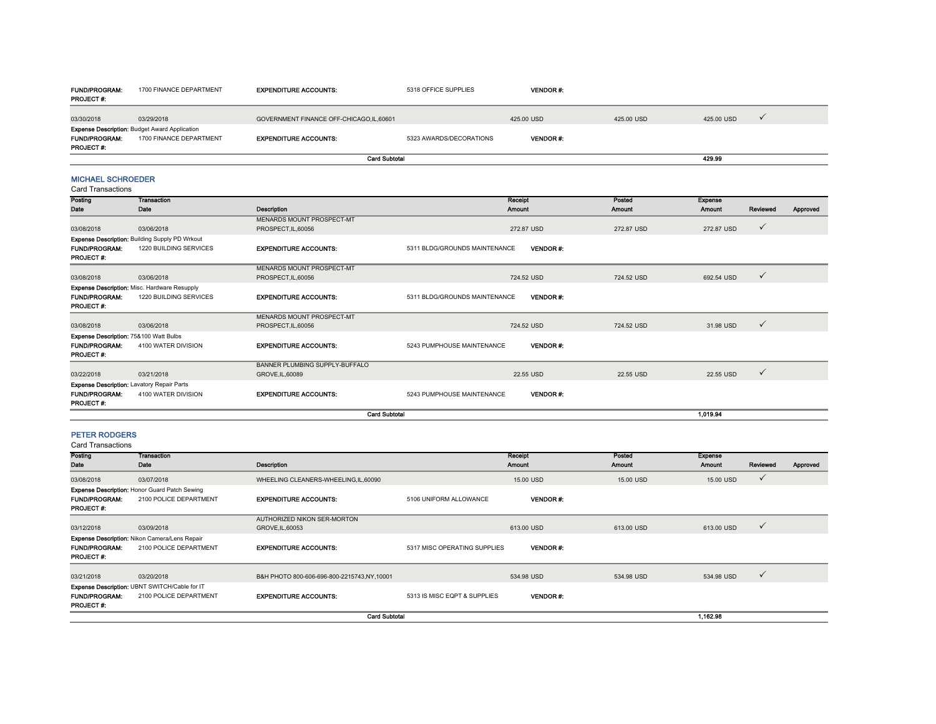| <b>FUND/PROGRAM:</b><br><b>PROJECT#:</b> | 1700 FINANCE DEPARTMENT                                                         | <b>EXPENDITURE ACCOUNTS:</b>            | 5318 OFFICE SUPPLIES    | <b>VENDOR#:</b> |            |            |  |
|------------------------------------------|---------------------------------------------------------------------------------|-----------------------------------------|-------------------------|-----------------|------------|------------|--|
| 03/30/2018                               | 03/29/2018                                                                      | GOVERNMENT FINANCE OFF-CHICAGO,IL,60601 |                         | 425,00 USD      | 425,00 USD | 425,00 USD |  |
| <b>FUND/PROGRAM:</b><br><b>PROJECT#:</b> | <b>Expense Description: Budget Award Application</b><br>1700 FINANCE DEPARTMENT | <b>EXPENDITURE ACCOUNTS:</b>            | 5323 AWARDS/DECORATIONS | <b>VENDOR#:</b> |            |            |  |
|                                          |                                                                                 | <b>Card Subtotal</b>                    |                         |                 |            | 429.99     |  |

## MICHAEL SCHROEDER

Card Transactions

| Posting                                | Transaction                                       |                                |                               | <b>Receipt</b>  | Posted        | <b>Expense</b> |              |          |
|----------------------------------------|---------------------------------------------------|--------------------------------|-------------------------------|-----------------|---------------|----------------|--------------|----------|
| Date                                   | Date                                              | Description                    |                               | <b>Amount</b>   | <b>Amount</b> | <b>Amount</b>  | Reviewed     | Approved |
|                                        |                                                   | MENARDS MOUNT PROSPECT-MT      |                               |                 |               |                |              |          |
| 03/08/2018                             | 03/06/2018                                        | PROSPECT.IL.60056              |                               | 272.87 USD      | 272.87 USD    | 272.87 USD     | $\checkmark$ |          |
|                                        | Expense Description: Building Supply PD Wrkout    |                                |                               |                 |               |                |              |          |
| <b>FUND/PROGRAM:</b>                   | 1220 BUILDING SERVICES                            | <b>EXPENDITURE ACCOUNTS:</b>   | 5311 BLDG/GROUNDS MAINTENANCE | <b>VENDOR#:</b> |               |                |              |          |
| <b>PROJECT#:</b>                       |                                                   |                                |                               |                 |               |                |              |          |
|                                        |                                                   | MENARDS MOUNT PROSPECT-MT      |                               |                 |               |                |              |          |
| 03/08/2018                             | 03/06/2018                                        | PROSPECT.IL.60056              |                               | 724.52 USD      | 724.52 USD    | 692.54 USD     | $\checkmark$ |          |
|                                        | Expense Description: Misc. Hardware Resupply      |                                |                               |                 |               |                |              |          |
| <b>FUND/PROGRAM:</b>                   | 1220 BUILDING SERVICES                            | <b>EXPENDITURE ACCOUNTS:</b>   | 5311 BLDG/GROUNDS MAINTENANCE | <b>VENDOR#:</b> |               |                |              |          |
| <b>PROJECT#:</b>                       |                                                   |                                |                               |                 |               |                |              |          |
|                                        |                                                   | MENARDS MOUNT PROSPECT-MT      |                               |                 |               |                |              |          |
| 03/08/2018                             | 03/06/2018                                        | PROSPECT, IL, 60056            |                               | 724.52 USD      | 724.52 USD    | 31.98 USD      | $\checkmark$ |          |
| Expense Description: 75&100 Watt Bulbs |                                                   |                                |                               |                 |               |                |              |          |
| <b>FUND/PROGRAM:</b>                   | 4100 WATER DIVISION                               | <b>EXPENDITURE ACCOUNTS:</b>   | 5243 PUMPHOUSE MAINTENANCE    | <b>VENDOR#:</b> |               |                |              |          |
| <b>PROJECT#:</b>                       |                                                   |                                |                               |                 |               |                |              |          |
|                                        |                                                   | BANNER PLUMBING SUPPLY-BUFFALO |                               |                 |               |                |              |          |
| 03/22/2018                             | 03/21/2018                                        | GROVE.IL.60089                 |                               | 22.55 USD       | 22.55 USD     | 22.55 USD      | $\checkmark$ |          |
|                                        | <b>Expense Description: Lavatory Repair Parts</b> |                                |                               |                 |               |                |              |          |
| <b>FUND/PROGRAM:</b>                   | 4100 WATER DIVISION                               | <b>EXPENDITURE ACCOUNTS:</b>   | 5243 PUMPHOUSE MAINTENANCE    | <b>VENDOR#:</b> |               |                |              |          |
| <b>PROJECT#:</b>                       |                                                   |                                |                               |                 |               |                |              |          |
|                                        |                                                   | <b>Card Subtotal</b>           |                               |                 |               | 1.019.94       |              |          |

#### PETER RODGERS

| Posting                                  | Transaction                                          |                                            |                              | Receipt         | Posted     | <b>Expense</b> |              |          |
|------------------------------------------|------------------------------------------------------|--------------------------------------------|------------------------------|-----------------|------------|----------------|--------------|----------|
| Date                                     | Date                                                 | Description                                |                              | Amount          | Amount     | <b>Amount</b>  | Reviewed     | Approved |
| 03/08/2018                               | 03/07/2018                                           | WHEELING CLEANERS-WHEELING,IL,60090        |                              | 15,00 USD       | 15.00 USD  | 15,00 USD      | $\checkmark$ |          |
|                                          | <b>Expense Description: Honor Guard Patch Sewing</b> |                                            |                              |                 |            |                |              |          |
| <b>FUND/PROGRAM:</b><br><b>PROJECT#:</b> | 2100 POLICE DEPARTMENT                               | <b>EXPENDITURE ACCOUNTS:</b>               | 5106 UNIFORM ALLOWANCE       | <b>VENDOR#:</b> |            |                |              |          |
|                                          |                                                      | AUTHORIZED NIKON SER-MORTON                |                              |                 |            |                |              |          |
| 03/12/2018                               | 03/09/2018                                           | GROVE, IL, 60053                           |                              | 613.00 USD      | 613.00 USD | 613.00 USD     | $\checkmark$ |          |
|                                          | Expense Description: Nikon Camera/Lens Repair        |                                            |                              |                 |            |                |              |          |
| <b>FUND/PROGRAM:</b><br><b>PROJECT#:</b> | 2100 POLICE DEPARTMENT                               | <b>EXPENDITURE ACCOUNTS:</b>               | 5317 MISC OPERATING SUPPLIES | <b>VENDOR#:</b> |            |                |              |          |
|                                          |                                                      |                                            |                              |                 |            |                |              |          |
| 03/21/2018                               | 03/20/2018                                           | B&H PHOTO 800-606-696-800-2215743,NY,10001 |                              | 534.98 USD      | 534.98 USD | 534.98 USD     | $\checkmark$ |          |
|                                          | Expense Description: UBNT SWITCH/Cable for IT        |                                            |                              |                 |            |                |              |          |
| <b>FUND/PROGRAM:</b><br><b>PROJECT#:</b> | 2100 POLICE DEPARTMENT                               | <b>EXPENDITURE ACCOUNTS:</b>               | 5313 IS MISC EQPT & SUPPLIES | <b>VENDOR#:</b> |            |                |              |          |
|                                          |                                                      | <b>Card Subtotal</b>                       |                              |                 |            | 1.162.98       |              |          |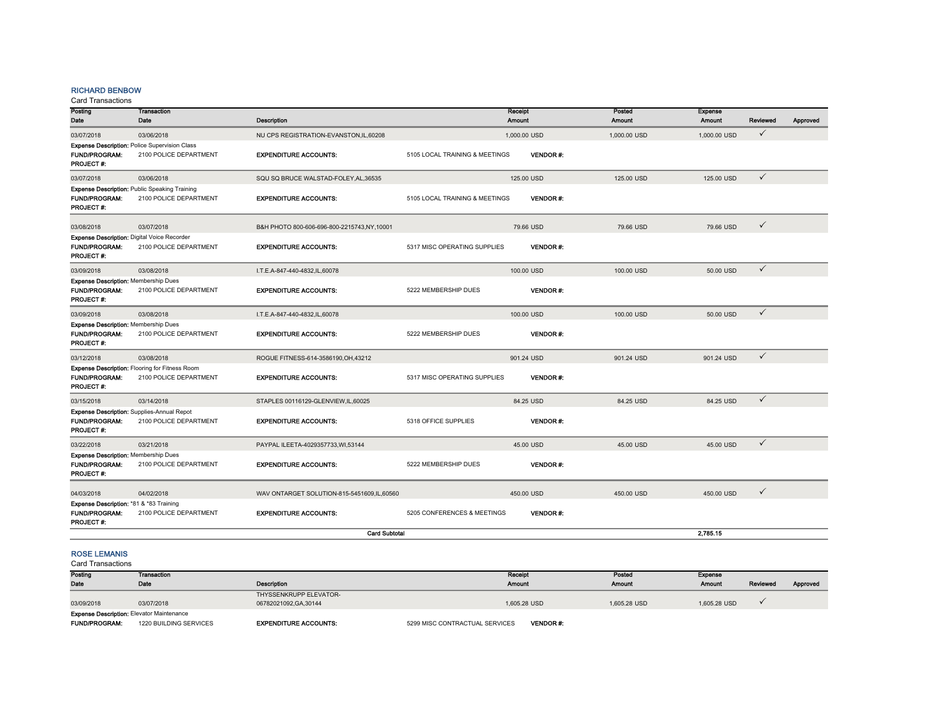## RICHARD BENBOW

Card Transactions

| Posting<br>Date                                                                     | <b>Transaction</b><br>Date                                                     | Description                                |                                | Receipt<br><b>Amount</b> | Posted<br><b>Amount</b> | <b>Expense</b><br>Amount | Reviewed     | Approved |
|-------------------------------------------------------------------------------------|--------------------------------------------------------------------------------|--------------------------------------------|--------------------------------|--------------------------|-------------------------|--------------------------|--------------|----------|
| 03/07/2018                                                                          | 03/06/2018                                                                     | NU CPS REGISTRATION-EVANSTON,IL,60208      |                                | 1,000.00 USD             | 1,000,00 USD            | 1,000,00 USD             | $\checkmark$ |          |
| <b>FUND/PROGRAM:</b><br><b>PROJECT#:</b>                                            | <b>Expense Description: Police Supervision Class</b><br>2100 POLICE DEPARTMENT | <b>EXPENDITURE ACCOUNTS:</b>               | 5105 LOCAL TRAINING & MEETINGS | <b>VENDOR#:</b>          |                         |                          |              |          |
| 03/07/2018                                                                          | 03/06/2018                                                                     | SQU SQ BRUCE WALSTAD-FOLEY, AL, 36535      |                                | 125.00 USD               | 125.00 USD              | 125.00 USD               | $\checkmark$ |          |
| <b>FUND/PROGRAM:</b><br>PROJECT #:                                                  | <b>Expense Description: Public Speaking Training</b><br>2100 POLICE DEPARTMENT | <b>EXPENDITURE ACCOUNTS:</b>               | 5105 LOCAL TRAINING & MEETINGS | <b>VENDOR#:</b>          |                         |                          |              |          |
| 03/08/2018                                                                          | 03/07/2018                                                                     | B&H PHOTO 800-606-696-800-2215743,NY,10001 |                                | 79.66 USD                | 79.66 USD               | 79.66 USD                | $\checkmark$ |          |
| Expense Description: Digital Voice Recorder<br><b>FUND/PROGRAM:</b><br>PROJECT #:   | 2100 POLICE DEPARTMENT                                                         | <b>EXPENDITURE ACCOUNTS:</b>               | 5317 MISC OPERATING SUPPLIES   | <b>VENDOR#:</b>          |                         |                          |              |          |
| 03/09/2018                                                                          | 03/08/2018                                                                     | I.T.E.A-847-440-4832,IL,60078              |                                | 100.00 USD               | 100.00 USD              | 50.00 USD                | $\checkmark$ |          |
| <b>Expense Description: Membership Dues</b><br><b>FUND/PROGRAM:</b><br>PROJECT#:    | 2100 POLICE DEPARTMENT                                                         | <b>EXPENDITURE ACCOUNTS:</b>               | 5222 MEMBERSHIP DUES           | <b>VENDOR#:</b>          |                         |                          |              |          |
| 03/09/2018                                                                          | 03/08/2018                                                                     | I.T.E.A-847-440-4832,IL,60078              |                                | 100,00 USD               | 100.00 USD              | 50.00 USD                | $\checkmark$ |          |
| <b>Expense Description: Membership Dues</b><br><b>FUND/PROGRAM:</b><br>PROJECT#:    | 2100 POLICE DEPARTMENT                                                         | <b>EXPENDITURE ACCOUNTS:</b>               | 5222 MEMBERSHIP DUES           | <b>VENDOR#:</b>          |                         |                          |              |          |
| 03/12/2018                                                                          | 03/08/2018                                                                     | ROGUE FITNESS-614-3586190, OH, 43212       |                                | 901.24 USD               | 901.24 USD              | 901.24 USD               | $\checkmark$ |          |
| <b>FUND/PROGRAM:</b><br><b>PROJECT#:</b>                                            | Expense Description: Flooring for Fitness Room<br>2100 POLICE DEPARTMENT       | <b>EXPENDITURE ACCOUNTS:</b>               | 5317 MISC OPERATING SUPPLIES   | <b>VENDOR#:</b>          |                         |                          |              |          |
| 03/15/2018                                                                          | 03/14/2018                                                                     | STAPLES 00116129-GLENVIEW.IL.60025         |                                | 84.25 USD                | 84.25 USD               | 84.25 USD                | $\checkmark$ |          |
| <b>FUND/PROGRAM:</b><br><b>PROJECT#:</b>                                            | Expense Description: Supplies-Annual Repot<br>2100 POLICE DEPARTMENT           | <b>EXPENDITURE ACCOUNTS:</b>               | 5318 OFFICE SUPPLIES           | <b>VENDOR#:</b>          |                         |                          |              |          |
| 03/22/2018                                                                          | 03/21/2018                                                                     | PAYPAL ILEETA-4029357733, WI,53144         |                                | 45.00 USD                | 45.00 USD               | 45.00 USD                | $\checkmark$ |          |
| <b>Expense Description: Membership Dues</b><br><b>FUND/PROGRAM:</b><br>PROJECT#:    | 2100 POLICE DEPARTMENT                                                         | <b>EXPENDITURE ACCOUNTS:</b>               | 5222 MEMBERSHIP DUES           | <b>VENDOR#:</b>          |                         |                          |              |          |
| 04/03/2018                                                                          | 04/02/2018                                                                     | WAV ONTARGET SOLUTION-815-5451609,IL,60560 |                                | 450.00 USD               | 450.00 USD              | 450.00 USD               | $\checkmark$ |          |
| Expense Description: *81 & *83 Training<br><b>FUND/PROGRAM:</b><br><b>PROJECT#:</b> | 2100 POLICE DEPARTMENT                                                         | <b>EXPENDITURE ACCOUNTS:</b>               | 5205 CONFERENCES & MEETINGS    | <b>VENDOR#:</b>          |                         |                          |              |          |
|                                                                                     |                                                                                | <b>Card Subtotal</b>                       |                                |                          |                         | 2.785.15                 |              |          |
| -----------                                                                         |                                                                                |                                            |                                |                          |                         |                          |              |          |

## ROSE LEMANIS

| Posting                                          | <b>Transaction</b>     |                              | Receipt                        |                 | Posted        | Expense       |          |          |
|--------------------------------------------------|------------------------|------------------------------|--------------------------------|-----------------|---------------|---------------|----------|----------|
| Date                                             | Date                   | <b>Description</b>           | <b>Amount</b>                  |                 | <b>Amount</b> | <b>Amount</b> | Reviewed | Approved |
|                                                  |                        | THYSSENKRUPP ELEVATOR-       |                                |                 |               |               |          |          |
| 03/09/2018                                       | 03/07/2018             | 06782021092.GA.30144         |                                | 1,605.28 USD    | 1.605.28 USD  | 1,605.28 USD  |          |          |
| <b>Expense Description: Elevator Maintenance</b> |                        |                              |                                |                 |               |               |          |          |
| <b>FUND/PROGRAM:</b>                             | 1220 BUILDING SERVICES | <b>EXPENDITURE ACCOUNTS:</b> | 5299 MISC CONTRACTUAL SERVICES | <b>VENDOR#:</b> |               |               |          |          |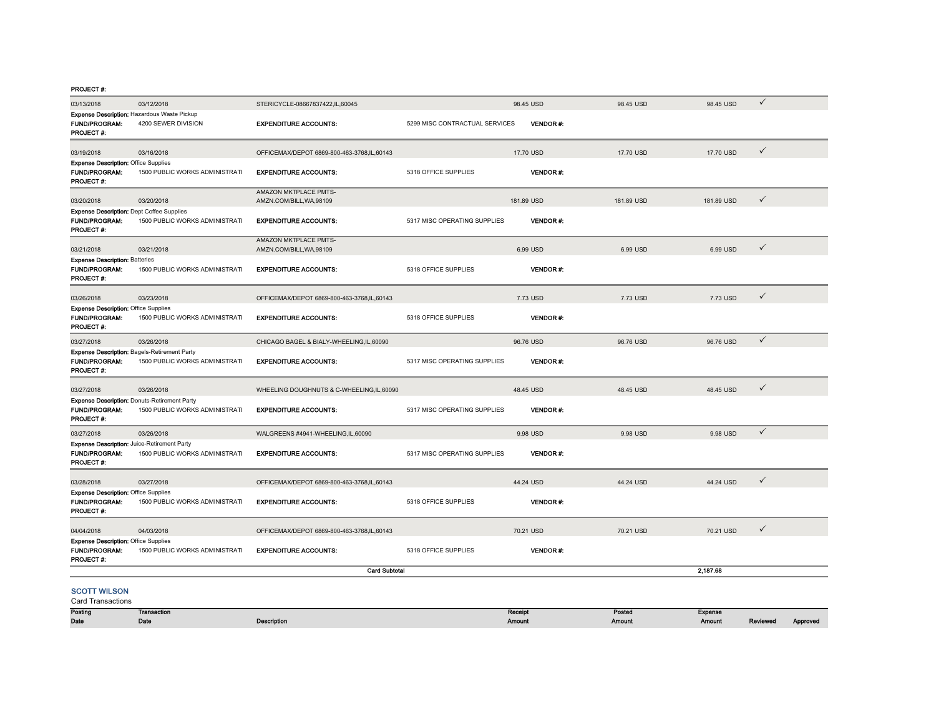#### PROJECT #:

| 03/13/2018                                                                               | 03/12/2018                                                                | STERICYCLE-08667837422.IL.60045                          |                                | 98.45 USD       | 98.45 USD  | 98.45 USD  | ✓            |
|------------------------------------------------------------------------------------------|---------------------------------------------------------------------------|----------------------------------------------------------|--------------------------------|-----------------|------------|------------|--------------|
| <b>FUND/PROGRAM:</b><br><b>PROJECT #:</b>                                                | <b>Expense Description: Hazardous Waste Pickup</b><br>4200 SEWER DIVISION | <b>EXPENDITURE ACCOUNTS:</b>                             | 5299 MISC CONTRACTUAL SERVICES | <b>VENDOR#:</b> |            |            |              |
| 03/19/2018                                                                               | 03/16/2018                                                                | OFFICEMAX/DEPOT 6869-800-463-3768,IL,60143               |                                | 17.70 USD       | 17.70 USD  | 17.70 USD  | $\checkmark$ |
| <b>Expense Description: Office Supplies</b><br>FUND/PROGRAM:<br><b>PROJECT#:</b>         | 1500 PUBLIC WORKS ADMINISTRATI                                            | <b>EXPENDITURE ACCOUNTS:</b>                             | 5318 OFFICE SUPPLIES           | <b>VENDOR#:</b> |            |            |              |
| 03/20/2018                                                                               | 03/20/2018                                                                | AMAZON MKTPLACE PMTS-<br>AMZN.COM/BILL, WA, 98109        |                                | 181.89 USD      | 181.89 USD | 181.89 USD | ✓            |
| <b>Expense Description: Dept Coffee Supplies</b><br><b>FUND/PROGRAM:</b><br>PROJECT#:    | 1500 PUBLIC WORKS ADMINISTRATI                                            | <b>EXPENDITURE ACCOUNTS:</b>                             | 5317 MISC OPERATING SUPPLIES   | VENDOR#:        |            |            |              |
| 03/21/2018                                                                               | 03/21/2018                                                                | AMAZON MKTPLACE PMTS-                                    |                                | 6.99 USD        | 6.99 USD   | 6.99 USD   | $\checkmark$ |
| <b>Expense Description: Batteries</b><br><b>FUND/PROGRAM:</b><br><b>PROJECT#:</b>        | 1500 PUBLIC WORKS ADMINISTRATI                                            | AMZN.COM/BILL, WA, 98109<br><b>EXPENDITURE ACCOUNTS:</b> | 5318 OFFICE SUPPLIES           | <b>VENDOR#:</b> |            |            |              |
| 03/26/2018                                                                               | 03/23/2018                                                                | OFFICEMAX/DEPOT 6869-800-463-3768.IL.60143               |                                | 7.73 USD        | 7.73 USD   | 7.73 USD   | ✓            |
| <b>Expense Description: Office Supplies</b><br>FUND/PROGRAM:<br>PROJECT #:               | 1500 PUBLIC WORKS ADMINISTRATI                                            | <b>EXPENDITURE ACCOUNTS:</b>                             | 5318 OFFICE SUPPLIES           | VENDOR#:        |            |            |              |
| 03/27/2018                                                                               | 03/26/2018                                                                | CHICAGO BAGEL & BIALY-WHEELING,IL,60090                  |                                | 96.76 USD       | 96.76 USD  | 96.76 USD  | $\checkmark$ |
| Expense Description: Bagels-Retirement Party<br>FUND/PROGRAM:<br>PROJECT #:              | 1500 PUBLIC WORKS ADMINISTRATI                                            | <b>EXPENDITURE ACCOUNTS:</b>                             | 5317 MISC OPERATING SUPPLIES   | <b>VENDOR#:</b> |            |            |              |
| 03/27/2018                                                                               | 03/26/2018                                                                | WHEELING DOUGHNUTS & C-WHEELING,IL,60090                 |                                | 48.45 USD       | 48.45 USD  | 48.45 USD  | $\checkmark$ |
| Expense Description: Donuts-Retirement Party<br><b>FUND/PROGRAM:</b><br>PROJECT #:       | 1500 PUBLIC WORKS ADMINISTRATI                                            | <b>EXPENDITURE ACCOUNTS:</b>                             | 5317 MISC OPERATING SUPPLIES   | <b>VENDOR#:</b> |            |            |              |
| 03/27/2018                                                                               | 03/26/2018                                                                | WALGREENS #4941-WHEELING,IL,60090                        |                                | 9.98 USD        | 9.98 USD   | 9.98 USD   | $\checkmark$ |
| Expense Description: Juice-Retirement Party<br><b>FUND/PROGRAM:</b><br><b>PROJECT #:</b> | 1500 PUBLIC WORKS ADMINISTRATI                                            | <b>EXPENDITURE ACCOUNTS:</b>                             | 5317 MISC OPERATING SUPPLIES   | <b>VENDOR#:</b> |            |            |              |
| 03/28/2018                                                                               | 03/27/2018                                                                | OFFICEMAX/DEPOT 6869-800-463-3768,IL,60143               |                                | 44.24 USD       | 44.24 USD  | 44.24 USD  | ✓            |
| <b>Expense Description: Office Supplies</b><br><b>FUND/PROGRAM:</b><br><b>PROJECT#:</b>  | 1500 PUBLIC WORKS ADMINISTRATI                                            | <b>EXPENDITURE ACCOUNTS:</b>                             | 5318 OFFICE SUPPLIES           | <b>VENDOR#:</b> |            |            |              |
| 04/04/2018                                                                               | 04/03/2018                                                                | OFFICEMAX/DEPOT 6869-800-463-3768,IL,60143               |                                | 70.21 USD       | 70.21 USD  | 70.21 USD  | $\checkmark$ |
| <b>Expense Description: Office Supplies</b><br><b>FUND/PROGRAM:</b><br><b>PROJECT#:</b>  | 1500 PUBLIC WORKS ADMINISTRATI                                            | <b>EXPENDITURE ACCOUNTS:</b>                             | 5318 OFFICE SUPPLIES           | <b>VENDOR#:</b> |            |            |              |
|                                                                                          |                                                                           | <b>Card Subtotal</b>                                     |                                |                 |            | 2,187.68   |              |
| <b>SCOTT WILSON</b><br><b>Card Transactions</b>                                          |                                                                           |                                                          |                                |                 |            |            |              |

| Posting | Transaction       |                    | Receip | Posted | Expense |          |          |
|---------|-------------------|--------------------|--------|--------|---------|----------|----------|
| Date    | $5 - 5 -$<br>valo | <b>Description</b> | Amount | Amount | Amount  | Reviewed | Approved |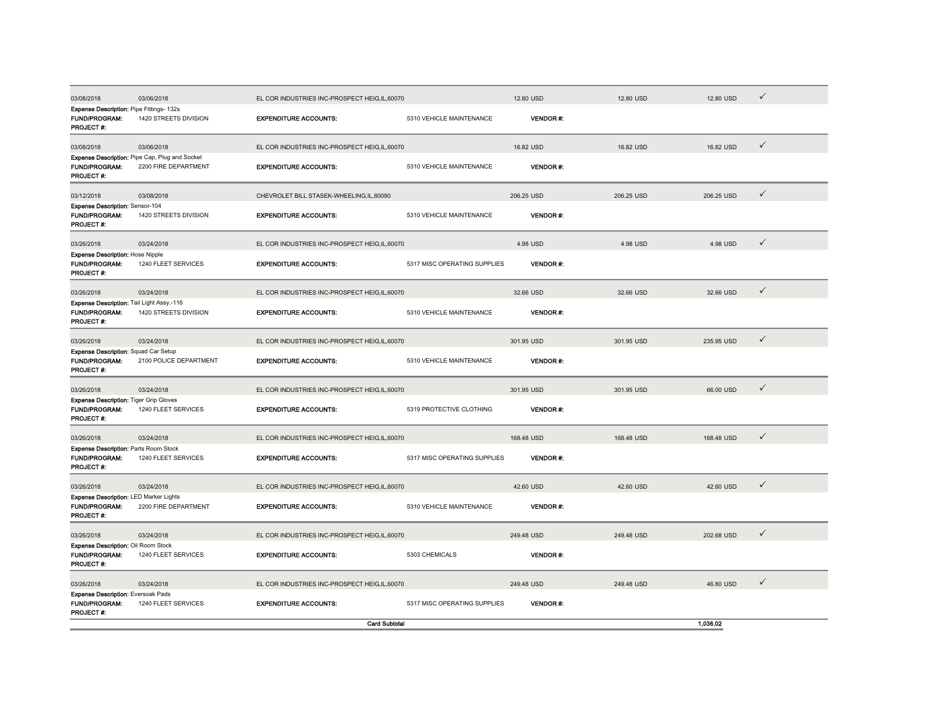| 03/08/2018                                                                         | 03/06/2018                                                             | EL COR INDUSTRIES INC-PROSPECT HEIG.IL.60070 |                              | 12.80 USD        | 12.80 USD  | 12.80 USD  | $\checkmark$ |
|------------------------------------------------------------------------------------|------------------------------------------------------------------------|----------------------------------------------|------------------------------|------------------|------------|------------|--------------|
| <b>Expense Description: Pipe Fittings- 132s</b><br>FUND/PROGRAM:<br>PROJECT #:     | 1420 STREETS DIVISION                                                  | <b>EXPENDITURE ACCOUNTS:</b>                 | 5310 VEHICLE MAINTENANCE     | <b>VENDOR#:</b>  |            |            |              |
| 03/08/2018                                                                         | 03/06/2018                                                             | EL COR INDUSTRIES INC-PROSPECT HEIG,IL,60070 |                              | 16.82 USD        | 16.82 USD  | 16.82 USD  | $\checkmark$ |
| FUND/PROGRAM:<br><b>PROJECT#:</b>                                                  | Expense Description: Pipe Cap, Plug and Socket<br>2200 FIRE DEPARTMENT | <b>EXPENDITURE ACCOUNTS:</b>                 | 5310 VEHICLE MAINTENANCE     | <b>VENDOR #:</b> |            |            |              |
| 03/12/2018                                                                         | 03/08/2018                                                             | CHEVROLET BILL STASEK-WHEELING,IL,60090      |                              | 206.25 USD       | 206.25 USD | 206.25 USD | $\checkmark$ |
| Expense Description: Sensor-104<br><b>FUND/PROGRAM:</b><br>PROJECT #:              | 1420 STREETS DIVISION                                                  | <b>EXPENDITURE ACCOUNTS:</b>                 | 5310 VEHICLE MAINTENANCE     | <b>VENDOR#:</b>  |            |            |              |
| 03/26/2018                                                                         | 03/24/2018                                                             | EL COR INDUSTRIES INC-PROSPECT HEIG,IL,60070 |                              | 4.98 USD         | 4.98 USD   | 4.98 USD   | $\checkmark$ |
| <b>Expense Description: Hose Nipple</b><br>FUND/PROGRAM:<br>PROJECT #:             | 1240 FLEET SERVICES                                                    | <b>EXPENDITURE ACCOUNTS:</b>                 | 5317 MISC OPERATING SUPPLIES | <b>VENDOR#:</b>  |            |            |              |
| 03/26/2018                                                                         | 03/24/2018                                                             | EL COR INDUSTRIES INC-PROSPECT HEIG,IL,60070 |                              | 32.66 USD        | 32.66 USD  | 32.66 USD  | $\checkmark$ |
| Expense Description: Tail Light Assy.-116<br>FUND/PROGRAM:<br>PROJECT#:            | 1420 STREETS DIVISION                                                  | <b>EXPENDITURE ACCOUNTS:</b>                 | 5310 VEHICLE MAINTENANCE     | <b>VENDOR#:</b>  |            |            |              |
| 03/26/2018                                                                         | 03/24/2018                                                             | EL COR INDUSTRIES INC-PROSPECT HEIG,IL,60070 |                              | 301.95 USD       | 301.95 USD | 235.95 USD | $\checkmark$ |
| Expense Description: Squad Car Setup<br>FUND/PROGRAM:<br>PROJECT #:                | 2100 POLICE DEPARTMENT                                                 | <b>EXPENDITURE ACCOUNTS:</b>                 | 5310 VEHICLE MAINTENANCE     | VENDOR #.        |            |            |              |
| 03/26/2018                                                                         | 03/24/2018                                                             | EL COR INDUSTRIES INC-PROSPECT HEIG,IL,60070 |                              | 301.95 USD       | 301.95 USD | 66.00 USD  | $\checkmark$ |
| <b>Expense Description: Tiger Grip Gloves</b><br>FUND/PROGRAM:<br><b>PROJECT#:</b> | 1240 FLEET SERVICES                                                    | <b>EXPENDITURE ACCOUNTS:</b>                 | 5319 PROTECTIVE CLOTHING     | <b>VENDOR#:</b>  |            |            |              |
| 03/26/2018                                                                         | 03/24/2018                                                             | EL COR INDUSTRIES INC-PROSPECT HEIG,IL,60070 |                              | 168.48 USD       | 168.48 USD | 168.48 USD | $\checkmark$ |
| Expense Description: Parts Room Stock<br><b>FUND/PROGRAM:</b><br>PROJECT #:        | 1240 FLEET SERVICES                                                    | <b>EXPENDITURE ACCOUNTS:</b>                 | 5317 MISC OPERATING SUPPLIES | <b>VENDOR#:</b>  |            |            |              |
| 03/26/2018                                                                         | 03/24/2018                                                             | EL COR INDUSTRIES INC-PROSPECT HEIG,IL,60070 |                              | 42.60 USD        | 42.60 USD  | 42.60 USD  | $\checkmark$ |
| <b>Expense Description: LED Marker Lights</b><br>FUND/PROGRAM:<br>PROJECT #:       | 2200 FIRE DEPARTMENT                                                   | <b>EXPENDITURE ACCOUNTS:</b>                 | 5310 VEHICLE MAINTENANCE     | <b>VENDOR#:</b>  |            |            |              |
| 03/26/2018                                                                         | 03/24/2018                                                             | EL COR INDUSTRIES INC-PROSPECT HEIG,IL,60070 |                              | 249.48 USD       | 249.48 USD | 202.68 USD | $\checkmark$ |
| Expense Description: Oil Room Stock<br>FUND/PROGRAM:<br><b>PROJECT#:</b>           | 1240 FLEET SERVICES                                                    | <b>EXPENDITURE ACCOUNTS:</b>                 | 5303 CHEMICALS               | <b>VENDOR#:</b>  |            |            |              |
| 03/26/2018                                                                         | 03/24/2018                                                             | EL COR INDUSTRIES INC-PROSPECT HEIG,IL,60070 |                              | 249.48 USD       | 249.48 USD | 46.80 USD  | $\checkmark$ |
| <b>Expense Description: Eversoak Pads</b><br>FUND/PROGRAM:<br><b>PROJECT#:</b>     | 1240 FLEET SERVICES                                                    | <b>EXPENDITURE ACCOUNTS:</b>                 | 5317 MISC OPERATING SUPPLIES | <b>VENDOR#:</b>  |            |            |              |
|                                                                                    |                                                                        | <b>Card Subtotal</b>                         |                              |                  |            | 1.036.02   |              |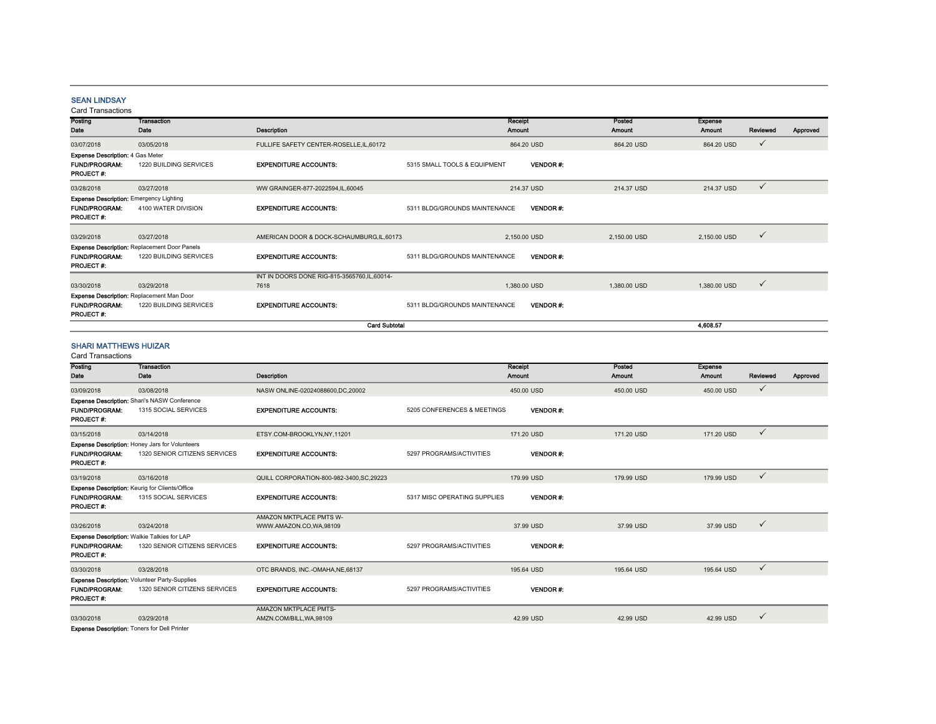## SEAN LINDSAY

| Posting                                                                                    | <b>Transaction</b>                                                            |                                                       | Receipt                       |                 | Posted       | <b>Expense</b> |              |          |
|--------------------------------------------------------------------------------------------|-------------------------------------------------------------------------------|-------------------------------------------------------|-------------------------------|-----------------|--------------|----------------|--------------|----------|
| Date                                                                                       | Date                                                                          | Description                                           | Amount                        |                 | Amount       | Amount         | Reviewed     | Approved |
| 03/07/2018                                                                                 | 03/05/2018                                                                    | FULLIFE SAFETY CENTER-ROSELLE, IL, 60172              |                               | 864.20 USD      | 864.20 USD   | 864.20 USD     | $\checkmark$ |          |
| <b>Expense Description: 4 Gas Meter</b><br><b>FUND/PROGRAM:</b><br>PROJECT #:              | 1220 BUILDING SERVICES                                                        | <b>EXPENDITURE ACCOUNTS:</b>                          | 5315 SMALL TOOLS & EQUIPMENT  | <b>VENDOR#:</b> |              |                |              |          |
| 03/28/2018                                                                                 | 03/27/2018                                                                    | WW GRAINGER-877-2022594,IL,60045                      |                               | 214.37 USD      | 214.37 USD   | 214.37 USD     | $\checkmark$ |          |
| <b>Expense Description: Emergency Lighting</b><br><b>FUND/PROGRAM:</b><br><b>PROJECT#:</b> | 4100 WATER DIVISION                                                           | <b>EXPENDITURE ACCOUNTS:</b>                          | 5311 BLDG/GROUNDS MAINTENANCE | <b>VENDOR#:</b> |              |                |              |          |
| 03/29/2018                                                                                 | 03/27/2018                                                                    | AMERICAN DOOR & DOCK-SCHAUMBURG, IL, 60173            |                               | 2,150.00 USD    | 2,150.00 USD | 2,150.00 USD   | $\checkmark$ |          |
| <b>FUND/PROGRAM:</b><br><b>PROJECT #:</b>                                                  | <b>Expense Description: Replacement Door Panels</b><br>1220 BUILDING SERVICES | <b>EXPENDITURE ACCOUNTS:</b>                          | 5311 BLDG/GROUNDS MAINTENANCE | <b>VENDOR#:</b> |              |                |              |          |
| 03/30/2018                                                                                 | 03/29/2018                                                                    | INT IN DOORS DONE RIG-815-3565760, IL, 60014-<br>7618 |                               | 1,380.00 USD    | 1,380.00 USD | 1,380.00 USD   | $\checkmark$ |          |
| Expense Description: Replacement Man Door<br><b>FUND/PROGRAM:</b><br>PROJECT#:             | 1220 BUILDING SERVICES                                                        | <b>EXPENDITURE ACCOUNTS:</b>                          | 5311 BLDG/GROUNDS MAINTENANCE | <b>VENDOR#:</b> |              |                |              |          |
|                                                                                            |                                                                               | <b>Card Subtotal</b>                                  |                               |                 |              | 4,608.57       |              |          |

#### SHARI MATTHEWS HUIZAR

| <b>Card Transactions</b>                            |                                                       |                                         |                              |                 |            |                |              |          |
|-----------------------------------------------------|-------------------------------------------------------|-----------------------------------------|------------------------------|-----------------|------------|----------------|--------------|----------|
| Posting                                             | <b>Transaction</b>                                    |                                         |                              | Receipt         | Posted     | <b>Expense</b> |              |          |
| Date                                                | Date                                                  | <b>Description</b>                      |                              | <b>Amount</b>   | Amount     | <b>Amount</b>  | Reviewed     | Approved |
| 03/09/2018                                          | 03/08/2018                                            | NASW ONLINE-02024088600,DC,20002        |                              | 450.00 USD      | 450.00 USD | 450.00 USD     | $\checkmark$ |          |
|                                                     | Expense Description: Shari's NASW Conference          |                                         |                              |                 |            |                |              |          |
| <b>FUND/PROGRAM:</b><br><b>PROJECT#:</b>            | 1315 SOCIAL SERVICES                                  | <b>EXPENDITURE ACCOUNTS:</b>            | 5205 CONFERENCES & MEETINGS  | <b>VENDOR#:</b> |            |                |              |          |
| 03/15/2018                                          | 03/14/2018                                            | ETSY.COM-BROOKLYN,NY,11201              |                              | 171.20 USD      | 171.20 USD | 171.20 USD     | $\checkmark$ |          |
|                                                     | <b>Expense Description: Honey Jars for Volunteers</b> |                                         |                              |                 |            |                |              |          |
| <b>FUND/PROGRAM:</b>                                | 1320 SENIOR CITIZENS SERVICES                         | <b>EXPENDITURE ACCOUNTS:</b>            | 5297 PROGRAMS/ACTIVITIES     | <b>VENDOR#:</b> |            |                |              |          |
| PROJECT#:                                           |                                                       |                                         |                              |                 |            |                |              |          |
| 03/19/2018                                          | 03/16/2018                                            | QUILL CORPORATION-800-982-3400.SC.29223 |                              | 179.99 USD      | 179.99 USD | 179.99 USD     | $\checkmark$ |          |
|                                                     | <b>Expense Description: Keurig for Clients/Office</b> |                                         |                              |                 |            |                |              |          |
| <b>FUND/PROGRAM:</b><br><b>PROJECT#:</b>            | 1315 SOCIAL SERVICES                                  | <b>EXPENDITURE ACCOUNTS:</b>            | 5317 MISC OPERATING SUPPLIES | <b>VENDOR#:</b> |            |                |              |          |
|                                                     |                                                       | AMAZON MKTPLACE PMTS W-                 |                              |                 |            |                |              |          |
| 03/26/2018                                          | 03/24/2018                                            | WWW.AMAZON.CO,WA,98109                  |                              | 37.99 USD       | 37.99 USD  | 37.99 USD      | $\checkmark$ |          |
|                                                     | Expense Description: Walkie Talkies for LAP           |                                         |                              |                 |            |                |              |          |
| <b>FUND/PROGRAM:</b><br><b>PROJECT#:</b>            | 1320 SENIOR CITIZENS SERVICES                         | <b>EXPENDITURE ACCOUNTS:</b>            | 5297 PROGRAMS/ACTIVITIES     | <b>VENDOR#:</b> |            |                |              |          |
| 03/30/2018                                          | 03/28/2018                                            | OTC BRANDS, INC.-OMAHA.NE.68137         |                              | 195.64 USD      | 195.64 USD | 195.64 USD     | $\checkmark$ |          |
|                                                     | Expense Description: Volunteer Party-Supplies         |                                         |                              |                 |            |                |              |          |
| <b>FUND/PROGRAM:</b><br><b>PROJECT#:</b>            | 1320 SENIOR CITIZENS SERVICES                         | <b>EXPENDITURE ACCOUNTS:</b>            | 5297 PROGRAMS/ACTIVITIES     | <b>VENDOR#:</b> |            |                |              |          |
|                                                     |                                                       | AMAZON MKTPLACE PMTS-                   |                              |                 |            |                |              |          |
| 03/30/2018                                          | 03/29/2018                                            | AMZN.COM/BILL, WA, 98109                |                              | 42.99 USD       | 42.99 USD  | 42.99 USD      | $\checkmark$ |          |
| <b>Expense Description: Toners for Dell Printer</b> |                                                       |                                         |                              |                 |            |                |              |          |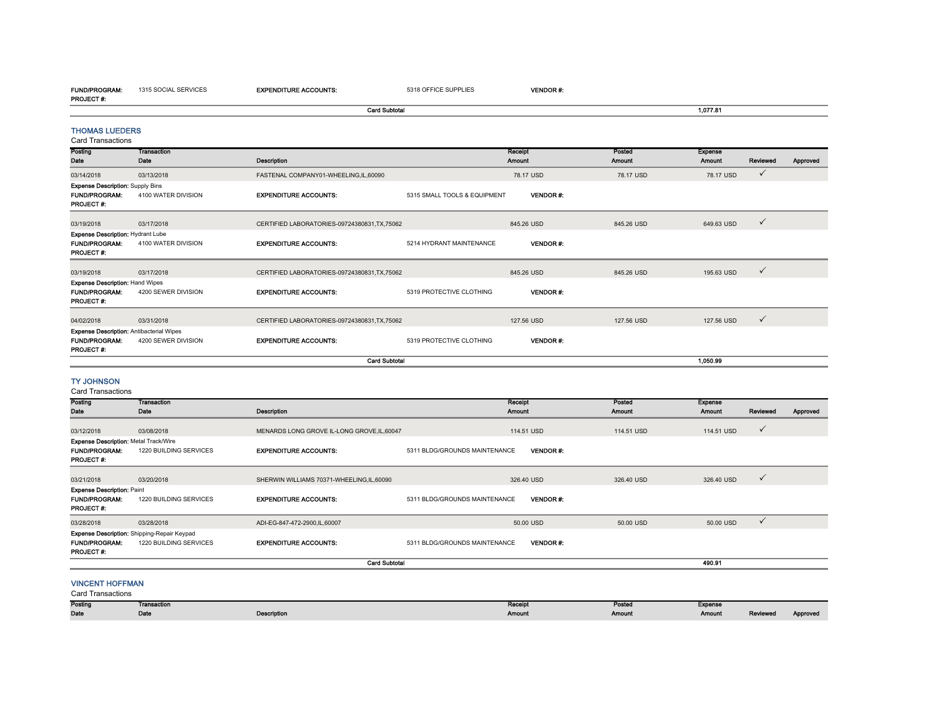EXPENDITURE ACCOUNTS: 5318 OFFICE SUPPLIES VENDOR #:

| <b>PROJECT #:</b>                                                                        |                                             |                                               |                               |                          |                         |                          |              |          |
|------------------------------------------------------------------------------------------|---------------------------------------------|-----------------------------------------------|-------------------------------|--------------------------|-------------------------|--------------------------|--------------|----------|
|                                                                                          |                                             | <b>Card Subtotal</b>                          |                               |                          |                         | 1,077.81                 |              |          |
| <b>THOMAS LUEDERS</b><br>Card Transactions                                               |                                             |                                               |                               |                          |                         |                          |              |          |
| Posting<br>Date                                                                          | <b>Transaction</b><br>Date                  | Description                                   |                               | Receipt<br>Amount        | Posted<br>Amount        | <b>Expense</b><br>Amount | Reviewed     | Approved |
| 03/14/2018                                                                               | 03/13/2018                                  | FASTENAL COMPANY01-WHEELING,IL,60090          |                               | 78.17 USD                | 78.17 USD               | 78.17 USD                | $\checkmark$ |          |
| <b>Expense Description: Supply Bins</b><br><b>FUND/PROGRAM:</b><br><b>PROJECT#:</b>      | 4100 WATER DIVISION                         | <b>EXPENDITURE ACCOUNTS:</b>                  | 5315 SMALL TOOLS & EQUIPMENT  | <b>VENDOR#:</b>          |                         |                          |              |          |
| 03/19/2018                                                                               | 03/17/2018                                  | CERTIFIED LABORATORIES-09724380831,TX,75062   |                               | 845.26 USD               | 845.26 USD              | 649.63 USD               | $\checkmark$ |          |
| Expense Description: Hydrant Lube<br><b>FUND/PROGRAM:</b><br>PROJECT#:                   | 4100 WATER DIVISION                         | <b>EXPENDITURE ACCOUNTS:</b>                  | 5214 HYDRANT MAINTENANCE      | <b>VENDOR#:</b>          |                         |                          |              |          |
| 03/19/2018                                                                               | 03/17/2018                                  | CERTIFIED LABORATORIES-09724380831, TX, 75062 |                               | 845.26 USD               | 845.26 USD              | 195.63 USD               | $\checkmark$ |          |
| <b>Expense Description: Hand Wipes</b><br><b>FUND/PROGRAM:</b><br><b>PROJECT #:</b>      | 4200 SEWER DIVISION                         | <b>EXPENDITURE ACCOUNTS:</b>                  | 5319 PROTECTIVE CLOTHING      | <b>VENDOR#:</b>          |                         |                          |              |          |
| 04/02/2018                                                                               | 03/31/2018                                  | CERTIFIED LABORATORIES-09724380831,TX,75062   |                               | 127.56 USD               | 127.56 USD              | 127.56 USD               | $\checkmark$ |          |
| <b>Expense Description: Antibacterial Wipes</b><br><b>FUND/PROGRAM:</b><br>PROJECT #:    | 4200 SEWER DIVISION                         | <b>EXPENDITURE ACCOUNTS:</b>                  | 5319 PROTECTIVE CLOTHING      | <b>VENDOR#:</b>          |                         |                          |              |          |
|                                                                                          |                                             | <b>Card Subtotal</b>                          |                               |                          |                         | 1,050.99                 |              |          |
| <b>TY JOHNSON</b><br><b>Card Transactions</b>                                            |                                             |                                               |                               |                          |                         |                          |              |          |
| Posting<br>Date                                                                          | <b>Transaction</b><br>Date                  | Description                                   |                               | Receipt<br><b>Amount</b> | Posted<br><b>Amount</b> | Expense<br>Amount        | Reviewed     | Approved |
| 03/12/2018                                                                               | 03/08/2018                                  | MENARDS LONG GROVE IL-LONG GROVE, IL, 60047   |                               | 114.51 USD               | 114.51 USD              | 114.51 USD               | ✓            |          |
| <b>Expense Description: Metal Track/Wire</b><br><b>FUND/PROGRAM:</b><br><b>PROJECT#:</b> | 1220 BUILDING SERVICES                      | <b>EXPENDITURE ACCOUNTS:</b>                  | 5311 BLDG/GROUNDS MAINTENANCE | <b>VENDOR#:</b>          |                         |                          |              |          |
| 03/21/2018                                                                               | 03/20/2018                                  | SHERWIN WILLIAMS 70371-WHEELING,IL,60090      |                               | 326.40 USD               | 326.40 USD              | 326.40 USD               | ✓            |          |
| <b>Expense Description: Paint</b><br><b>FUND/PROGRAM:</b><br>PROJECT#:                   | 1220 BUILDING SERVICES                      | <b>EXPENDITURE ACCOUNTS:</b>                  | 5311 BLDG/GROUNDS MAINTENANCE | <b>VENDOR#:</b>          |                         |                          |              |          |
| 03/28/2018                                                                               | 03/28/2018                                  | ADI-EG-847-472-2900,IL,60007                  |                               | 50.00 USD                | 50.00 USD               | 50.00 USD                | $\checkmark$ |          |
|                                                                                          | Expense Description: Shipping-Repair Keypad |                                               |                               |                          |                         |                          |              |          |

FUND/PROGRAM: 1220 BUILDING SERVICESEXPENDITURE ACCOUNTS: 5311 BLDG/GROUNDS MAINTENANCE VENDOR #:

## VINCENT HOFFMAN

Card Transactions

PROJECT #:

| Posting | Transaction |                    | Receipt | _<br>Posted | <b>Expense</b> |          |          |
|---------|-------------|--------------------|---------|-------------|----------------|----------|----------|
| Date    | Date        | <b>Description</b> | Amount  | Amount      | Amount         | Reviewed | Approveo |

490.91

490.91

Card Subtotal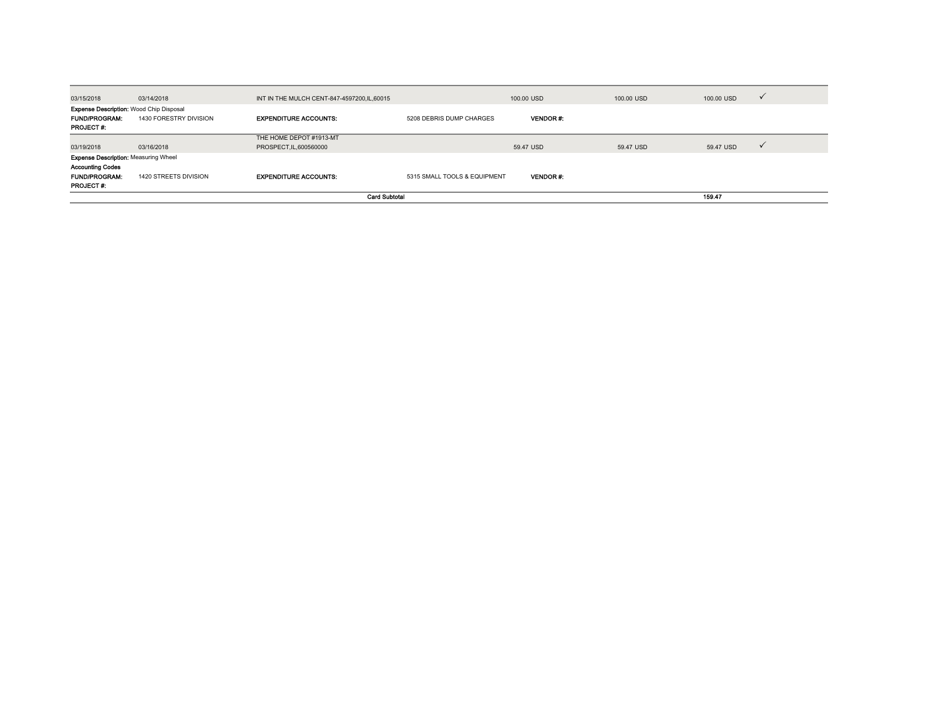| 03/15/2018                                                                                                         | 03/14/2018             | INT IN THE MULCH CENT-847-4597200, IL, 60015       |                              | 100,00 USD      | 100,00 USD | 100,00 USD | $\checkmark$ |
|--------------------------------------------------------------------------------------------------------------------|------------------------|----------------------------------------------------|------------------------------|-----------------|------------|------------|--------------|
| <b>Expense Description: Wood Chip Disposal</b><br><b>FUND/PROGRAM:</b><br><b>PROJECT #:</b>                        | 1430 FORESTRY DIVISION | <b>EXPENDITURE ACCOUNTS:</b>                       | 5208 DEBRIS DUMP CHARGES     | <b>VENDOR#</b>  |            |            |              |
| 03/19/2018                                                                                                         | 03/16/2018             | THE HOME DEPOT #1913-MT<br>PROSPECT, IL, 600560000 |                              | 59.47 USD       | 59.47 USD  | 59.47 USD  |              |
| <b>Expense Description: Measuring Wheel</b><br><b>Accounting Codes</b><br><b>FUND/PROGRAM:</b><br><b>PROJECT#:</b> | 1420 STREETS DIVISION  | <b>EXPENDITURE ACCOUNTS:</b>                       | 5315 SMALL TOOLS & EQUIPMENT | <b>VENDOR#:</b> |            |            |              |
| <b>Card Subtotal</b>                                                                                               |                        |                                                    |                              |                 | 159.47     |            |              |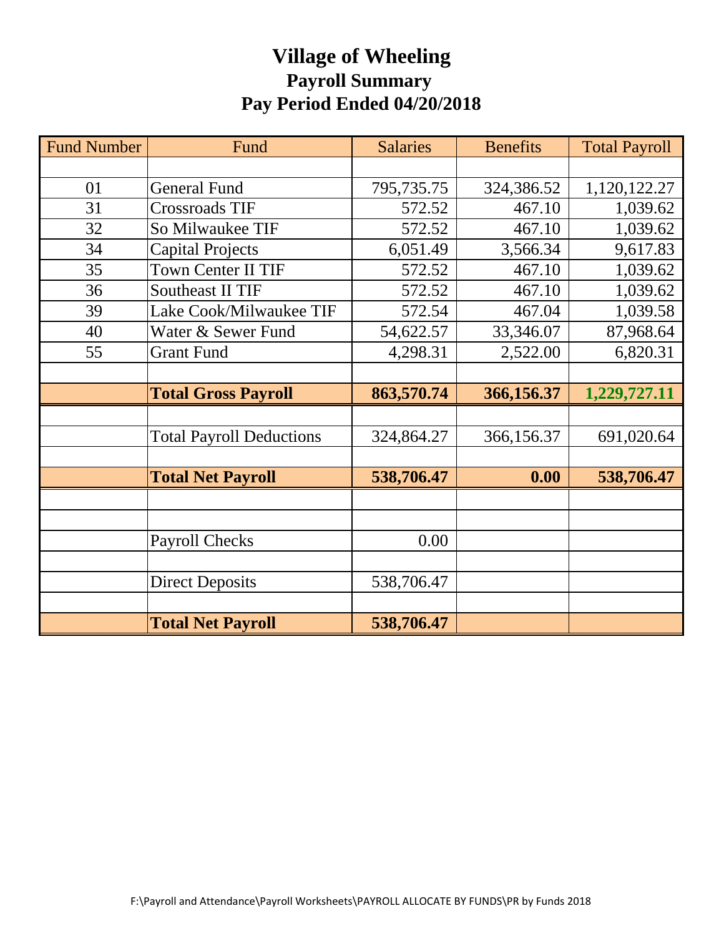# **Village of Wheeling Payroll Summary Pay Period Ended 04/20/2018**

| <b>Fund Number</b> | Fund                            | <b>Salaries</b> | <b>Benefits</b> | <b>Total Payroll</b> |
|--------------------|---------------------------------|-----------------|-----------------|----------------------|
|                    |                                 |                 |                 |                      |
| 01                 | <b>General Fund</b>             | 795,735.75      | 324,386.52      | 1,120,122.27         |
| 31                 | <b>Crossroads TIF</b>           | 572.52          | 467.10          | 1,039.62             |
| 32                 | So Milwaukee TIF                | 572.52          | 467.10          | 1,039.62             |
| 34                 | <b>Capital Projects</b>         | 6,051.49        | 3,566.34        | 9,617.83             |
| 35                 | <b>Town Center II TIF</b>       | 572.52          | 467.10          | 1,039.62             |
| 36                 | <b>Southeast II TIF</b>         | 572.52          | 467.10          | 1,039.62             |
| 39                 | Lake Cook/Milwaukee TIF         | 572.54          | 467.04          | 1,039.58             |
| 40                 | Water & Sewer Fund              | 54,622.57       | 33,346.07       | 87,968.64            |
| 55                 | <b>Grant Fund</b>               | 4,298.31        | 2,522.00        | 6,820.31             |
|                    |                                 |                 |                 |                      |
|                    | <b>Total Gross Payroll</b>      | 863,570.74      | 366,156.37      | 1,229,727.11         |
|                    |                                 |                 |                 |                      |
|                    | <b>Total Payroll Deductions</b> | 324,864.27      | 366,156.37      | 691,020.64           |
|                    |                                 |                 |                 |                      |
|                    | <b>Total Net Payroll</b>        | 538,706.47      | 0.00            | 538,706.47           |
|                    |                                 |                 |                 |                      |
|                    |                                 |                 |                 |                      |
|                    | <b>Payroll Checks</b>           | 0.00            |                 |                      |
|                    |                                 |                 |                 |                      |
|                    | <b>Direct Deposits</b>          | 538,706.47      |                 |                      |
|                    |                                 |                 |                 |                      |
|                    | <b>Total Net Payroll</b>        | 538,706.47      |                 |                      |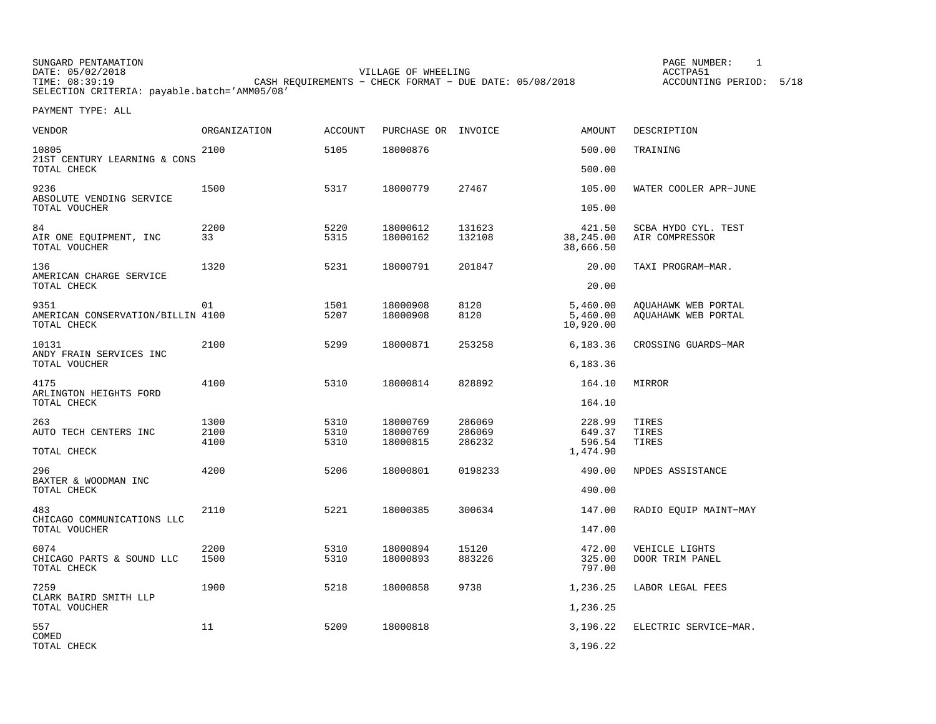| SUNGARD PENTAMATION                          |                                                           | PAGE NUMBER:            |
|----------------------------------------------|-----------------------------------------------------------|-------------------------|
| DATE: 05/02/2018                             | VILLAGE OF WHEELING                                       | ACCTPA51                |
| TIME: 08:39:19                               | CASH REOUIREMENTS - CHECK FORMAT - DUE DATE: $05/08/2018$ | ACCOUNTING PERIOD: 5/18 |
| SELECTION CRITERIA: payable.batch='AMM05/08' |                                                           |                         |

| <b>VENDOR</b>                                            | <b>ORGANIZATION</b> | <b>ACCOUNT</b> | PURCHASE OR INVOICE  |                  | <b>AMOUNT</b>                     | DESCRIPTION                                |
|----------------------------------------------------------|---------------------|----------------|----------------------|------------------|-----------------------------------|--------------------------------------------|
| 10805<br>21ST CENTURY LEARNING & CONS                    | 2100                | 5105           | 18000876             |                  | 500.00                            | TRAINING                                   |
| TOTAL CHECK                                              |                     |                |                      |                  | 500.00                            |                                            |
| 9236<br>ABSOLUTE VENDING SERVICE<br>TOTAL VOUCHER        | 1500                | 5317           | 18000779             | 27467            | 105.00<br>105.00                  | WATER COOLER APR-JUNE                      |
| 84<br>AIR ONE EQUIPMENT, INC<br>TOTAL VOUCHER            | 2200<br>33          | 5220<br>5315   | 18000612<br>18000162 | 131623<br>132108 | 421.50<br>38,245.00<br>38,666.50  | SCBA HYDO CYL. TEST<br>AIR COMPRESSOR      |
| 136<br>AMERICAN CHARGE SERVICE<br>TOTAL CHECK            | 1320                | 5231           | 18000791             | 201847           | 20.00<br>20.00                    | TAXI PROGRAM-MAR.                          |
|                                                          |                     |                |                      |                  |                                   |                                            |
| 9351<br>AMERICAN CONSERVATION/BILLIN 4100<br>TOTAL CHECK | 01                  | 1501<br>5207   | 18000908<br>18000908 | 8120<br>8120     | 5,460.00<br>5,460.00<br>10,920.00 | AQUAHAWK WEB PORTAL<br>AOUAHAWK WEB PORTAL |
| 10131<br>ANDY FRAIN SERVICES INC<br>TOTAL VOUCHER        | 2100                | 5299           | 18000871             | 253258           | 6,183.36<br>6,183.36              | CROSSING GUARDS-MAR                        |
|                                                          |                     |                |                      |                  |                                   |                                            |
| 4175<br>ARLINGTON HEIGHTS FORD<br>TOTAL CHECK            | 4100                | 5310           | 18000814             | 828892           | 164.10<br>164.10                  | MIRROR                                     |
| 263                                                      | 1300                | 5310           | 18000769             | 286069           | 228.99                            | TIRES                                      |
| AUTO TECH CENTERS INC                                    | 2100                | 5310           | 18000769             | 286069           | 649.37                            | TIRES                                      |
| TOTAL CHECK                                              | 4100                | 5310           | 18000815             | 286232           | 596.54<br>1,474.90                | TIRES                                      |
| 296                                                      | 4200                | 5206           | 18000801             | 0198233          | 490.00                            | NPDES ASSISTANCE                           |
| BAXTER & WOODMAN INC<br>TOTAL CHECK                      |                     |                |                      |                  | 490.00                            |                                            |
| 483                                                      | 2110                | 5221           | 18000385             | 300634           | 147.00                            | RADIO EQUIP MAINT-MAY                      |
| CHICAGO COMMUNICATIONS LLC<br>TOTAL VOUCHER              |                     |                |                      |                  | 147.00                            |                                            |
| 6074                                                     | 2200                | 5310           | 18000894             | 15120            | 472.00                            | VEHICLE LIGHTS                             |
| CHICAGO PARTS & SOUND LLC<br>TOTAL CHECK                 | 1500                | 5310           | 18000893             | 883226           | 325.00<br>797.00                  | DOOR TRIM PANEL                            |
| 7259                                                     | 1900                | 5218           | 18000858             | 9738             | 1,236.25                          | LABOR LEGAL FEES                           |
| CLARK BAIRD SMITH LLP<br>TOTAL VOUCHER                   |                     |                |                      |                  | 1,236.25                          |                                            |
| 557                                                      | 11                  | 5209           | 18000818             |                  | 3,196.22                          | ELECTRIC SERVICE-MAR.                      |
| COMED<br>TOTAL CHECK                                     |                     |                |                      |                  | 3,196.22                          |                                            |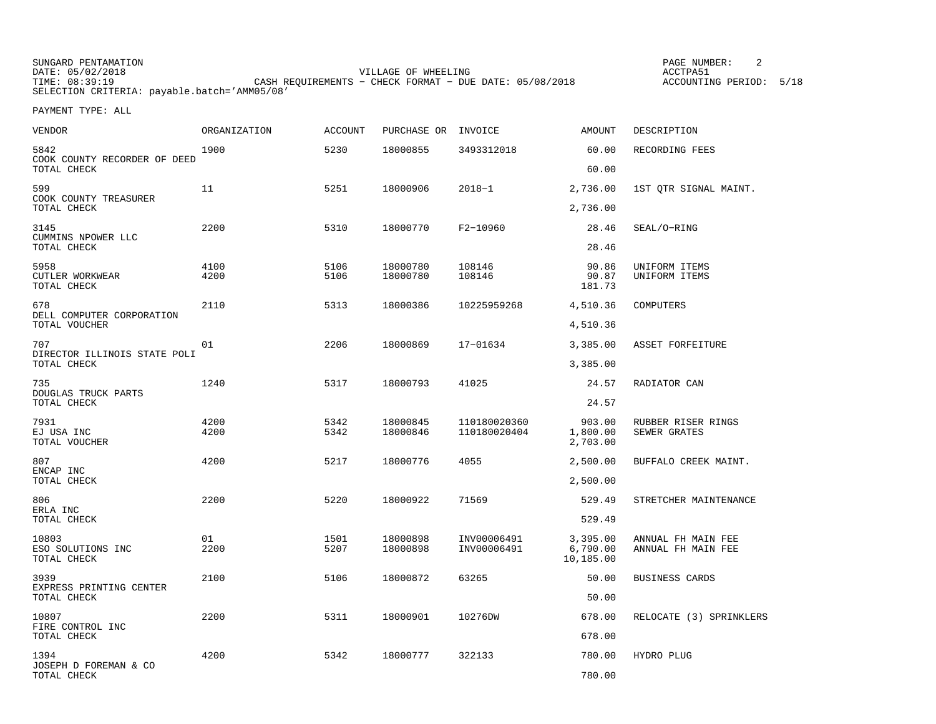SUNGARD PENTAMATION PAGE NUMBER: 2DATE: 05/02/2018 VILLAGE OF WHEELING ACCTPA51TIMES OF MILLING CASH REQUIREMENTS - CHECK FORMAT - DUE DATE: 05/08/2018 SELECTION CRITERIA: payable.batch='AMM05/08'

ACCOUNTING PERIOD: 5/18

| VENDOR                                      | ORGANIZATION | <b>ACCOUNT</b> | PURCHASE OR INVOICE  |                              | AMOUNT                            | DESCRIPTION                              |
|---------------------------------------------|--------------|----------------|----------------------|------------------------------|-----------------------------------|------------------------------------------|
| 5842<br>COOK COUNTY RECORDER OF DEED        | 1900         | 5230           | 18000855             | 3493312018                   | 60.00                             | RECORDING FEES                           |
| TOTAL CHECK                                 |              |                |                      |                              | 60.00                             |                                          |
| 599<br>COOK COUNTY TREASURER<br>TOTAL CHECK | 11           | 5251           | 18000906             | $2018 - 1$                   | 2,736.00<br>2,736.00              | 1ST QTR SIGNAL MAINT.                    |
|                                             |              |                |                      |                              |                                   |                                          |
| 3145<br>CUMMINS NPOWER LLC<br>TOTAL CHECK   | 2200         | 5310           | 18000770             | F2-10960                     | 28.46<br>28.46                    | SEAL/O-RING                              |
| 5958<br>CUTLER WORKWEAR                     | 4100<br>4200 | 5106<br>5106   | 18000780<br>18000780 | 108146<br>108146             | 90.86<br>90.87                    | UNIFORM ITEMS<br>UNIFORM ITEMS           |
| TOTAL CHECK                                 |              |                |                      |                              | 181.73                            |                                          |
| 678<br>DELL COMPUTER CORPORATION            | 2110         | 5313           | 18000386             | 10225959268                  | 4,510.36                          | COMPUTERS                                |
| TOTAL VOUCHER                               |              |                |                      |                              | 4,510.36                          |                                          |
| 707<br>DIRECTOR ILLINOIS STATE POLI         | 01           | 2206           | 18000869             | 17-01634                     | 3,385.00                          | ASSET FORFEITURE                         |
| TOTAL CHECK                                 |              |                |                      |                              | 3,385.00                          |                                          |
| 735<br>DOUGLAS TRUCK PARTS                  | 1240         | 5317           | 18000793             | 41025                        | 24.57                             | RADIATOR CAN                             |
| TOTAL CHECK                                 |              |                |                      |                              | 24.57                             |                                          |
| 7931<br>EJ USA INC<br>TOTAL VOUCHER         | 4200<br>4200 | 5342<br>5342   | 18000845<br>18000846 | 110180020360<br>110180020404 | 903.00<br>1,800.00<br>2,703.00    | RUBBER RISER RINGS<br>SEWER GRATES       |
| 807                                         | 4200         | 5217           | 18000776             | 4055                         | 2,500.00                          | BUFFALO CREEK MAINT.                     |
| ENCAP INC<br>TOTAL CHECK                    |              |                |                      |                              | 2,500.00                          |                                          |
| 806                                         | 2200         | 5220           | 18000922             | 71569                        | 529.49                            | STRETCHER MAINTENANCE                    |
| ERLA INC<br>TOTAL CHECK                     |              |                |                      |                              | 529.49                            |                                          |
| 10803<br>ESO SOLUTIONS INC<br>TOTAL CHECK   | 01<br>2200   | 1501<br>5207   | 18000898<br>18000898 | INV00006491<br>INV00006491   | 3,395.00<br>6,790.00<br>10,185.00 | ANNUAL FH MAIN FEE<br>ANNUAL FH MAIN FEE |
| 3939<br>EXPRESS PRINTING CENTER             | 2100         | 5106           | 18000872             | 63265                        | 50.00                             | BUSINESS CARDS                           |
| TOTAL CHECK                                 |              |                |                      |                              | 50.00                             |                                          |
| 10807<br>FIRE CONTROL INC                   | 2200         | 5311           | 18000901             | 10276DW                      | 678.00                            | RELOCATE (3) SPRINKLERS                  |
| TOTAL CHECK                                 |              |                |                      |                              | 678.00                            |                                          |
| 1394<br>JOSEPH D FOREMAN & CO               | 4200         | 5342           | 18000777             | 322133                       | 780.00                            | HYDRO PLUG                               |
| TOTAL CHECK                                 |              |                |                      |                              | 780.00                            |                                          |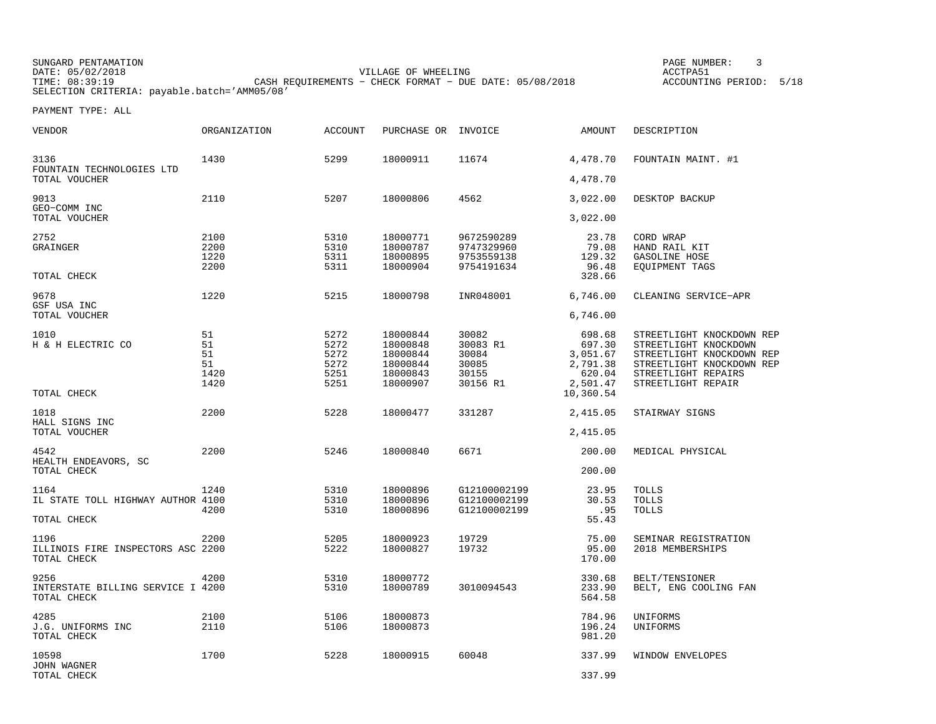SUNGARD PENTAMATION PAGE NUMBER: 3DATE: 05/02/2018 VILLAGE OF WHEELING ACCTPA51TIME: 08:39:19 CASH REQUIREMENTS − CHECK FORMAT − DUE DATE: 05/08/2018 ACCOUNTING PERIOD: 5/18SELECTION CRITERIA: payable.batch='AMM05/08'

ACCOUNTING PERIOD: 5/18

| VENDOR                                           | ORGANIZATION | <b>ACCOUNT</b> | PURCHASE OR          | INVOICE                      | AMOUNT             | DESCRIPTION                                      |
|--------------------------------------------------|--------------|----------------|----------------------|------------------------------|--------------------|--------------------------------------------------|
| 3136<br>FOUNTAIN TECHNOLOGIES LTD                | 1430         | 5299           | 18000911             | 11674                        | 4,478.70           | FOUNTAIN MAINT. #1                               |
| TOTAL VOUCHER                                    |              |                |                      |                              | 4,478.70           |                                                  |
| 9013<br>GEO-COMM INC                             | 2110         | 5207           | 18000806             | 4562                         | 3,022.00           | DESKTOP BACKUP                                   |
| TOTAL VOUCHER                                    |              |                |                      |                              | 3,022.00           |                                                  |
| 2752                                             | 2100         | 5310           | 18000771             | 9672590289                   | 23.78              | CORD WRAP                                        |
| GRAINGER                                         | 2200         | 5310           | 18000787             | 9747329960                   | 79.08              | HAND RAIL KIT                                    |
|                                                  | 1220<br>2200 | 5311<br>5311   | 18000895<br>18000904 | 9753559138<br>9754191634     | 129.32<br>96.48    | GASOLINE HOSE<br>EQUIPMENT TAGS                  |
| TOTAL CHECK                                      |              |                |                      |                              | 328.66             |                                                  |
| 9678                                             | 1220         | 5215           | 18000798             | INR048001                    | 6,746.00           | CLEANING SERVICE-APR                             |
| GSF USA INC                                      |              |                |                      |                              |                    |                                                  |
| TOTAL VOUCHER                                    |              |                |                      |                              | 6,746.00           |                                                  |
| 1010                                             | 51           | 5272           | 18000844             | 30082                        | 698.68             | STREETLIGHT KNOCKDOWN REP                        |
| H & H ELECTRIC CO                                | 51           | 5272           | 18000848             | 30083 R1                     | 697.30             | STREETLIGHT KNOCKDOWN                            |
|                                                  | 51           | 5272           | 18000844             | 30084                        | 3,051.67           | STREETLIGHT KNOCKDOWN REP                        |
|                                                  | 51<br>1420   | 5272<br>5251   | 18000844<br>18000843 | 30085<br>30155               | 2,791.38<br>620.04 | STREETLIGHT KNOCKDOWN REP<br>STREETLIGHT REPAIRS |
|                                                  | 1420         | 5251           | 18000907             | 30156 R1                     | 2,501.47           | STREETLIGHT REPAIR                               |
| TOTAL CHECK                                      |              |                |                      |                              | 10,360.54          |                                                  |
| 1018                                             | 2200         | 5228           | 18000477             | 331287                       | 2,415.05           | STAIRWAY SIGNS                                   |
| HALL SIGNS INC<br>TOTAL VOUCHER                  |              |                |                      |                              | 2,415.05           |                                                  |
| 4542                                             | 2200         | 5246           | 18000840             | 6671                         | 200.00             | MEDICAL PHYSICAL                                 |
| HEALTH ENDEAVORS, SC                             |              |                |                      |                              |                    |                                                  |
| TOTAL CHECK                                      |              |                |                      |                              | 200.00             |                                                  |
| 1164                                             | 1240         | 5310           | 18000896             | G12100002199                 | 23.95              | TOLLS                                            |
| IL STATE TOLL HIGHWAY AUTHOR 4100                | 4200         | 5310<br>5310   | 18000896<br>18000896 | G12100002199<br>G12100002199 | 30.53<br>.95       | <b>TOLLS</b><br><b>TOLLS</b>                     |
| TOTAL CHECK                                      |              |                |                      |                              | 55.43              |                                                  |
| 1196                                             | 2200         | 5205           | 18000923             | 19729                        | 75.00              | SEMINAR REGISTRATION                             |
| ILLINOIS FIRE INSPECTORS ASC 2200                |              | 5222           | 18000827             | 19732                        | 95.00              | 2018 MEMBERSHIPS                                 |
| TOTAL CHECK                                      |              |                |                      |                              | 170.00             |                                                  |
| 9256                                             | 4200         | 5310           | 18000772             |                              | 330.68             | BELT/TENSIONER                                   |
| INTERSTATE BILLING SERVICE I 4200<br>TOTAL CHECK |              | 5310           | 18000789             | 3010094543                   | 233.90<br>564.58   | BELT, ENG COOLING FAN                            |
|                                                  |              |                |                      |                              |                    |                                                  |
| 4285                                             | 2100         | 5106           | 18000873             |                              | 784.96             | UNIFORMS                                         |
| J.G. UNIFORMS INC                                | 2110         | 5106           | 18000873             |                              | 196.24             | UNIFORMS                                         |
| TOTAL CHECK                                      |              |                |                      |                              | 981.20             |                                                  |
| 10598                                            | 1700         | 5228           | 18000915             | 60048                        | 337.99             | WINDOW ENVELOPES                                 |
| JOHN WAGNER<br>TOTAL CHECK                       |              |                |                      |                              | 337.99             |                                                  |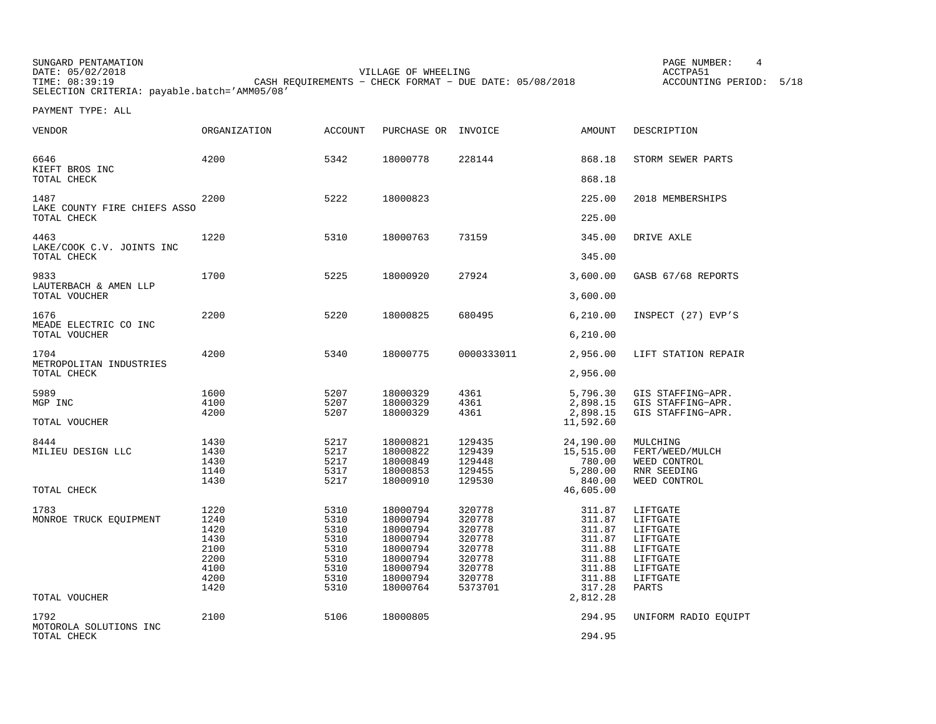| SUNGARD PENTAMATION                          |                                                         | PAGE NUMBER:            |  |
|----------------------------------------------|---------------------------------------------------------|-------------------------|--|
| DATE: 05/02/2018                             | VILLAGE OF WHEELING                                     | ACCTPA51                |  |
| TIME: 08:39:19                               | CASH REOUIREMENTS - CHECK FORMAT - DUE DATE: 05/08/2018 | ACCOUNTING PERIOD: 5/18 |  |
| SELECTION CRITERIA: payable.batch='AMM05/08' |                                                         |                         |  |

| <b>VENDOR</b>                                    | <b>ORGANIZATION</b>                                                  | <b>ACCOUNT</b>                                                       | PURCHASE OR INVOICE                                                                                      |                                                                                         | AMOUNT                                                                                             | DESCRIPTION                                                                                           |
|--------------------------------------------------|----------------------------------------------------------------------|----------------------------------------------------------------------|----------------------------------------------------------------------------------------------------------|-----------------------------------------------------------------------------------------|----------------------------------------------------------------------------------------------------|-------------------------------------------------------------------------------------------------------|
| 6646<br>KIEFT BROS INC<br>TOTAL CHECK            | 4200                                                                 | 5342                                                                 | 18000778                                                                                                 | 228144                                                                                  | 868.18<br>868.18                                                                                   | STORM SEWER PARTS                                                                                     |
| 1487                                             | 2200                                                                 | 5222                                                                 | 18000823                                                                                                 |                                                                                         | 225.00                                                                                             | 2018 MEMBERSHIPS                                                                                      |
| LAKE COUNTY FIRE CHIEFS ASSO<br>TOTAL CHECK      |                                                                      |                                                                      |                                                                                                          |                                                                                         | 225.00                                                                                             |                                                                                                       |
| 4463<br>LAKE/COOK C.V. JOINTS INC<br>TOTAL CHECK | 1220                                                                 | 5310                                                                 | 18000763                                                                                                 | 73159                                                                                   | 345.00<br>345.00                                                                                   | DRIVE AXLE                                                                                            |
| 9833                                             | 1700                                                                 | 5225                                                                 | 18000920                                                                                                 | 27924                                                                                   | 3,600.00                                                                                           | GASB 67/68 REPORTS                                                                                    |
| LAUTERBACH & AMEN LLP<br>TOTAL VOUCHER           |                                                                      |                                                                      |                                                                                                          |                                                                                         | 3,600.00                                                                                           |                                                                                                       |
| 1676                                             | 2200                                                                 | 5220                                                                 | 18000825                                                                                                 | 680495                                                                                  | 6, 210.00                                                                                          | INSPECT (27) EVP'S                                                                                    |
| MEADE ELECTRIC CO INC<br>TOTAL VOUCHER           |                                                                      |                                                                      |                                                                                                          |                                                                                         | 6, 210.00                                                                                          |                                                                                                       |
| 1704                                             | 4200                                                                 | 5340                                                                 | 18000775                                                                                                 | 0000333011                                                                              | 2,956.00                                                                                           | LIFT STATION REPAIR                                                                                   |
| METROPOLITAN INDUSTRIES<br>TOTAL CHECK           |                                                                      |                                                                      |                                                                                                          |                                                                                         | 2,956.00                                                                                           |                                                                                                       |
| 5989<br>MGP INC<br>TOTAL VOUCHER                 | 1600<br>4100<br>4200                                                 | 5207<br>5207<br>5207                                                 | 18000329<br>18000329<br>18000329                                                                         | 4361<br>4361<br>4361                                                                    | 5,796.30<br>2,898.15<br>2,898.15<br>11,592.60                                                      | GIS STAFFING-APR.<br>GIS STAFFING-APR.<br>GIS STAFFING-APR.                                           |
| 8444                                             | 1430                                                                 | 5217                                                                 | 18000821                                                                                                 | 129435                                                                                  | 24,190.00                                                                                          | MULCHING                                                                                              |
| MILIEU DESIGN LLC                                | 1430<br>1430                                                         | 5217<br>5217                                                         | 18000822<br>18000849                                                                                     | 129439<br>129448                                                                        | 15,515.00<br>780.00                                                                                | FERT/WEED/MULCH<br>WEED CONTROL                                                                       |
|                                                  | 1140                                                                 | 5317                                                                 | 18000853                                                                                                 | 129455                                                                                  | 5,280.00                                                                                           | RNR SEEDING                                                                                           |
| TOTAL CHECK                                      | 1430                                                                 | 5217                                                                 | 18000910                                                                                                 | 129530                                                                                  | 840.00<br>46,605.00                                                                                | WEED CONTROL                                                                                          |
| 1783<br>MONROE TRUCK EQUIPMENT<br>TOTAL VOUCHER  | 1220<br>1240<br>1420<br>1430<br>2100<br>2200<br>4100<br>4200<br>1420 | 5310<br>5310<br>5310<br>5310<br>5310<br>5310<br>5310<br>5310<br>5310 | 18000794<br>18000794<br>18000794<br>18000794<br>18000794<br>18000794<br>18000794<br>18000794<br>18000764 | 320778<br>320778<br>320778<br>320778<br>320778<br>320778<br>320778<br>320778<br>5373701 | 311.87<br>311.87<br>311.87<br>311.87<br>311.88<br>311.88<br>311.88<br>311.88<br>317.28<br>2,812.28 | LIFTGATE<br>LIFTGATE<br>LIFTGATE<br>LIFTGATE<br>LIFTGATE<br>LIFTGATE<br>LIFTGATE<br>LIFTGATE<br>PARTS |
| 1792                                             | 2100                                                                 | 5106                                                                 | 18000805                                                                                                 |                                                                                         | 294.95                                                                                             | UNIFORM RADIO EOUIPT                                                                                  |
| MOTOROLA SOLUTIONS INC<br>TOTAL CHECK            |                                                                      |                                                                      |                                                                                                          |                                                                                         | 294.95                                                                                             |                                                                                                       |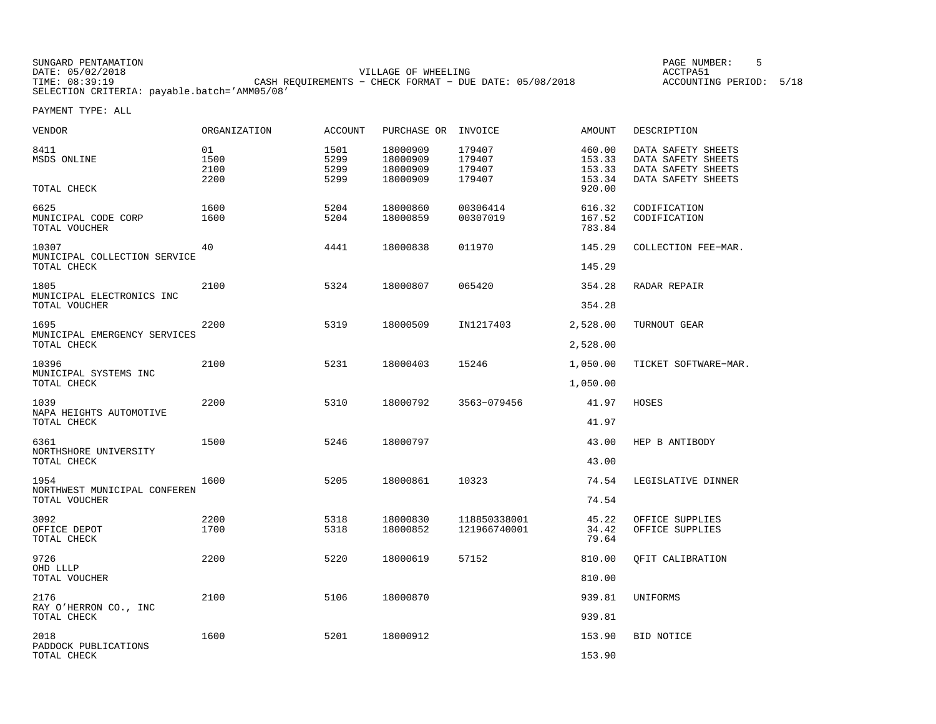| SUNGARD PENTAMATION                          |                                                         | PAGE NUMBER:            |
|----------------------------------------------|---------------------------------------------------------|-------------------------|
| DATE: 05/02/2018                             | VILLAGE OF WHEELING                                     | ACCTPA51                |
| TIME: 08:39:19                               | CASH REOUIREMENTS - CHECK FORMAT - DUE DATE: 05/08/2018 | ACCOUNTING PERIOD: 5/18 |
| SELECTION CRITERIA: payable.batch='AMM05/08' |                                                         |                         |

| VENDOR                                                | ORGANIZATION               | <b>ACCOUNT</b>               | PURCHASE OR                                  | INVOICE                              | AMOUNT                               | DESCRIPTION                                                                          |
|-------------------------------------------------------|----------------------------|------------------------------|----------------------------------------------|--------------------------------------|--------------------------------------|--------------------------------------------------------------------------------------|
| 8411<br>MSDS ONLINE                                   | 01<br>1500<br>2100<br>2200 | 1501<br>5299<br>5299<br>5299 | 18000909<br>18000909<br>18000909<br>18000909 | 179407<br>179407<br>179407<br>179407 | 460.00<br>153.33<br>153.33<br>153.34 | DATA SAFETY SHEETS<br>DATA SAFETY SHEETS<br>DATA SAFETY SHEETS<br>DATA SAFETY SHEETS |
| TOTAL CHECK                                           |                            |                              |                                              |                                      | 920.00                               |                                                                                      |
| 6625<br>MUNICIPAL CODE CORP<br>TOTAL VOUCHER          | 1600<br>1600               | 5204<br>5204                 | 18000860<br>18000859                         | 00306414<br>00307019                 | 616.32<br>167.52<br>783.84           | CODIFICATION<br>CODIFICATION                                                         |
| 10307<br>MUNICIPAL COLLECTION SERVICE<br>TOTAL CHECK  | 40                         | 4441                         | 18000838                                     | 011970                               | 145.29<br>145.29                     | COLLECTION FEE-MAR.                                                                  |
| 1805<br>MUNICIPAL ELECTRONICS INC<br>TOTAL VOUCHER    | 2100                       | 5324                         | 18000807                                     | 065420                               | 354.28<br>354.28                     | RADAR REPAIR                                                                         |
| 1695<br>MUNICIPAL EMERGENCY SERVICES<br>TOTAL CHECK   | 2200                       | 5319                         | 18000509                                     | IN1217403                            | 2,528.00<br>2,528.00                 | TURNOUT GEAR                                                                         |
| 10396<br>MUNICIPAL SYSTEMS INC<br>TOTAL CHECK         | 2100                       | 5231                         | 18000403                                     | 15246                                | 1,050.00<br>1,050.00                 | TICKET SOFTWARE-MAR.                                                                 |
| 1039<br>NAPA HEIGHTS AUTOMOTIVE<br>TOTAL CHECK        | 2200                       | 5310                         | 18000792                                     | 3563-079456                          | 41.97<br>41.97                       | HOSES                                                                                |
| 6361<br>NORTHSHORE UNIVERSITY<br>TOTAL CHECK          | 1500                       | 5246                         | 18000797                                     |                                      | 43.00<br>43.00                       | HEP B ANTIBODY                                                                       |
| 1954<br>NORTHWEST MUNICIPAL CONFEREN<br>TOTAL VOUCHER | 1600                       | 5205                         | 18000861                                     | 10323                                | 74.54<br>74.54                       | LEGISLATIVE DINNER                                                                   |
| 3092<br>OFFICE DEPOT<br>TOTAL CHECK                   | 2200<br>1700               | 5318<br>5318                 | 18000830<br>18000852                         | 118850338001<br>121966740001         | 45.22<br>34.42<br>79.64              | OFFICE SUPPLIES<br>OFFICE SUPPLIES                                                   |
| 9726<br>OHD LLLP<br>TOTAL VOUCHER                     | 2200                       | 5220                         | 18000619                                     | 57152                                | 810.00<br>810.00                     | OFIT CALIBRATION                                                                     |
| 2176<br>RAY O'HERRON CO., INC<br>TOTAL CHECK          | 2100                       | 5106                         | 18000870                                     |                                      | 939.81<br>939.81                     | UNIFORMS                                                                             |
| 2018<br>PADDOCK PUBLICATIONS<br>TOTAL CHECK           | 1600                       | 5201                         | 18000912                                     |                                      | 153.90<br>153.90                     | BID NOTICE                                                                           |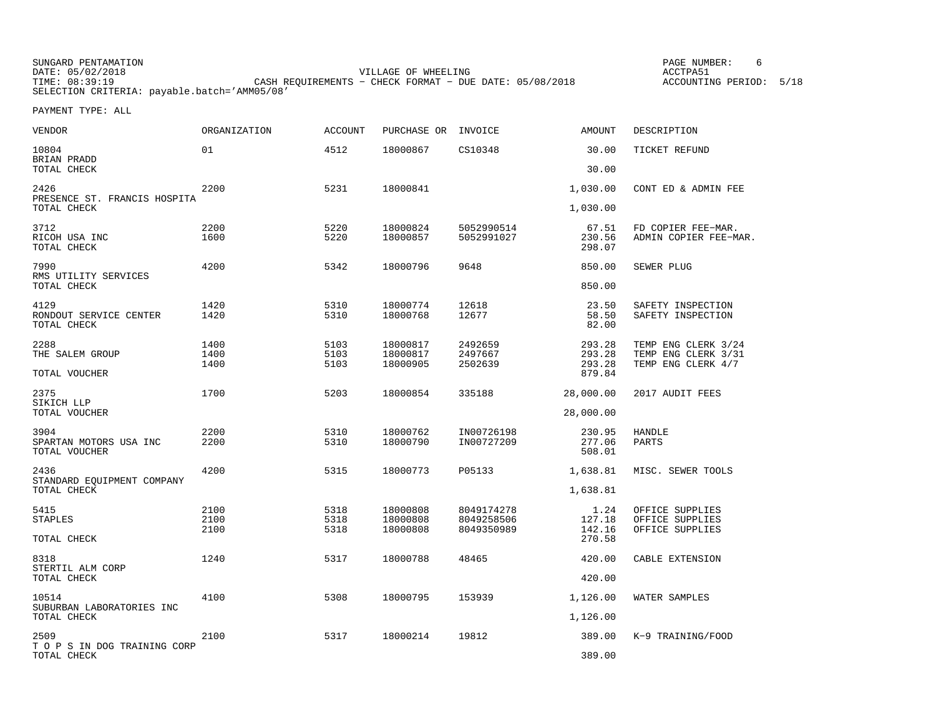| SUNGARD PENTAMATION                          |                                                         |                     | PAGE NUMBER:       |      |
|----------------------------------------------|---------------------------------------------------------|---------------------|--------------------|------|
| DATE: 05/02/2018                             |                                                         | VILLAGE OF WHEELING | ACCTPA51           |      |
| TIME: 08:39:19                               | CASH REOUIREMENTS - CHECK FORMAT - DUE DATE: 05/08/2018 |                     | ACCOUNTING PERIOD: | 5/18 |
| SELECTION CRITERIA: payable.batch='AMM05/08' |                                                         |                     |                    |      |

| VENDOR                                        | ORGANIZATION         | <b>ACCOUNT</b>       | PURCHASE OR                      | INVOICE                                | AMOUNT                    | DESCRIPTION                                           |
|-----------------------------------------------|----------------------|----------------------|----------------------------------|----------------------------------------|---------------------------|-------------------------------------------------------|
| 10804<br>BRIAN PRADD                          | 01                   | 4512                 | 18000867                         | CS10348                                | 30.00                     | TICKET REFUND                                         |
| TOTAL CHECK                                   |                      |                      |                                  |                                        | 30.00                     |                                                       |
| 2426<br>PRESENCE ST. FRANCIS HOSPITA          | 2200                 | 5231                 | 18000841                         |                                        | 1,030.00                  | CONT ED & ADMIN FEE                                   |
| TOTAL CHECK                                   |                      |                      |                                  |                                        | 1,030.00                  |                                                       |
| 3712<br>RICOH USA INC<br>TOTAL CHECK          | 2200<br>1600         | 5220<br>5220         | 18000824<br>18000857             | 5052990514<br>5052991027               | 67.51<br>230.56<br>298.07 | FD COPIER FEE-MAR.<br>ADMIN COPIER FEE-MAR.           |
| 7990<br>RMS UTILITY SERVICES                  | 4200                 | 5342                 | 18000796                         | 9648                                   | 850.00                    | SEWER PLUG                                            |
| TOTAL CHECK                                   |                      |                      |                                  |                                        | 850.00                    |                                                       |
| 4129<br>RONDOUT SERVICE CENTER<br>TOTAL CHECK | 1420<br>1420         | 5310<br>5310         | 18000774<br>18000768             | 12618<br>12677                         | 23.50<br>58.50<br>82.00   | SAFETY INSPECTION<br>SAFETY INSPECTION                |
| 2288<br>THE SALEM GROUP                       | 1400<br>1400         | 5103<br>5103         | 18000817<br>18000817             | 2492659<br>2497667                     | 293.28<br>293.28          | TEMP ENG CLERK 3/24<br>TEMP ENG CLERK 3/31            |
| TOTAL VOUCHER                                 | 1400                 | 5103                 | 18000905                         | 2502639                                | 293.28<br>879.84          | TEMP ENG CLERK 4/7                                    |
| 2375<br>SIKICH LLP                            | 1700                 | 5203                 | 18000854                         | 335188                                 | 28,000.00                 | 2017 AUDIT FEES                                       |
| TOTAL VOUCHER                                 |                      |                      |                                  |                                        | 28,000.00                 |                                                       |
| 3904<br>SPARTAN MOTORS USA INC                | 2200<br>2200         | 5310<br>5310         | 18000762<br>18000790             | IN00726198<br>IN00727209               | 230.95<br>277.06          | <b>HANDLE</b><br>PARTS                                |
| TOTAL VOUCHER                                 |                      |                      |                                  |                                        | 508.01                    |                                                       |
| 2436<br>STANDARD EQUIPMENT COMPANY            | 4200                 | 5315                 | 18000773                         | P05133                                 | 1,638.81                  | MISC. SEWER TOOLS                                     |
| TOTAL CHECK                                   |                      |                      |                                  |                                        | 1,638.81                  |                                                       |
| 5415<br>STAPLES                               | 2100<br>2100<br>2100 | 5318<br>5318<br>5318 | 18000808<br>18000808<br>18000808 | 8049174278<br>8049258506<br>8049350989 | 1.24<br>127.18<br>142.16  | OFFICE SUPPLIES<br>OFFICE SUPPLIES<br>OFFICE SUPPLIES |
| TOTAL CHECK                                   |                      |                      |                                  |                                        | 270.58                    |                                                       |
| 8318<br>STERTIL ALM CORP                      | 1240                 | 5317                 | 18000788                         | 48465                                  | 420.00                    | CABLE EXTENSION                                       |
| TOTAL CHECK                                   |                      |                      |                                  |                                        | 420.00                    |                                                       |
| 10514<br>SUBURBAN LABORATORIES INC            | 4100                 | 5308                 | 18000795                         | 153939                                 | 1,126.00                  | WATER SAMPLES                                         |
| TOTAL CHECK                                   |                      |                      |                                  |                                        | 1,126.00                  |                                                       |
| 2509<br>T O P S IN DOG TRAINING CORP          | 2100                 | 5317                 | 18000214                         | 19812                                  | 389.00                    | K-9 TRAINING/FOOD                                     |
| TOTAL CHECK                                   |                      |                      |                                  |                                        | 389.00                    |                                                       |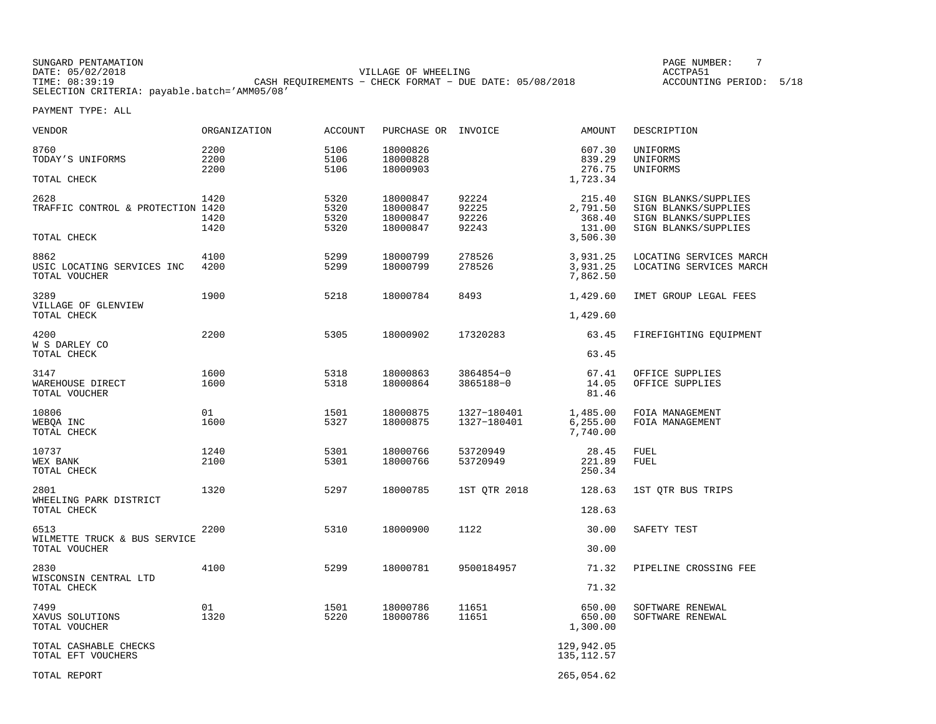| SUNGARD PENTAMATION                          |                                                         | PAGE NUMBER:      |
|----------------------------------------------|---------------------------------------------------------|-------------------|
| DATE: 05/02/2018                             | VILLAGE OF WHEELING                                     | ACCTPA51          |
| TIME: 08:39:19                               | CASH REOUIREMENTS - CHECK FORMAT - DUE DATE: 05/08/2018 | ACCOUNTING PERIOD |
| SELECTION CRITERIA: payable.batch='AMM05/08' |                                                         |                   |

ING PERIOD: 5/18

| <b>VENDOR</b>                                            | ORGANIZATION         | <b>ACCOUNT</b>               | PURCHASE OR INVOICE                          |                                  | <b>AMOUNT</b>                                      | DESCRIPTION                                                                                  |
|----------------------------------------------------------|----------------------|------------------------------|----------------------------------------------|----------------------------------|----------------------------------------------------|----------------------------------------------------------------------------------------------|
| 8760<br>TODAY'S UNIFORMS                                 | 2200<br>2200<br>2200 | 5106<br>5106<br>5106         | 18000826<br>18000828<br>18000903             |                                  | 607.30<br>839.29<br>276.75                         | UNIFORMS<br>UNIFORMS<br>UNIFORMS                                                             |
| TOTAL CHECK                                              |                      |                              |                                              |                                  | 1,723.34                                           |                                                                                              |
| 2628<br>TRAFFIC CONTROL & PROTECTION 1420<br>TOTAL CHECK | 1420<br>1420<br>1420 | 5320<br>5320<br>5320<br>5320 | 18000847<br>18000847<br>18000847<br>18000847 | 92224<br>92225<br>92226<br>92243 | 215.40<br>2,791.50<br>368.40<br>131.00<br>3,506.30 | SIGN BLANKS/SUPPLIES<br>SIGN BLANKS/SUPPLIES<br>SIGN BLANKS/SUPPLIES<br>SIGN BLANKS/SUPPLIES |
| 8862<br>USIC LOCATING SERVICES INC<br>TOTAL VOUCHER      | 4100<br>4200         | 5299<br>5299                 | 18000799<br>18000799                         | 278526<br>278526                 | 3,931.25<br>3,931.25<br>7,862.50                   | LOCATING SERVICES MARCH<br>LOCATING SERVICES MARCH                                           |
| 3289<br>VILLAGE OF GLENVIEW<br>TOTAL CHECK               | 1900                 | 5218                         | 18000784                                     | 8493                             | 1,429.60<br>1,429.60                               | IMET GROUP LEGAL FEES                                                                        |
| 4200<br>W S DARLEY CO<br>TOTAL CHECK                     | 2200                 | 5305                         | 18000902                                     | 17320283                         | 63.45<br>63.45                                     | FIREFIGHTING EQUIPMENT                                                                       |
| 3147<br>WAREHOUSE DIRECT<br>TOTAL VOUCHER                | 1600<br>1600         | 5318<br>5318                 | 18000863<br>18000864                         | 3864854-0<br>3865188-0           | 67.41<br>14.05<br>81.46                            | OFFICE SUPPLIES<br>OFFICE SUPPLIES                                                           |
| 10806<br>WEBQA INC<br>TOTAL CHECK                        | 01<br>1600           | 1501<br>5327                 | 18000875<br>18000875                         | 1327-180401<br>1327-180401       | 1,485.00<br>6, 255.00<br>7,740.00                  | FOIA MANAGEMENT<br>FOIA MANAGEMENT                                                           |
| 10737<br>WEX BANK<br>TOTAL CHECK                         | 1240<br>2100         | 5301<br>5301                 | 18000766<br>18000766                         | 53720949<br>53720949             | 28.45<br>221.89<br>250.34                          | <b>FUEL</b><br><b>FUEL</b>                                                                   |
| 2801<br>WHEELING PARK DISTRICT<br>TOTAL CHECK            | 1320                 | 5297                         | 18000785                                     | 1ST QTR 2018                     | 128.63<br>128.63                                   | 1ST QTR BUS TRIPS                                                                            |
| 6513<br>WILMETTE TRUCK & BUS SERVICE<br>TOTAL VOUCHER    | 2200                 | 5310                         | 18000900                                     | 1122                             | 30.00<br>30.00                                     | SAFETY TEST                                                                                  |
| 2830<br>WISCONSIN CENTRAL LTD<br>TOTAL CHECK             | 4100                 | 5299                         | 18000781                                     | 9500184957                       | 71.32<br>71.32                                     | PIPELINE CROSSING FEE                                                                        |
| 7499<br>XAVUS SOLUTIONS<br>TOTAL VOUCHER                 | 01<br>1320           | 1501<br>5220                 | 18000786<br>18000786                         | 11651<br>11651                   | 650.00<br>650.00<br>1,300.00                       | SOFTWARE RENEWAL<br>SOFTWARE RENEWAL                                                         |
| TOTAL CASHABLE CHECKS<br>TOTAL EFT VOUCHERS              |                      |                              |                                              |                                  | 129,942.05<br>135, 112.57                          |                                                                                              |
| TOTAL REPORT                                             |                      |                              |                                              |                                  | 265,054.62                                         |                                                                                              |